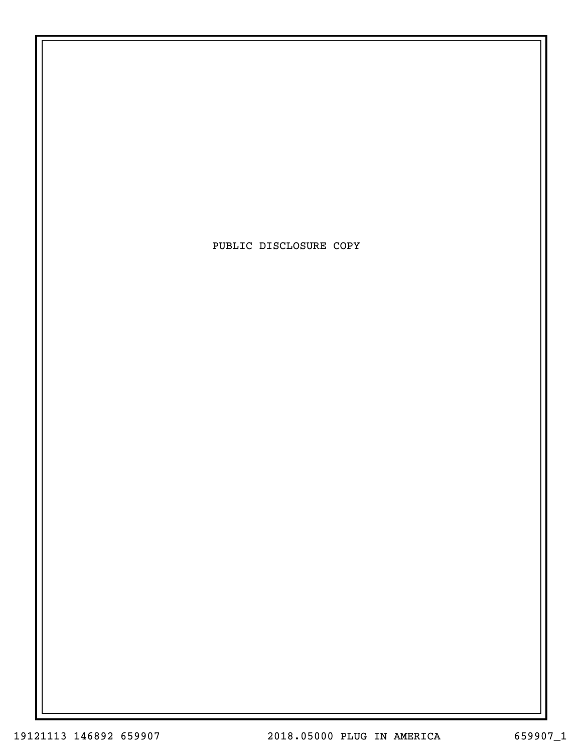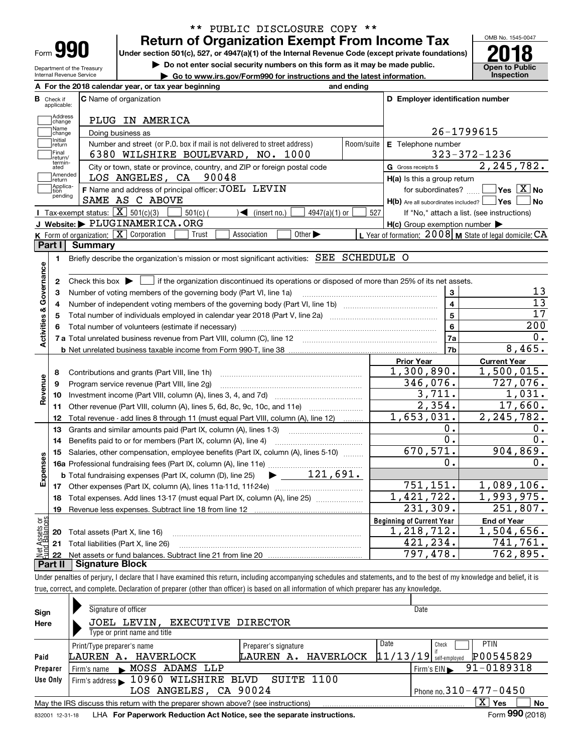| Form |  |
|------|--|

# **Return of Organization Exempt From Income Tax** \*\* PUBLIC DISCLOSURE COPY \*\*

**Under section 501(c), 527, or 4947(a)(1) of the Internal Revenue Code (except private foundations) 2018**

**| Do not enter social security numbers on this form as it may be made public.**

**| Go to www.irs.gov/Form990 for instructions and the latest information. Inspection**



Department of the Treasury Internal Revenue Service

| В<br>Check if                           |                                                                                                                                         | and ending |                                                     |                                                                                                                                                                                                       |
|-----------------------------------------|-----------------------------------------------------------------------------------------------------------------------------------------|------------|-----------------------------------------------------|-------------------------------------------------------------------------------------------------------------------------------------------------------------------------------------------------------|
|                                         | <b>C</b> Name of organization<br>applicable:                                                                                            |            | D Employer identification number                    |                                                                                                                                                                                                       |
|                                         | Address<br>PLUG IN AMERICA<br>change                                                                                                    |            |                                                     |                                                                                                                                                                                                       |
| Name                                    | Doing business as<br>change                                                                                                             |            |                                                     | 26-1799615                                                                                                                                                                                            |
| Initial<br>return                       | Number and street (or P.O. box if mail is not delivered to street address)                                                              | Room/suite | E Telephone number                                  |                                                                                                                                                                                                       |
| Final                                   | 6380 WILSHIRE BOULEVARD, NO. 1000<br>return/                                                                                            |            |                                                     | $323 - 372 - 1236$                                                                                                                                                                                    |
|                                         | termin-<br>ated<br>City or town, state or province, country, and ZIP or foreign postal code                                             |            | G Gross receipts \$                                 | 2, 245, 782.                                                                                                                                                                                          |
| return]                                 | Amended<br>LOS ANGELES, CA<br>90048                                                                                                     |            | $H(a)$ is this a group return                       |                                                                                                                                                                                                       |
| tion                                    | Applica-<br>F Name and address of principal officer: JOEL LEVIN<br>pending                                                              |            | for subordinates?                                   | $Yes \; X \; No$                                                                                                                                                                                      |
|                                         | SAME AS C ABOVE                                                                                                                         |            | $H(b)$ Are all subordinates included? $\Box$ Yes    | <b>No</b>                                                                                                                                                                                             |
|                                         | Tax-exempt status: $\boxed{\mathbf{X}}$ 501(c)(3)<br>$501(c)$ (<br>$\sqrt{\frac{1}{1}}$ (insert no.)<br>$4947(a)(1)$ or                 | 527        |                                                     | If "No," attach a list. (see instructions)                                                                                                                                                            |
|                                         | J Website: $\blacktriangleright$ PLUGINAMERICA.ORG                                                                                      |            | $H(c)$ Group exemption number $\blacktriangleright$ |                                                                                                                                                                                                       |
|                                         | K Form of organization: $X$ Corporation<br>Other $\blacktriangleright$<br>Trust<br>Association                                          |            |                                                     | L Year of formation: $2008$ M State of legal domicile: CA                                                                                                                                             |
| Part I                                  | <b>Summary</b>                                                                                                                          |            |                                                     |                                                                                                                                                                                                       |
| 1.                                      | Briefly describe the organization's mission or most significant activities: SEE SCHEDULE O                                              |            |                                                     |                                                                                                                                                                                                       |
|                                         |                                                                                                                                         |            |                                                     |                                                                                                                                                                                                       |
| Activities & Governance<br>$\mathbf{2}$ | Check this box $\blacktriangleright$<br>if the organization discontinued its operations or disposed of more than 25% of its net assets. |            |                                                     |                                                                                                                                                                                                       |
| з                                       | Number of voting members of the governing body (Part VI, line 1a)                                                                       |            | 3                                                   | 13                                                                                                                                                                                                    |
| 4                                       |                                                                                                                                         |            | $\overline{4}$                                      | $\overline{13}$                                                                                                                                                                                       |
| 5                                       |                                                                                                                                         |            | $\overline{5}$                                      | 17                                                                                                                                                                                                    |
| 6                                       |                                                                                                                                         |            | 6                                                   | 200                                                                                                                                                                                                   |
|                                         | 7 a Total unrelated business revenue from Part VIII, column (C), line 12 [11] [12] [11] [12] [11] [11] [12] [1                          |            |                                                     |                                                                                                                                                                                                       |
|                                         |                                                                                                                                         |            | 7a                                                  |                                                                                                                                                                                                       |
|                                         |                                                                                                                                         |            | 7b                                                  |                                                                                                                                                                                                       |
|                                         |                                                                                                                                         |            | <b>Prior Year</b>                                   | <b>Current Year</b>                                                                                                                                                                                   |
| 8                                       | Contributions and grants (Part VIII, line 1h)                                                                                           |            | 1,300,890.                                          |                                                                                                                                                                                                       |
| 9                                       | Program service revenue (Part VIII, line 2g)                                                                                            |            | 346,076.                                            |                                                                                                                                                                                                       |
| 10                                      |                                                                                                                                         |            | 3,711.                                              |                                                                                                                                                                                                       |
| 11                                      | Other revenue (Part VIII, column (A), lines 5, 6d, 8c, 9c, 10c, and 11e)                                                                |            | 2,354.                                              |                                                                                                                                                                                                       |
| 12                                      | Total revenue - add lines 8 through 11 (must equal Part VIII, column (A), line 12)                                                      |            | 1,653,031.                                          |                                                                                                                                                                                                       |
| 13                                      | Grants and similar amounts paid (Part IX, column (A), lines 1-3)                                                                        |            | Ο.                                                  |                                                                                                                                                                                                       |
| 14                                      | Benefits paid to or for members (Part IX, column (A), line 4)                                                                           |            | 0.                                                  |                                                                                                                                                                                                       |
| 15                                      | Salaries, other compensation, employee benefits (Part IX, column (A), lines 5-10)                                                       |            | 670, 571.                                           |                                                                                                                                                                                                       |
|                                         |                                                                                                                                         |            | 0.                                                  |                                                                                                                                                                                                       |
|                                         | $\blacktriangleright$ 121,691.<br><b>b</b> Total fundraising expenses (Part IX, column (D), line 25)                                    |            |                                                     |                                                                                                                                                                                                       |
|                                         |                                                                                                                                         |            | 751, 151.                                           |                                                                                                                                                                                                       |
| 18                                      | Total expenses. Add lines 13-17 (must equal Part IX, column (A), line 25)                                                               |            | 1,421,722.                                          |                                                                                                                                                                                                       |
| 19                                      |                                                                                                                                         |            | 231,309.                                            |                                                                                                                                                                                                       |
|                                         |                                                                                                                                         |            | <b>Beginning of Current Year</b>                    | <b>End of Year</b>                                                                                                                                                                                    |
| 20                                      | Total assets (Part X, line 16)                                                                                                          |            | 1,218,712.                                          |                                                                                                                                                                                                       |
| Revenue<br>Expenses<br>äš<br>sets       | 21 Total liabilities (Part X, line 26)                                                                                                  |            | 421,234.<br>797,478.                                | О.<br>8,465.<br>1,500,015.<br>727,076.<br>1,031.<br>17,660.<br>2, 245, 782.<br>0.<br>0.<br>904,869.<br>0.<br>1,089,106.<br>1,993,975.<br>251,807.<br>1,504,656.<br>741,761.<br>$\overline{762,895}$ . |

Under penalties of perjury, I declare that I have examined this return, including accompanying schedules and statements, and to the best of my knowledge and belief, it is true, correct, and complete. Declaration of preparer (other than officer) is based on all information of which preparer has any knowledge.

| Sign            | Signature of officer                                                              | Date                         |                                                |  |  |  |  |  |  |  |  |  |
|-----------------|-----------------------------------------------------------------------------------|------------------------------|------------------------------------------------|--|--|--|--|--|--|--|--|--|
| Here            | JOEL LEVIN.<br>EXECUTIVE DIRECTOR                                                 |                              |                                                |  |  |  |  |  |  |  |  |  |
|                 | Type or print name and title                                                      |                              |                                                |  |  |  |  |  |  |  |  |  |
|                 | Print/Type preparer's name                                                        | Preparer's signature         | Date<br><b>PTIN</b><br>Check                   |  |  |  |  |  |  |  |  |  |
| Paid            | LAUREN A. HAVERLOCK                                                               | LAUREN A. HAVERLOCK          | P00545829<br>$11/13/19$ self-employed          |  |  |  |  |  |  |  |  |  |
| Preparer        | Firm's name MOSS ADAMS LLP                                                        |                              | 91-0189318<br>$Firm's EIN \blacktriangleright$ |  |  |  |  |  |  |  |  |  |
| Use Only        | Firm's address 10960 WILSHIRE BLVD                                                | SUITE 1100                   |                                                |  |  |  |  |  |  |  |  |  |
|                 | LOS ANGELES, CA 90024                                                             | Phone no. $310 - 477 - 0450$ |                                                |  |  |  |  |  |  |  |  |  |
|                 | May the IRS discuss this return with the preparer shown above? (see instructions) |                              | $X \vert Y$ es<br>No                           |  |  |  |  |  |  |  |  |  |
| 832001 12-31-18 | LHA For Paperwork Reduction Act Notice, see the separate instructions.            |                              | Form 990 (2018)                                |  |  |  |  |  |  |  |  |  |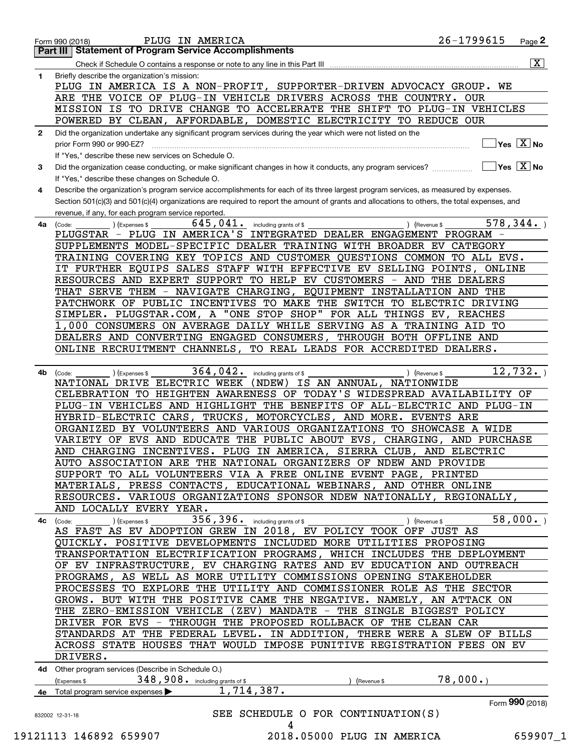| Check if Schedule O contains a response or note to any line in this Part III<br>Briefly describe the organization's mission:<br>PLUG IN AMERICA IS A NON-PROFIT, SUPPORTER-DRIVEN ADVOCACY GROUP. WE<br>ARE THE VOICE OF PLUG-IN VEHICLE DRIVERS ACROSS THE COUNTRY. OUR<br>MISSION IS TO DRIVE CHANGE TO ACCELERATE THE SHIFT TO PLUG-IN VEHICLES<br>POWERED BY CLEAN, AFFORDABLE, DOMESTIC ELECTRICITY TO REDUCE OUR<br>Did the organization undertake any significant program services during the year which were not listed on the<br>$Yes \quad X$ No<br>prior Form 990 or 990-EZ?<br>If "Yes," describe these new services on Schedule O.<br>$\overline{\ }$ Yes $\overline{\phantom{a}X}$ No<br>Did the organization cease conducting, or make significant changes in how it conducts, any program services?<br>If "Yes," describe these changes on Schedule O.<br>Describe the organization's program service accomplishments for each of its three largest program services, as measured by expenses.<br>Section 501(c)(3) and 501(c)(4) organizations are required to report the amount of grants and allocations to others, the total expenses, and<br>revenue, if any, for each program service reported.<br>578, 344.<br>645,041.<br>) (Revenue \$<br>(Expenses \$<br>including grants of \$<br>(Code:<br>PLUGSTAR - PLUG IN AMERICA'S INTEGRATED DEALER ENGAGEMENT PROGRAM -<br>SUPPLEMENTS MODEL-SPECIFIC DEALER TRAINING WITH BROADER EV CATEGORY<br>TRAINING COVERING KEY TOPICS AND CUSTOMER QUESTIONS COMMON TO ALL EVS.<br>IT FURTHER EQUIPS SALES STAFF WITH EFFECTIVE EV SELLING POINTS, ONLINE<br>RESOURCES AND EXPERT SUPPORT TO HELP EV CUSTOMERS - AND THE DEALERS<br>THAT SERVE THEM - NAVIGATE CHARGING, EQUIPMENT INSTALLATION AND THE<br>PATCHWORK OF PUBLIC INCENTIVES TO MAKE THE SWITCH TO ELECTRIC DRIVING<br>SIMPLER. PLUGSTAR.COM, A "ONE STOP SHOP" FOR ALL THINGS EV, REACHES<br>1,000 CONSUMERS ON AVERAGE DAILY WHILE SERVING AS A TRAINING AID TO<br>DEALERS AND CONVERTING ENGAGED CONSUMERS, THROUGH BOTH OFFLINE AND<br>ONLINE RECRUITMENT CHANNELS, TO REAL LEADS FOR ACCREDITED DEALERS.<br>12,732.<br>364,042.<br>) (Expenses \$<br>including grants of \$<br>) (Revenue \$<br>(Code:<br>NATIONAL DRIVE ELECTRIC WEEK<br>IS AN ANNUAL, NATIONWIDE<br>(NDEW)<br>CELEBRATION TO HEIGHTEN AWARENESS OF TODAY'S WIDESPREAD AVAILABILITY OF<br>PLUG-IN VEHICLES AND HIGHLIGHT THE BENEFITS OF ALL-ELECTRIC AND PLUG-IN<br>HYBRID-ELECTRIC CARS, TRUCKS, MOTORCYCLES, AND MORE. EVENTS ARE<br>ORGANIZED BY VOLUNTEERS AND VARIOUS ORGANIZATIONS TO SHOWCASE A WIDE<br>VARIETY OF EVS AND EDUCATE THE PUBLIC ABOUT EVS, CHARGING, AND PURCHASE<br>AND CHARGING INCENTIVES. PLUG IN AMERICA, SIERRA CLUB, AND ELECTRIC<br>AUTO ASSOCIATION ARE THE NATIONAL ORGANIZERS OF NDEW AND PROVIDE<br>SUPPORT TO ALL VOLUNTEERS VIA A FREE ONLINE EVENT PAGE, PRINTED<br>MATERIALS, PRESS CONTACTS, EDUCATIONAL WEBINARS, AND OTHER ONLINE<br>RESOURCES. VARIOUS ORGANIZATIONS SPONSOR NDEW NATIONALLY, REGIONALLY,<br>AND LOCALLY EVERY YEAR.<br>356, 396. including grants of \$<br>$\overline{58}$ ,000.)<br>$($ ) (Expenses \$<br>(Code:<br>) (Revenue \$<br>AS FAST AS EV ADOPTION GREW IN 2018, EV POLICY TOOK OFF JUST AS<br>QUICKLY. POSITIVE DEVELOPMENTS INCLUDED MORE UTILITIES PROPOSING<br>TRANSPORTATION ELECTRIFICATION PROGRAMS, WHICH INCLUDES THE DEPLOYMENT<br>OF EV INFRASTRUCTURE, EV CHARGING RATES AND EV EDUCATION AND OUTREACH<br>PROGRAMS, AS WELL AS MORE UTILITY COMMISSIONS OPENING STAKEHOLDER<br>PROCESSES TO EXPLORE THE UTILITY AND COMMISSIONER ROLE AS THE SECTOR<br>GROWS. BUT WITH THE POSITIVE CAME THE NEGATIVE. NAMELY, AN ATTACK ON<br>THE ZERO-EMISSION VEHICLE (ZEV) MANDATE - THE SINGLE BIGGEST POLICY<br>DRIVER FOR EVS - THROUGH THE PROPOSED ROLLBACK OF THE CLEAN CAR<br>STANDARDS AT THE FEDERAL LEVEL. IN ADDITION, THERE WERE A SLEW OF BILLS<br>ACROSS STATE HOUSES THAT WOULD IMPOSE PUNITIVE REGISTRATION FEES ON EV<br>DRIVERS.<br>4d Other program services (Describe in Schedule O.)<br>78,000.<br>348, 908. including grants of \$<br>(Expenses \$<br>(Revenue \$<br>1,714,387.<br>4e Total program service expenses ><br>Form 990 (2018)<br>SEE SCHEDULE O FOR CONTINUATION(S)<br>832002 12-31-18<br>4 |                                                                                                                                     | 26-1799615<br>PLUG IN AMERICA<br>$Page$ <sup>2</sup>             |  |  |
|---------------------------------------------------------------------------------------------------------------------------------------------------------------------------------------------------------------------------------------------------------------------------------------------------------------------------------------------------------------------------------------------------------------------------------------------------------------------------------------------------------------------------------------------------------------------------------------------------------------------------------------------------------------------------------------------------------------------------------------------------------------------------------------------------------------------------------------------------------------------------------------------------------------------------------------------------------------------------------------------------------------------------------------------------------------------------------------------------------------------------------------------------------------------------------------------------------------------------------------------------------------------------------------------------------------------------------------------------------------------------------------------------------------------------------------------------------------------------------------------------------------------------------------------------------------------------------------------------------------------------------------------------------------------------------------------------------------------------------------------------------------------------------------------------------------------------------------------------------------------------------------------------------------------------------------------------------------------------------------------------------------------------------------------------------------------------------------------------------------------------------------------------------------------------------------------------------------------------------------------------------------------------------------------------------------------------------------------------------------------------------------------------------------------------------------------------------------------------------------------------------------------------------------------------------------------------------------------------------------------------------------------------------------------------------------------------------------------------------------------------------------------------------------------------------------------------------------------------------------------------------------------------------------------------------------------------------------------------------------------------------------------------------------------------------------------------------------------------------------------------------------------------------------------------------------------------------------------------------------------------------------------------------------------------------------------------------------------------------------------------------------------------------------------------------------------------------------------------------------------------------------------------------------------------------------------------------------------------------------------------------------------------------------------------------------------------------------------------------------------------------------------------------------------------------------------------------------------------------------------------------------------------------------------------------------------------------------------------------------------------------------------------------------------------------------------------------------------------------------------------------------------------------------------------------------------------------------------------------------------------------------------------------------------------|-------------------------------------------------------------------------------------------------------------------------------------|------------------------------------------------------------------|--|--|
|                                                                                                                                                                                                                                                                                                                                                                                                                                                                                                                                                                                                                                                                                                                                                                                                                                                                                                                                                                                                                                                                                                                                                                                                                                                                                                                                                                                                                                                                                                                                                                                                                                                                                                                                                                                                                                                                                                                                                                                                                                                                                                                                                                                                                                                                                                                                                                                                                                                                                                                                                                                                                                                                                                                                                                                                                                                                                                                                                                                                                                                                                                                                                                                                                                                                                                                                                                                                                                                                                                                                                                                                                                                                                                                                                                                                                                                                                                                                                                                                                                                                                                                                                                                                                                                                                                   |                                                                                                                                     |                                                                  |  |  |
|                                                                                                                                                                                                                                                                                                                                                                                                                                                                                                                                                                                                                                                                                                                                                                                                                                                                                                                                                                                                                                                                                                                                                                                                                                                                                                                                                                                                                                                                                                                                                                                                                                                                                                                                                                                                                                                                                                                                                                                                                                                                                                                                                                                                                                                                                                                                                                                                                                                                                                                                                                                                                                                                                                                                                                                                                                                                                                                                                                                                                                                                                                                                                                                                                                                                                                                                                                                                                                                                                                                                                                                                                                                                                                                                                                                                                                                                                                                                                                                                                                                                                                                                                                                                                                                                                                   |                                                                                                                                     | $\overline{\mathbf{x}}$                                          |  |  |
|                                                                                                                                                                                                                                                                                                                                                                                                                                                                                                                                                                                                                                                                                                                                                                                                                                                                                                                                                                                                                                                                                                                                                                                                                                                                                                                                                                                                                                                                                                                                                                                                                                                                                                                                                                                                                                                                                                                                                                                                                                                                                                                                                                                                                                                                                                                                                                                                                                                                                                                                                                                                                                                                                                                                                                                                                                                                                                                                                                                                                                                                                                                                                                                                                                                                                                                                                                                                                                                                                                                                                                                                                                                                                                                                                                                                                                                                                                                                                                                                                                                                                                                                                                                                                                                                                                   |                                                                                                                                     |                                                                  |  |  |
|                                                                                                                                                                                                                                                                                                                                                                                                                                                                                                                                                                                                                                                                                                                                                                                                                                                                                                                                                                                                                                                                                                                                                                                                                                                                                                                                                                                                                                                                                                                                                                                                                                                                                                                                                                                                                                                                                                                                                                                                                                                                                                                                                                                                                                                                                                                                                                                                                                                                                                                                                                                                                                                                                                                                                                                                                                                                                                                                                                                                                                                                                                                                                                                                                                                                                                                                                                                                                                                                                                                                                                                                                                                                                                                                                                                                                                                                                                                                                                                                                                                                                                                                                                                                                                                                                                   |                                                                                                                                     |                                                                  |  |  |
|                                                                                                                                                                                                                                                                                                                                                                                                                                                                                                                                                                                                                                                                                                                                                                                                                                                                                                                                                                                                                                                                                                                                                                                                                                                                                                                                                                                                                                                                                                                                                                                                                                                                                                                                                                                                                                                                                                                                                                                                                                                                                                                                                                                                                                                                                                                                                                                                                                                                                                                                                                                                                                                                                                                                                                                                                                                                                                                                                                                                                                                                                                                                                                                                                                                                                                                                                                                                                                                                                                                                                                                                                                                                                                                                                                                                                                                                                                                                                                                                                                                                                                                                                                                                                                                                                                   |                                                                                                                                     |                                                                  |  |  |
|                                                                                                                                                                                                                                                                                                                                                                                                                                                                                                                                                                                                                                                                                                                                                                                                                                                                                                                                                                                                                                                                                                                                                                                                                                                                                                                                                                                                                                                                                                                                                                                                                                                                                                                                                                                                                                                                                                                                                                                                                                                                                                                                                                                                                                                                                                                                                                                                                                                                                                                                                                                                                                                                                                                                                                                                                                                                                                                                                                                                                                                                                                                                                                                                                                                                                                                                                                                                                                                                                                                                                                                                                                                                                                                                                                                                                                                                                                                                                                                                                                                                                                                                                                                                                                                                                                   |                                                                                                                                     |                                                                  |  |  |
|                                                                                                                                                                                                                                                                                                                                                                                                                                                                                                                                                                                                                                                                                                                                                                                                                                                                                                                                                                                                                                                                                                                                                                                                                                                                                                                                                                                                                                                                                                                                                                                                                                                                                                                                                                                                                                                                                                                                                                                                                                                                                                                                                                                                                                                                                                                                                                                                                                                                                                                                                                                                                                                                                                                                                                                                                                                                                                                                                                                                                                                                                                                                                                                                                                                                                                                                                                                                                                                                                                                                                                                                                                                                                                                                                                                                                                                                                                                                                                                                                                                                                                                                                                                                                                                                                                   | Form 990 (2018)<br><b>Part III   Statement of Program Service Accomplishments</b><br>1.<br>$\mathbf{2}$<br>3<br>4<br>4a<br>4b<br>4с |                                                                  |  |  |
|                                                                                                                                                                                                                                                                                                                                                                                                                                                                                                                                                                                                                                                                                                                                                                                                                                                                                                                                                                                                                                                                                                                                                                                                                                                                                                                                                                                                                                                                                                                                                                                                                                                                                                                                                                                                                                                                                                                                                                                                                                                                                                                                                                                                                                                                                                                                                                                                                                                                                                                                                                                                                                                                                                                                                                                                                                                                                                                                                                                                                                                                                                                                                                                                                                                                                                                                                                                                                                                                                                                                                                                                                                                                                                                                                                                                                                                                                                                                                                                                                                                                                                                                                                                                                                                                                                   |                                                                                                                                     |                                                                  |  |  |
|                                                                                                                                                                                                                                                                                                                                                                                                                                                                                                                                                                                                                                                                                                                                                                                                                                                                                                                                                                                                                                                                                                                                                                                                                                                                                                                                                                                                                                                                                                                                                                                                                                                                                                                                                                                                                                                                                                                                                                                                                                                                                                                                                                                                                                                                                                                                                                                                                                                                                                                                                                                                                                                                                                                                                                                                                                                                                                                                                                                                                                                                                                                                                                                                                                                                                                                                                                                                                                                                                                                                                                                                                                                                                                                                                                                                                                                                                                                                                                                                                                                                                                                                                                                                                                                                                                   |                                                                                                                                     |                                                                  |  |  |
|                                                                                                                                                                                                                                                                                                                                                                                                                                                                                                                                                                                                                                                                                                                                                                                                                                                                                                                                                                                                                                                                                                                                                                                                                                                                                                                                                                                                                                                                                                                                                                                                                                                                                                                                                                                                                                                                                                                                                                                                                                                                                                                                                                                                                                                                                                                                                                                                                                                                                                                                                                                                                                                                                                                                                                                                                                                                                                                                                                                                                                                                                                                                                                                                                                                                                                                                                                                                                                                                                                                                                                                                                                                                                                                                                                                                                                                                                                                                                                                                                                                                                                                                                                                                                                                                                                   |                                                                                                                                     |                                                                  |  |  |
|                                                                                                                                                                                                                                                                                                                                                                                                                                                                                                                                                                                                                                                                                                                                                                                                                                                                                                                                                                                                                                                                                                                                                                                                                                                                                                                                                                                                                                                                                                                                                                                                                                                                                                                                                                                                                                                                                                                                                                                                                                                                                                                                                                                                                                                                                                                                                                                                                                                                                                                                                                                                                                                                                                                                                                                                                                                                                                                                                                                                                                                                                                                                                                                                                                                                                                                                                                                                                                                                                                                                                                                                                                                                                                                                                                                                                                                                                                                                                                                                                                                                                                                                                                                                                                                                                                   |                                                                                                                                     |                                                                  |  |  |
|                                                                                                                                                                                                                                                                                                                                                                                                                                                                                                                                                                                                                                                                                                                                                                                                                                                                                                                                                                                                                                                                                                                                                                                                                                                                                                                                                                                                                                                                                                                                                                                                                                                                                                                                                                                                                                                                                                                                                                                                                                                                                                                                                                                                                                                                                                                                                                                                                                                                                                                                                                                                                                                                                                                                                                                                                                                                                                                                                                                                                                                                                                                                                                                                                                                                                                                                                                                                                                                                                                                                                                                                                                                                                                                                                                                                                                                                                                                                                                                                                                                                                                                                                                                                                                                                                                   |                                                                                                                                     |                                                                  |  |  |
|                                                                                                                                                                                                                                                                                                                                                                                                                                                                                                                                                                                                                                                                                                                                                                                                                                                                                                                                                                                                                                                                                                                                                                                                                                                                                                                                                                                                                                                                                                                                                                                                                                                                                                                                                                                                                                                                                                                                                                                                                                                                                                                                                                                                                                                                                                                                                                                                                                                                                                                                                                                                                                                                                                                                                                                                                                                                                                                                                                                                                                                                                                                                                                                                                                                                                                                                                                                                                                                                                                                                                                                                                                                                                                                                                                                                                                                                                                                                                                                                                                                                                                                                                                                                                                                                                                   |                                                                                                                                     |                                                                  |  |  |
|                                                                                                                                                                                                                                                                                                                                                                                                                                                                                                                                                                                                                                                                                                                                                                                                                                                                                                                                                                                                                                                                                                                                                                                                                                                                                                                                                                                                                                                                                                                                                                                                                                                                                                                                                                                                                                                                                                                                                                                                                                                                                                                                                                                                                                                                                                                                                                                                                                                                                                                                                                                                                                                                                                                                                                                                                                                                                                                                                                                                                                                                                                                                                                                                                                                                                                                                                                                                                                                                                                                                                                                                                                                                                                                                                                                                                                                                                                                                                                                                                                                                                                                                                                                                                                                                                                   |                                                                                                                                     |                                                                  |  |  |
|                                                                                                                                                                                                                                                                                                                                                                                                                                                                                                                                                                                                                                                                                                                                                                                                                                                                                                                                                                                                                                                                                                                                                                                                                                                                                                                                                                                                                                                                                                                                                                                                                                                                                                                                                                                                                                                                                                                                                                                                                                                                                                                                                                                                                                                                                                                                                                                                                                                                                                                                                                                                                                                                                                                                                                                                                                                                                                                                                                                                                                                                                                                                                                                                                                                                                                                                                                                                                                                                                                                                                                                                                                                                                                                                                                                                                                                                                                                                                                                                                                                                                                                                                                                                                                                                                                   |                                                                                                                                     |                                                                  |  |  |
|                                                                                                                                                                                                                                                                                                                                                                                                                                                                                                                                                                                                                                                                                                                                                                                                                                                                                                                                                                                                                                                                                                                                                                                                                                                                                                                                                                                                                                                                                                                                                                                                                                                                                                                                                                                                                                                                                                                                                                                                                                                                                                                                                                                                                                                                                                                                                                                                                                                                                                                                                                                                                                                                                                                                                                                                                                                                                                                                                                                                                                                                                                                                                                                                                                                                                                                                                                                                                                                                                                                                                                                                                                                                                                                                                                                                                                                                                                                                                                                                                                                                                                                                                                                                                                                                                                   |                                                                                                                                     |                                                                  |  |  |
|                                                                                                                                                                                                                                                                                                                                                                                                                                                                                                                                                                                                                                                                                                                                                                                                                                                                                                                                                                                                                                                                                                                                                                                                                                                                                                                                                                                                                                                                                                                                                                                                                                                                                                                                                                                                                                                                                                                                                                                                                                                                                                                                                                                                                                                                                                                                                                                                                                                                                                                                                                                                                                                                                                                                                                                                                                                                                                                                                                                                                                                                                                                                                                                                                                                                                                                                                                                                                                                                                                                                                                                                                                                                                                                                                                                                                                                                                                                                                                                                                                                                                                                                                                                                                                                                                                   |                                                                                                                                     |                                                                  |  |  |
|                                                                                                                                                                                                                                                                                                                                                                                                                                                                                                                                                                                                                                                                                                                                                                                                                                                                                                                                                                                                                                                                                                                                                                                                                                                                                                                                                                                                                                                                                                                                                                                                                                                                                                                                                                                                                                                                                                                                                                                                                                                                                                                                                                                                                                                                                                                                                                                                                                                                                                                                                                                                                                                                                                                                                                                                                                                                                                                                                                                                                                                                                                                                                                                                                                                                                                                                                                                                                                                                                                                                                                                                                                                                                                                                                                                                                                                                                                                                                                                                                                                                                                                                                                                                                                                                                                   |                                                                                                                                     |                                                                  |  |  |
|                                                                                                                                                                                                                                                                                                                                                                                                                                                                                                                                                                                                                                                                                                                                                                                                                                                                                                                                                                                                                                                                                                                                                                                                                                                                                                                                                                                                                                                                                                                                                                                                                                                                                                                                                                                                                                                                                                                                                                                                                                                                                                                                                                                                                                                                                                                                                                                                                                                                                                                                                                                                                                                                                                                                                                                                                                                                                                                                                                                                                                                                                                                                                                                                                                                                                                                                                                                                                                                                                                                                                                                                                                                                                                                                                                                                                                                                                                                                                                                                                                                                                                                                                                                                                                                                                                   |                                                                                                                                     |                                                                  |  |  |
|                                                                                                                                                                                                                                                                                                                                                                                                                                                                                                                                                                                                                                                                                                                                                                                                                                                                                                                                                                                                                                                                                                                                                                                                                                                                                                                                                                                                                                                                                                                                                                                                                                                                                                                                                                                                                                                                                                                                                                                                                                                                                                                                                                                                                                                                                                                                                                                                                                                                                                                                                                                                                                                                                                                                                                                                                                                                                                                                                                                                                                                                                                                                                                                                                                                                                                                                                                                                                                                                                                                                                                                                                                                                                                                                                                                                                                                                                                                                                                                                                                                                                                                                                                                                                                                                                                   |                                                                                                                                     |                                                                  |  |  |
|                                                                                                                                                                                                                                                                                                                                                                                                                                                                                                                                                                                                                                                                                                                                                                                                                                                                                                                                                                                                                                                                                                                                                                                                                                                                                                                                                                                                                                                                                                                                                                                                                                                                                                                                                                                                                                                                                                                                                                                                                                                                                                                                                                                                                                                                                                                                                                                                                                                                                                                                                                                                                                                                                                                                                                                                                                                                                                                                                                                                                                                                                                                                                                                                                                                                                                                                                                                                                                                                                                                                                                                                                                                                                                                                                                                                                                                                                                                                                                                                                                                                                                                                                                                                                                                                                                   |                                                                                                                                     |                                                                  |  |  |
|                                                                                                                                                                                                                                                                                                                                                                                                                                                                                                                                                                                                                                                                                                                                                                                                                                                                                                                                                                                                                                                                                                                                                                                                                                                                                                                                                                                                                                                                                                                                                                                                                                                                                                                                                                                                                                                                                                                                                                                                                                                                                                                                                                                                                                                                                                                                                                                                                                                                                                                                                                                                                                                                                                                                                                                                                                                                                                                                                                                                                                                                                                                                                                                                                                                                                                                                                                                                                                                                                                                                                                                                                                                                                                                                                                                                                                                                                                                                                                                                                                                                                                                                                                                                                                                                                                   |                                                                                                                                     |                                                                  |  |  |
|                                                                                                                                                                                                                                                                                                                                                                                                                                                                                                                                                                                                                                                                                                                                                                                                                                                                                                                                                                                                                                                                                                                                                                                                                                                                                                                                                                                                                                                                                                                                                                                                                                                                                                                                                                                                                                                                                                                                                                                                                                                                                                                                                                                                                                                                                                                                                                                                                                                                                                                                                                                                                                                                                                                                                                                                                                                                                                                                                                                                                                                                                                                                                                                                                                                                                                                                                                                                                                                                                                                                                                                                                                                                                                                                                                                                                                                                                                                                                                                                                                                                                                                                                                                                                                                                                                   |                                                                                                                                     |                                                                  |  |  |
|                                                                                                                                                                                                                                                                                                                                                                                                                                                                                                                                                                                                                                                                                                                                                                                                                                                                                                                                                                                                                                                                                                                                                                                                                                                                                                                                                                                                                                                                                                                                                                                                                                                                                                                                                                                                                                                                                                                                                                                                                                                                                                                                                                                                                                                                                                                                                                                                                                                                                                                                                                                                                                                                                                                                                                                                                                                                                                                                                                                                                                                                                                                                                                                                                                                                                                                                                                                                                                                                                                                                                                                                                                                                                                                                                                                                                                                                                                                                                                                                                                                                                                                                                                                                                                                                                                   |                                                                                                                                     |                                                                  |  |  |
|                                                                                                                                                                                                                                                                                                                                                                                                                                                                                                                                                                                                                                                                                                                                                                                                                                                                                                                                                                                                                                                                                                                                                                                                                                                                                                                                                                                                                                                                                                                                                                                                                                                                                                                                                                                                                                                                                                                                                                                                                                                                                                                                                                                                                                                                                                                                                                                                                                                                                                                                                                                                                                                                                                                                                                                                                                                                                                                                                                                                                                                                                                                                                                                                                                                                                                                                                                                                                                                                                                                                                                                                                                                                                                                                                                                                                                                                                                                                                                                                                                                                                                                                                                                                                                                                                                   |                                                                                                                                     |                                                                  |  |  |
|                                                                                                                                                                                                                                                                                                                                                                                                                                                                                                                                                                                                                                                                                                                                                                                                                                                                                                                                                                                                                                                                                                                                                                                                                                                                                                                                                                                                                                                                                                                                                                                                                                                                                                                                                                                                                                                                                                                                                                                                                                                                                                                                                                                                                                                                                                                                                                                                                                                                                                                                                                                                                                                                                                                                                                                                                                                                                                                                                                                                                                                                                                                                                                                                                                                                                                                                                                                                                                                                                                                                                                                                                                                                                                                                                                                                                                                                                                                                                                                                                                                                                                                                                                                                                                                                                                   |                                                                                                                                     |                                                                  |  |  |
|                                                                                                                                                                                                                                                                                                                                                                                                                                                                                                                                                                                                                                                                                                                                                                                                                                                                                                                                                                                                                                                                                                                                                                                                                                                                                                                                                                                                                                                                                                                                                                                                                                                                                                                                                                                                                                                                                                                                                                                                                                                                                                                                                                                                                                                                                                                                                                                                                                                                                                                                                                                                                                                                                                                                                                                                                                                                                                                                                                                                                                                                                                                                                                                                                                                                                                                                                                                                                                                                                                                                                                                                                                                                                                                                                                                                                                                                                                                                                                                                                                                                                                                                                                                                                                                                                                   |                                                                                                                                     |                                                                  |  |  |
|                                                                                                                                                                                                                                                                                                                                                                                                                                                                                                                                                                                                                                                                                                                                                                                                                                                                                                                                                                                                                                                                                                                                                                                                                                                                                                                                                                                                                                                                                                                                                                                                                                                                                                                                                                                                                                                                                                                                                                                                                                                                                                                                                                                                                                                                                                                                                                                                                                                                                                                                                                                                                                                                                                                                                                                                                                                                                                                                                                                                                                                                                                                                                                                                                                                                                                                                                                                                                                                                                                                                                                                                                                                                                                                                                                                                                                                                                                                                                                                                                                                                                                                                                                                                                                                                                                   |                                                                                                                                     |                                                                  |  |  |
|                                                                                                                                                                                                                                                                                                                                                                                                                                                                                                                                                                                                                                                                                                                                                                                                                                                                                                                                                                                                                                                                                                                                                                                                                                                                                                                                                                                                                                                                                                                                                                                                                                                                                                                                                                                                                                                                                                                                                                                                                                                                                                                                                                                                                                                                                                                                                                                                                                                                                                                                                                                                                                                                                                                                                                                                                                                                                                                                                                                                                                                                                                                                                                                                                                                                                                                                                                                                                                                                                                                                                                                                                                                                                                                                                                                                                                                                                                                                                                                                                                                                                                                                                                                                                                                                                                   |                                                                                                                                     |                                                                  |  |  |
|                                                                                                                                                                                                                                                                                                                                                                                                                                                                                                                                                                                                                                                                                                                                                                                                                                                                                                                                                                                                                                                                                                                                                                                                                                                                                                                                                                                                                                                                                                                                                                                                                                                                                                                                                                                                                                                                                                                                                                                                                                                                                                                                                                                                                                                                                                                                                                                                                                                                                                                                                                                                                                                                                                                                                                                                                                                                                                                                                                                                                                                                                                                                                                                                                                                                                                                                                                                                                                                                                                                                                                                                                                                                                                                                                                                                                                                                                                                                                                                                                                                                                                                                                                                                                                                                                                   |                                                                                                                                     |                                                                  |  |  |
|                                                                                                                                                                                                                                                                                                                                                                                                                                                                                                                                                                                                                                                                                                                                                                                                                                                                                                                                                                                                                                                                                                                                                                                                                                                                                                                                                                                                                                                                                                                                                                                                                                                                                                                                                                                                                                                                                                                                                                                                                                                                                                                                                                                                                                                                                                                                                                                                                                                                                                                                                                                                                                                                                                                                                                                                                                                                                                                                                                                                                                                                                                                                                                                                                                                                                                                                                                                                                                                                                                                                                                                                                                                                                                                                                                                                                                                                                                                                                                                                                                                                                                                                                                                                                                                                                                   |                                                                                                                                     |                                                                  |  |  |
|                                                                                                                                                                                                                                                                                                                                                                                                                                                                                                                                                                                                                                                                                                                                                                                                                                                                                                                                                                                                                                                                                                                                                                                                                                                                                                                                                                                                                                                                                                                                                                                                                                                                                                                                                                                                                                                                                                                                                                                                                                                                                                                                                                                                                                                                                                                                                                                                                                                                                                                                                                                                                                                                                                                                                                                                                                                                                                                                                                                                                                                                                                                                                                                                                                                                                                                                                                                                                                                                                                                                                                                                                                                                                                                                                                                                                                                                                                                                                                                                                                                                                                                                                                                                                                                                                                   |                                                                                                                                     |                                                                  |  |  |
|                                                                                                                                                                                                                                                                                                                                                                                                                                                                                                                                                                                                                                                                                                                                                                                                                                                                                                                                                                                                                                                                                                                                                                                                                                                                                                                                                                                                                                                                                                                                                                                                                                                                                                                                                                                                                                                                                                                                                                                                                                                                                                                                                                                                                                                                                                                                                                                                                                                                                                                                                                                                                                                                                                                                                                                                                                                                                                                                                                                                                                                                                                                                                                                                                                                                                                                                                                                                                                                                                                                                                                                                                                                                                                                                                                                                                                                                                                                                                                                                                                                                                                                                                                                                                                                                                                   |                                                                                                                                     |                                                                  |  |  |
|                                                                                                                                                                                                                                                                                                                                                                                                                                                                                                                                                                                                                                                                                                                                                                                                                                                                                                                                                                                                                                                                                                                                                                                                                                                                                                                                                                                                                                                                                                                                                                                                                                                                                                                                                                                                                                                                                                                                                                                                                                                                                                                                                                                                                                                                                                                                                                                                                                                                                                                                                                                                                                                                                                                                                                                                                                                                                                                                                                                                                                                                                                                                                                                                                                                                                                                                                                                                                                                                                                                                                                                                                                                                                                                                                                                                                                                                                                                                                                                                                                                                                                                                                                                                                                                                                                   |                                                                                                                                     |                                                                  |  |  |
|                                                                                                                                                                                                                                                                                                                                                                                                                                                                                                                                                                                                                                                                                                                                                                                                                                                                                                                                                                                                                                                                                                                                                                                                                                                                                                                                                                                                                                                                                                                                                                                                                                                                                                                                                                                                                                                                                                                                                                                                                                                                                                                                                                                                                                                                                                                                                                                                                                                                                                                                                                                                                                                                                                                                                                                                                                                                                                                                                                                                                                                                                                                                                                                                                                                                                                                                                                                                                                                                                                                                                                                                                                                                                                                                                                                                                                                                                                                                                                                                                                                                                                                                                                                                                                                                                                   |                                                                                                                                     |                                                                  |  |  |
|                                                                                                                                                                                                                                                                                                                                                                                                                                                                                                                                                                                                                                                                                                                                                                                                                                                                                                                                                                                                                                                                                                                                                                                                                                                                                                                                                                                                                                                                                                                                                                                                                                                                                                                                                                                                                                                                                                                                                                                                                                                                                                                                                                                                                                                                                                                                                                                                                                                                                                                                                                                                                                                                                                                                                                                                                                                                                                                                                                                                                                                                                                                                                                                                                                                                                                                                                                                                                                                                                                                                                                                                                                                                                                                                                                                                                                                                                                                                                                                                                                                                                                                                                                                                                                                                                                   |                                                                                                                                     |                                                                  |  |  |
|                                                                                                                                                                                                                                                                                                                                                                                                                                                                                                                                                                                                                                                                                                                                                                                                                                                                                                                                                                                                                                                                                                                                                                                                                                                                                                                                                                                                                                                                                                                                                                                                                                                                                                                                                                                                                                                                                                                                                                                                                                                                                                                                                                                                                                                                                                                                                                                                                                                                                                                                                                                                                                                                                                                                                                                                                                                                                                                                                                                                                                                                                                                                                                                                                                                                                                                                                                                                                                                                                                                                                                                                                                                                                                                                                                                                                                                                                                                                                                                                                                                                                                                                                                                                                                                                                                   |                                                                                                                                     |                                                                  |  |  |
|                                                                                                                                                                                                                                                                                                                                                                                                                                                                                                                                                                                                                                                                                                                                                                                                                                                                                                                                                                                                                                                                                                                                                                                                                                                                                                                                                                                                                                                                                                                                                                                                                                                                                                                                                                                                                                                                                                                                                                                                                                                                                                                                                                                                                                                                                                                                                                                                                                                                                                                                                                                                                                                                                                                                                                                                                                                                                                                                                                                                                                                                                                                                                                                                                                                                                                                                                                                                                                                                                                                                                                                                                                                                                                                                                                                                                                                                                                                                                                                                                                                                                                                                                                                                                                                                                                   |                                                                                                                                     |                                                                  |  |  |
|                                                                                                                                                                                                                                                                                                                                                                                                                                                                                                                                                                                                                                                                                                                                                                                                                                                                                                                                                                                                                                                                                                                                                                                                                                                                                                                                                                                                                                                                                                                                                                                                                                                                                                                                                                                                                                                                                                                                                                                                                                                                                                                                                                                                                                                                                                                                                                                                                                                                                                                                                                                                                                                                                                                                                                                                                                                                                                                                                                                                                                                                                                                                                                                                                                                                                                                                                                                                                                                                                                                                                                                                                                                                                                                                                                                                                                                                                                                                                                                                                                                                                                                                                                                                                                                                                                   |                                                                                                                                     |                                                                  |  |  |
|                                                                                                                                                                                                                                                                                                                                                                                                                                                                                                                                                                                                                                                                                                                                                                                                                                                                                                                                                                                                                                                                                                                                                                                                                                                                                                                                                                                                                                                                                                                                                                                                                                                                                                                                                                                                                                                                                                                                                                                                                                                                                                                                                                                                                                                                                                                                                                                                                                                                                                                                                                                                                                                                                                                                                                                                                                                                                                                                                                                                                                                                                                                                                                                                                                                                                                                                                                                                                                                                                                                                                                                                                                                                                                                                                                                                                                                                                                                                                                                                                                                                                                                                                                                                                                                                                                   |                                                                                                                                     |                                                                  |  |  |
|                                                                                                                                                                                                                                                                                                                                                                                                                                                                                                                                                                                                                                                                                                                                                                                                                                                                                                                                                                                                                                                                                                                                                                                                                                                                                                                                                                                                                                                                                                                                                                                                                                                                                                                                                                                                                                                                                                                                                                                                                                                                                                                                                                                                                                                                                                                                                                                                                                                                                                                                                                                                                                                                                                                                                                                                                                                                                                                                                                                                                                                                                                                                                                                                                                                                                                                                                                                                                                                                                                                                                                                                                                                                                                                                                                                                                                                                                                                                                                                                                                                                                                                                                                                                                                                                                                   |                                                                                                                                     |                                                                  |  |  |
|                                                                                                                                                                                                                                                                                                                                                                                                                                                                                                                                                                                                                                                                                                                                                                                                                                                                                                                                                                                                                                                                                                                                                                                                                                                                                                                                                                                                                                                                                                                                                                                                                                                                                                                                                                                                                                                                                                                                                                                                                                                                                                                                                                                                                                                                                                                                                                                                                                                                                                                                                                                                                                                                                                                                                                                                                                                                                                                                                                                                                                                                                                                                                                                                                                                                                                                                                                                                                                                                                                                                                                                                                                                                                                                                                                                                                                                                                                                                                                                                                                                                                                                                                                                                                                                                                                   |                                                                                                                                     |                                                                  |  |  |
|                                                                                                                                                                                                                                                                                                                                                                                                                                                                                                                                                                                                                                                                                                                                                                                                                                                                                                                                                                                                                                                                                                                                                                                                                                                                                                                                                                                                                                                                                                                                                                                                                                                                                                                                                                                                                                                                                                                                                                                                                                                                                                                                                                                                                                                                                                                                                                                                                                                                                                                                                                                                                                                                                                                                                                                                                                                                                                                                                                                                                                                                                                                                                                                                                                                                                                                                                                                                                                                                                                                                                                                                                                                                                                                                                                                                                                                                                                                                                                                                                                                                                                                                                                                                                                                                                                   |                                                                                                                                     |                                                                  |  |  |
|                                                                                                                                                                                                                                                                                                                                                                                                                                                                                                                                                                                                                                                                                                                                                                                                                                                                                                                                                                                                                                                                                                                                                                                                                                                                                                                                                                                                                                                                                                                                                                                                                                                                                                                                                                                                                                                                                                                                                                                                                                                                                                                                                                                                                                                                                                                                                                                                                                                                                                                                                                                                                                                                                                                                                                                                                                                                                                                                                                                                                                                                                                                                                                                                                                                                                                                                                                                                                                                                                                                                                                                                                                                                                                                                                                                                                                                                                                                                                                                                                                                                                                                                                                                                                                                                                                   |                                                                                                                                     |                                                                  |  |  |
|                                                                                                                                                                                                                                                                                                                                                                                                                                                                                                                                                                                                                                                                                                                                                                                                                                                                                                                                                                                                                                                                                                                                                                                                                                                                                                                                                                                                                                                                                                                                                                                                                                                                                                                                                                                                                                                                                                                                                                                                                                                                                                                                                                                                                                                                                                                                                                                                                                                                                                                                                                                                                                                                                                                                                                                                                                                                                                                                                                                                                                                                                                                                                                                                                                                                                                                                                                                                                                                                                                                                                                                                                                                                                                                                                                                                                                                                                                                                                                                                                                                                                                                                                                                                                                                                                                   |                                                                                                                                     |                                                                  |  |  |
|                                                                                                                                                                                                                                                                                                                                                                                                                                                                                                                                                                                                                                                                                                                                                                                                                                                                                                                                                                                                                                                                                                                                                                                                                                                                                                                                                                                                                                                                                                                                                                                                                                                                                                                                                                                                                                                                                                                                                                                                                                                                                                                                                                                                                                                                                                                                                                                                                                                                                                                                                                                                                                                                                                                                                                                                                                                                                                                                                                                                                                                                                                                                                                                                                                                                                                                                                                                                                                                                                                                                                                                                                                                                                                                                                                                                                                                                                                                                                                                                                                                                                                                                                                                                                                                                                                   |                                                                                                                                     |                                                                  |  |  |
|                                                                                                                                                                                                                                                                                                                                                                                                                                                                                                                                                                                                                                                                                                                                                                                                                                                                                                                                                                                                                                                                                                                                                                                                                                                                                                                                                                                                                                                                                                                                                                                                                                                                                                                                                                                                                                                                                                                                                                                                                                                                                                                                                                                                                                                                                                                                                                                                                                                                                                                                                                                                                                                                                                                                                                                                                                                                                                                                                                                                                                                                                                                                                                                                                                                                                                                                                                                                                                                                                                                                                                                                                                                                                                                                                                                                                                                                                                                                                                                                                                                                                                                                                                                                                                                                                                   |                                                                                                                                     |                                                                  |  |  |
|                                                                                                                                                                                                                                                                                                                                                                                                                                                                                                                                                                                                                                                                                                                                                                                                                                                                                                                                                                                                                                                                                                                                                                                                                                                                                                                                                                                                                                                                                                                                                                                                                                                                                                                                                                                                                                                                                                                                                                                                                                                                                                                                                                                                                                                                                                                                                                                                                                                                                                                                                                                                                                                                                                                                                                                                                                                                                                                                                                                                                                                                                                                                                                                                                                                                                                                                                                                                                                                                                                                                                                                                                                                                                                                                                                                                                                                                                                                                                                                                                                                                                                                                                                                                                                                                                                   |                                                                                                                                     |                                                                  |  |  |
|                                                                                                                                                                                                                                                                                                                                                                                                                                                                                                                                                                                                                                                                                                                                                                                                                                                                                                                                                                                                                                                                                                                                                                                                                                                                                                                                                                                                                                                                                                                                                                                                                                                                                                                                                                                                                                                                                                                                                                                                                                                                                                                                                                                                                                                                                                                                                                                                                                                                                                                                                                                                                                                                                                                                                                                                                                                                                                                                                                                                                                                                                                                                                                                                                                                                                                                                                                                                                                                                                                                                                                                                                                                                                                                                                                                                                                                                                                                                                                                                                                                                                                                                                                                                                                                                                                   |                                                                                                                                     |                                                                  |  |  |
|                                                                                                                                                                                                                                                                                                                                                                                                                                                                                                                                                                                                                                                                                                                                                                                                                                                                                                                                                                                                                                                                                                                                                                                                                                                                                                                                                                                                                                                                                                                                                                                                                                                                                                                                                                                                                                                                                                                                                                                                                                                                                                                                                                                                                                                                                                                                                                                                                                                                                                                                                                                                                                                                                                                                                                                                                                                                                                                                                                                                                                                                                                                                                                                                                                                                                                                                                                                                                                                                                                                                                                                                                                                                                                                                                                                                                                                                                                                                                                                                                                                                                                                                                                                                                                                                                                   |                                                                                                                                     |                                                                  |  |  |
|                                                                                                                                                                                                                                                                                                                                                                                                                                                                                                                                                                                                                                                                                                                                                                                                                                                                                                                                                                                                                                                                                                                                                                                                                                                                                                                                                                                                                                                                                                                                                                                                                                                                                                                                                                                                                                                                                                                                                                                                                                                                                                                                                                                                                                                                                                                                                                                                                                                                                                                                                                                                                                                                                                                                                                                                                                                                                                                                                                                                                                                                                                                                                                                                                                                                                                                                                                                                                                                                                                                                                                                                                                                                                                                                                                                                                                                                                                                                                                                                                                                                                                                                                                                                                                                                                                   |                                                                                                                                     |                                                                  |  |  |
|                                                                                                                                                                                                                                                                                                                                                                                                                                                                                                                                                                                                                                                                                                                                                                                                                                                                                                                                                                                                                                                                                                                                                                                                                                                                                                                                                                                                                                                                                                                                                                                                                                                                                                                                                                                                                                                                                                                                                                                                                                                                                                                                                                                                                                                                                                                                                                                                                                                                                                                                                                                                                                                                                                                                                                                                                                                                                                                                                                                                                                                                                                                                                                                                                                                                                                                                                                                                                                                                                                                                                                                                                                                                                                                                                                                                                                                                                                                                                                                                                                                                                                                                                                                                                                                                                                   |                                                                                                                                     |                                                                  |  |  |
|                                                                                                                                                                                                                                                                                                                                                                                                                                                                                                                                                                                                                                                                                                                                                                                                                                                                                                                                                                                                                                                                                                                                                                                                                                                                                                                                                                                                                                                                                                                                                                                                                                                                                                                                                                                                                                                                                                                                                                                                                                                                                                                                                                                                                                                                                                                                                                                                                                                                                                                                                                                                                                                                                                                                                                                                                                                                                                                                                                                                                                                                                                                                                                                                                                                                                                                                                                                                                                                                                                                                                                                                                                                                                                                                                                                                                                                                                                                                                                                                                                                                                                                                                                                                                                                                                                   |                                                                                                                                     |                                                                  |  |  |
|                                                                                                                                                                                                                                                                                                                                                                                                                                                                                                                                                                                                                                                                                                                                                                                                                                                                                                                                                                                                                                                                                                                                                                                                                                                                                                                                                                                                                                                                                                                                                                                                                                                                                                                                                                                                                                                                                                                                                                                                                                                                                                                                                                                                                                                                                                                                                                                                                                                                                                                                                                                                                                                                                                                                                                                                                                                                                                                                                                                                                                                                                                                                                                                                                                                                                                                                                                                                                                                                                                                                                                                                                                                                                                                                                                                                                                                                                                                                                                                                                                                                                                                                                                                                                                                                                                   |                                                                                                                                     |                                                                  |  |  |
|                                                                                                                                                                                                                                                                                                                                                                                                                                                                                                                                                                                                                                                                                                                                                                                                                                                                                                                                                                                                                                                                                                                                                                                                                                                                                                                                                                                                                                                                                                                                                                                                                                                                                                                                                                                                                                                                                                                                                                                                                                                                                                                                                                                                                                                                                                                                                                                                                                                                                                                                                                                                                                                                                                                                                                                                                                                                                                                                                                                                                                                                                                                                                                                                                                                                                                                                                                                                                                                                                                                                                                                                                                                                                                                                                                                                                                                                                                                                                                                                                                                                                                                                                                                                                                                                                                   |                                                                                                                                     |                                                                  |  |  |
|                                                                                                                                                                                                                                                                                                                                                                                                                                                                                                                                                                                                                                                                                                                                                                                                                                                                                                                                                                                                                                                                                                                                                                                                                                                                                                                                                                                                                                                                                                                                                                                                                                                                                                                                                                                                                                                                                                                                                                                                                                                                                                                                                                                                                                                                                                                                                                                                                                                                                                                                                                                                                                                                                                                                                                                                                                                                                                                                                                                                                                                                                                                                                                                                                                                                                                                                                                                                                                                                                                                                                                                                                                                                                                                                                                                                                                                                                                                                                                                                                                                                                                                                                                                                                                                                                                   |                                                                                                                                     |                                                                  |  |  |
|                                                                                                                                                                                                                                                                                                                                                                                                                                                                                                                                                                                                                                                                                                                                                                                                                                                                                                                                                                                                                                                                                                                                                                                                                                                                                                                                                                                                                                                                                                                                                                                                                                                                                                                                                                                                                                                                                                                                                                                                                                                                                                                                                                                                                                                                                                                                                                                                                                                                                                                                                                                                                                                                                                                                                                                                                                                                                                                                                                                                                                                                                                                                                                                                                                                                                                                                                                                                                                                                                                                                                                                                                                                                                                                                                                                                                                                                                                                                                                                                                                                                                                                                                                                                                                                                                                   |                                                                                                                                     |                                                                  |  |  |
|                                                                                                                                                                                                                                                                                                                                                                                                                                                                                                                                                                                                                                                                                                                                                                                                                                                                                                                                                                                                                                                                                                                                                                                                                                                                                                                                                                                                                                                                                                                                                                                                                                                                                                                                                                                                                                                                                                                                                                                                                                                                                                                                                                                                                                                                                                                                                                                                                                                                                                                                                                                                                                                                                                                                                                                                                                                                                                                                                                                                                                                                                                                                                                                                                                                                                                                                                                                                                                                                                                                                                                                                                                                                                                                                                                                                                                                                                                                                                                                                                                                                                                                                                                                                                                                                                                   |                                                                                                                                     |                                                                  |  |  |
|                                                                                                                                                                                                                                                                                                                                                                                                                                                                                                                                                                                                                                                                                                                                                                                                                                                                                                                                                                                                                                                                                                                                                                                                                                                                                                                                                                                                                                                                                                                                                                                                                                                                                                                                                                                                                                                                                                                                                                                                                                                                                                                                                                                                                                                                                                                                                                                                                                                                                                                                                                                                                                                                                                                                                                                                                                                                                                                                                                                                                                                                                                                                                                                                                                                                                                                                                                                                                                                                                                                                                                                                                                                                                                                                                                                                                                                                                                                                                                                                                                                                                                                                                                                                                                                                                                   |                                                                                                                                     |                                                                  |  |  |
|                                                                                                                                                                                                                                                                                                                                                                                                                                                                                                                                                                                                                                                                                                                                                                                                                                                                                                                                                                                                                                                                                                                                                                                                                                                                                                                                                                                                                                                                                                                                                                                                                                                                                                                                                                                                                                                                                                                                                                                                                                                                                                                                                                                                                                                                                                                                                                                                                                                                                                                                                                                                                                                                                                                                                                                                                                                                                                                                                                                                                                                                                                                                                                                                                                                                                                                                                                                                                                                                                                                                                                                                                                                                                                                                                                                                                                                                                                                                                                                                                                                                                                                                                                                                                                                                                                   |                                                                                                                                     |                                                                  |  |  |
|                                                                                                                                                                                                                                                                                                                                                                                                                                                                                                                                                                                                                                                                                                                                                                                                                                                                                                                                                                                                                                                                                                                                                                                                                                                                                                                                                                                                                                                                                                                                                                                                                                                                                                                                                                                                                                                                                                                                                                                                                                                                                                                                                                                                                                                                                                                                                                                                                                                                                                                                                                                                                                                                                                                                                                                                                                                                                                                                                                                                                                                                                                                                                                                                                                                                                                                                                                                                                                                                                                                                                                                                                                                                                                                                                                                                                                                                                                                                                                                                                                                                                                                                                                                                                                                                                                   |                                                                                                                                     |                                                                  |  |  |
|                                                                                                                                                                                                                                                                                                                                                                                                                                                                                                                                                                                                                                                                                                                                                                                                                                                                                                                                                                                                                                                                                                                                                                                                                                                                                                                                                                                                                                                                                                                                                                                                                                                                                                                                                                                                                                                                                                                                                                                                                                                                                                                                                                                                                                                                                                                                                                                                                                                                                                                                                                                                                                                                                                                                                                                                                                                                                                                                                                                                                                                                                                                                                                                                                                                                                                                                                                                                                                                                                                                                                                                                                                                                                                                                                                                                                                                                                                                                                                                                                                                                                                                                                                                                                                                                                                   |                                                                                                                                     |                                                                  |  |  |
|                                                                                                                                                                                                                                                                                                                                                                                                                                                                                                                                                                                                                                                                                                                                                                                                                                                                                                                                                                                                                                                                                                                                                                                                                                                                                                                                                                                                                                                                                                                                                                                                                                                                                                                                                                                                                                                                                                                                                                                                                                                                                                                                                                                                                                                                                                                                                                                                                                                                                                                                                                                                                                                                                                                                                                                                                                                                                                                                                                                                                                                                                                                                                                                                                                                                                                                                                                                                                                                                                                                                                                                                                                                                                                                                                                                                                                                                                                                                                                                                                                                                                                                                                                                                                                                                                                   |                                                                                                                                     |                                                                  |  |  |
|                                                                                                                                                                                                                                                                                                                                                                                                                                                                                                                                                                                                                                                                                                                                                                                                                                                                                                                                                                                                                                                                                                                                                                                                                                                                                                                                                                                                                                                                                                                                                                                                                                                                                                                                                                                                                                                                                                                                                                                                                                                                                                                                                                                                                                                                                                                                                                                                                                                                                                                                                                                                                                                                                                                                                                                                                                                                                                                                                                                                                                                                                                                                                                                                                                                                                                                                                                                                                                                                                                                                                                                                                                                                                                                                                                                                                                                                                                                                                                                                                                                                                                                                                                                                                                                                                                   |                                                                                                                                     | 659907_1<br>19121113 146892 659907<br>2018.05000 PLUG IN AMERICA |  |  |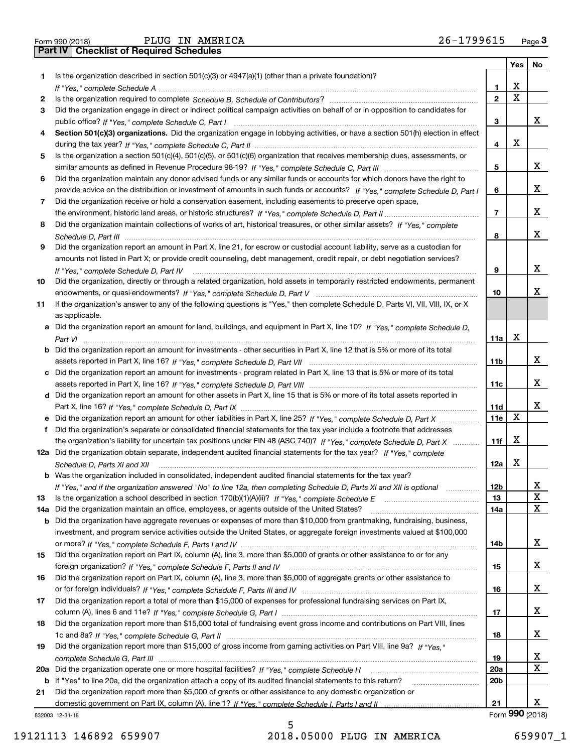| Form 990 (2018) |  |  |
|-----------------|--|--|

Form 990 (2018) Page **3Part IV Checklist of Required Schedules** PLUG IN AMERICA 26-1799615

|     |                                                                                                                                                                                                                                                                                                                                                                                                                                                                                       |                 |             | Yes   No        |
|-----|---------------------------------------------------------------------------------------------------------------------------------------------------------------------------------------------------------------------------------------------------------------------------------------------------------------------------------------------------------------------------------------------------------------------------------------------------------------------------------------|-----------------|-------------|-----------------|
| 1   | Is the organization described in section $501(c)(3)$ or $4947(a)(1)$ (other than a private foundation)?                                                                                                                                                                                                                                                                                                                                                                               |                 |             |                 |
|     |                                                                                                                                                                                                                                                                                                                                                                                                                                                                                       | 1               | х           |                 |
| 2   |                                                                                                                                                                                                                                                                                                                                                                                                                                                                                       | $\mathbf{2}$    | $\mathbf X$ |                 |
| З   | Did the organization engage in direct or indirect political campaign activities on behalf of or in opposition to candidates for                                                                                                                                                                                                                                                                                                                                                       |                 |             |                 |
|     |                                                                                                                                                                                                                                                                                                                                                                                                                                                                                       | 3               |             | x               |
| 4   | Section 501(c)(3) organizations. Did the organization engage in lobbying activities, or have a section 501(h) election in effect                                                                                                                                                                                                                                                                                                                                                      |                 |             |                 |
|     |                                                                                                                                                                                                                                                                                                                                                                                                                                                                                       | 4               | х           |                 |
| 5   | Is the organization a section 501(c)(4), 501(c)(5), or 501(c)(6) organization that receives membership dues, assessments, or                                                                                                                                                                                                                                                                                                                                                          |                 |             |                 |
|     |                                                                                                                                                                                                                                                                                                                                                                                                                                                                                       | 5               |             | x               |
| 6   | Did the organization maintain any donor advised funds or any similar funds or accounts for which donors have the right to                                                                                                                                                                                                                                                                                                                                                             |                 |             |                 |
|     | provide advice on the distribution or investment of amounts in such funds or accounts? If "Yes," complete Schedule D, Part I                                                                                                                                                                                                                                                                                                                                                          | 6               |             | x               |
| 7   | Did the organization receive or hold a conservation easement, including easements to preserve open space,                                                                                                                                                                                                                                                                                                                                                                             |                 |             |                 |
|     |                                                                                                                                                                                                                                                                                                                                                                                                                                                                                       | $\overline{7}$  |             | x               |
| 8   | Did the organization maintain collections of works of art, historical treasures, or other similar assets? If "Yes," complete                                                                                                                                                                                                                                                                                                                                                          |                 |             |                 |
|     |                                                                                                                                                                                                                                                                                                                                                                                                                                                                                       | 8               |             | x               |
| 9   | Did the organization report an amount in Part X, line 21, for escrow or custodial account liability, serve as a custodian for                                                                                                                                                                                                                                                                                                                                                         |                 |             |                 |
|     | amounts not listed in Part X; or provide credit counseling, debt management, credit repair, or debt negotiation services?                                                                                                                                                                                                                                                                                                                                                             |                 |             |                 |
|     | $\begin{minipage}{0.5\textwidth} \begin{tabular}{ l l l } \hline \multicolumn{1}{ l l l } \hline \multicolumn{1}{ l l } \multicolumn{1}{ l } \multicolumn{1}{ l } \multicolumn{1}{ l } \multicolumn{1}{ l } \multicolumn{1}{ l } \multicolumn{1}{ l } \multicolumn{1}{ l } \multicolumn{1}{ l } \multicolumn{1}{ l } \multicolumn{1}{ l } \multicolumn{1}{ l } \multicolumn{1}{ l } \multicolumn{1}{ l } \multicolumn{1}{ l } \multicolumn$<br>If "Yes." complete Schedule D. Part IV | 9               |             | x               |
| 10  | Did the organization, directly or through a related organization, hold assets in temporarily restricted endowments, permanent                                                                                                                                                                                                                                                                                                                                                         |                 |             |                 |
|     |                                                                                                                                                                                                                                                                                                                                                                                                                                                                                       | 10              |             | x               |
|     |                                                                                                                                                                                                                                                                                                                                                                                                                                                                                       |                 |             |                 |
| 11  | If the organization's answer to any of the following questions is "Yes," then complete Schedule D, Parts VI, VII, VIII, IX, or X                                                                                                                                                                                                                                                                                                                                                      |                 |             |                 |
|     | as applicable.                                                                                                                                                                                                                                                                                                                                                                                                                                                                        |                 |             |                 |
|     | a Did the organization report an amount for land, buildings, and equipment in Part X, line 10? If "Yes." complete Schedule D.                                                                                                                                                                                                                                                                                                                                                         |                 |             |                 |
|     |                                                                                                                                                                                                                                                                                                                                                                                                                                                                                       | 11a             | X           |                 |
|     | <b>b</b> Did the organization report an amount for investments - other securities in Part X, line 12 that is 5% or more of its total                                                                                                                                                                                                                                                                                                                                                  |                 |             |                 |
|     |                                                                                                                                                                                                                                                                                                                                                                                                                                                                                       | 11 <sub>b</sub> |             | x               |
|     | c Did the organization report an amount for investments - program related in Part X, line 13 that is 5% or more of its total                                                                                                                                                                                                                                                                                                                                                          |                 |             |                 |
|     |                                                                                                                                                                                                                                                                                                                                                                                                                                                                                       | 11c             |             | х               |
|     | d Did the organization report an amount for other assets in Part X, line 15 that is 5% or more of its total assets reported in                                                                                                                                                                                                                                                                                                                                                        |                 |             |                 |
|     |                                                                                                                                                                                                                                                                                                                                                                                                                                                                                       | 11d             |             | x               |
|     |                                                                                                                                                                                                                                                                                                                                                                                                                                                                                       | 11e             | X           |                 |
| f   | Did the organization's separate or consolidated financial statements for the tax year include a footnote that addresses                                                                                                                                                                                                                                                                                                                                                               |                 |             |                 |
|     | the organization's liability for uncertain tax positions under FIN 48 (ASC 740)? If "Yes," complete Schedule D, Part X                                                                                                                                                                                                                                                                                                                                                                | 11f             | Х           |                 |
|     | 12a Did the organization obtain separate, independent audited financial statements for the tax year? If "Yes," complete                                                                                                                                                                                                                                                                                                                                                               |                 |             |                 |
|     | Schedule D, Parts XI and XII                                                                                                                                                                                                                                                                                                                                                                                                                                                          | 12a             | х           |                 |
|     | <b>b</b> Was the organization included in consolidated, independent audited financial statements for the tax year?                                                                                                                                                                                                                                                                                                                                                                    |                 |             |                 |
|     | If "Yes," and if the organization answered "No" to line 12a, then completing Schedule D, Parts XI and XII is optional                                                                                                                                                                                                                                                                                                                                                                 | 12 <sub>b</sub> |             |                 |
| 13  | Is the organization a school described in section $170(b)(1)(A)(ii)?$ If "Yes," complete Schedule E                                                                                                                                                                                                                                                                                                                                                                                   | 13              |             | X               |
| 14a | Did the organization maintain an office, employees, or agents outside of the United States?                                                                                                                                                                                                                                                                                                                                                                                           | 14a             |             | X               |
| b   | Did the organization have aggregate revenues or expenses of more than \$10,000 from grantmaking, fundraising, business,                                                                                                                                                                                                                                                                                                                                                               |                 |             |                 |
|     | investment, and program service activities outside the United States, or aggregate foreign investments valued at \$100,000                                                                                                                                                                                                                                                                                                                                                            |                 |             |                 |
|     |                                                                                                                                                                                                                                                                                                                                                                                                                                                                                       | 14b             |             | x               |
| 15  | Did the organization report on Part IX, column (A), line 3, more than \$5,000 of grants or other assistance to or for any                                                                                                                                                                                                                                                                                                                                                             |                 |             |                 |
|     |                                                                                                                                                                                                                                                                                                                                                                                                                                                                                       | 15              |             | x               |
| 16  | Did the organization report on Part IX, column (A), line 3, more than \$5,000 of aggregate grants or other assistance to                                                                                                                                                                                                                                                                                                                                                              |                 |             |                 |
|     |                                                                                                                                                                                                                                                                                                                                                                                                                                                                                       | 16              |             | x               |
| 17  | Did the organization report a total of more than \$15,000 of expenses for professional fundraising services on Part IX,                                                                                                                                                                                                                                                                                                                                                               |                 |             |                 |
|     |                                                                                                                                                                                                                                                                                                                                                                                                                                                                                       | 17              |             | x               |
| 18  | Did the organization report more than \$15,000 total of fundraising event gross income and contributions on Part VIII, lines                                                                                                                                                                                                                                                                                                                                                          |                 |             |                 |
|     |                                                                                                                                                                                                                                                                                                                                                                                                                                                                                       | 18              |             | x               |
| 19  | Did the organization report more than \$15,000 of gross income from gaming activities on Part VIII, line 9a? If "Yes."                                                                                                                                                                                                                                                                                                                                                                |                 |             |                 |
|     |                                                                                                                                                                                                                                                                                                                                                                                                                                                                                       | 19              |             | x               |
|     |                                                                                                                                                                                                                                                                                                                                                                                                                                                                                       |                 |             | X               |
| 20a | Did the organization operate one or more hospital facilities? If "Yes," complete Schedule H                                                                                                                                                                                                                                                                                                                                                                                           | <b>20a</b>      |             |                 |
| b   | If "Yes" to line 20a, did the organization attach a copy of its audited financial statements to this return?                                                                                                                                                                                                                                                                                                                                                                          | 20b             |             |                 |
| 21  | Did the organization report more than \$5,000 of grants or other assistance to any domestic organization or                                                                                                                                                                                                                                                                                                                                                                           |                 |             | x               |
|     |                                                                                                                                                                                                                                                                                                                                                                                                                                                                                       | 21              |             | Form 990 (2018) |
|     | 832003 12-31-18                                                                                                                                                                                                                                                                                                                                                                                                                                                                       |                 |             |                 |

19121113 146892 659907 2018.05000 PLUG IN AMERICA 659907\_1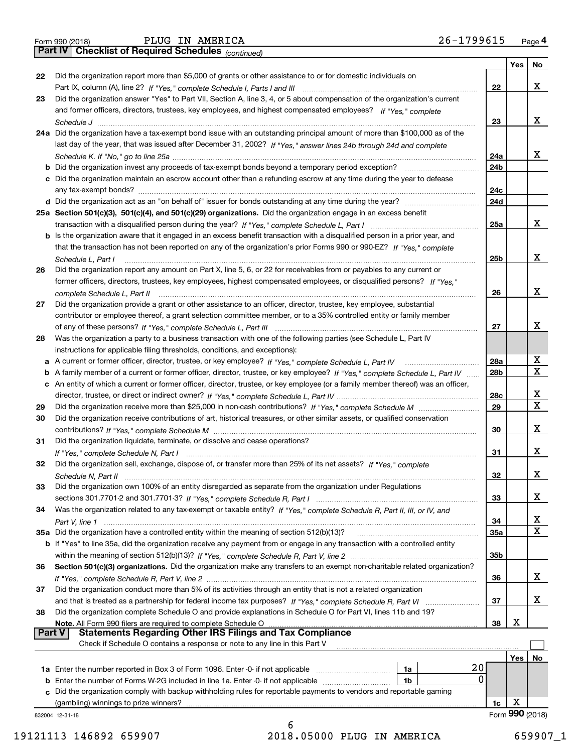| Form 990 (2018) |  |  |
|-----------------|--|--|

*(continued)*

|    |                                                                                                                                                                                                             |                 | Yes $ $ | No              |
|----|-------------------------------------------------------------------------------------------------------------------------------------------------------------------------------------------------------------|-----------------|---------|-----------------|
| 22 | Did the organization report more than \$5,000 of grants or other assistance to or for domestic individuals on                                                                                               |                 |         |                 |
|    |                                                                                                                                                                                                             | 22              |         | X               |
| 23 | Did the organization answer "Yes" to Part VII, Section A, line 3, 4, or 5 about compensation of the organization's current                                                                                  |                 |         |                 |
|    | and former officers, directors, trustees, key employees, and highest compensated employees? If "Yes," complete                                                                                              |                 |         |                 |
|    |                                                                                                                                                                                                             | 23              |         | х               |
|    | 24a Did the organization have a tax-exempt bond issue with an outstanding principal amount of more than \$100,000 as of the                                                                                 |                 |         |                 |
|    | last day of the year, that was issued after December 31, 2002? If "Yes," answer lines 24b through 24d and complete                                                                                          |                 |         |                 |
|    |                                                                                                                                                                                                             | 24a             |         | x               |
|    | <b>b</b> Did the organization invest any proceeds of tax-exempt bonds beyond a temporary period exception?                                                                                                  | 24b             |         |                 |
|    | c Did the organization maintain an escrow account other than a refunding escrow at any time during the year to defease                                                                                      |                 |         |                 |
|    |                                                                                                                                                                                                             | 24c             |         |                 |
|    |                                                                                                                                                                                                             | 24d             |         |                 |
|    | 25a Section 501(c)(3), 501(c)(4), and 501(c)(29) organizations. Did the organization engage in an excess benefit                                                                                            |                 |         |                 |
|    |                                                                                                                                                                                                             | 25a             |         | х               |
|    | b Is the organization aware that it engaged in an excess benefit transaction with a disqualified person in a prior year, and                                                                                |                 |         |                 |
|    | that the transaction has not been reported on any of the organization's prior Forms 990 or 990-EZ? If "Yes," complete                                                                                       |                 |         |                 |
|    | Schedule L, Part I                                                                                                                                                                                          | 25b             |         | х               |
| 26 | Did the organization report any amount on Part X, line 5, 6, or 22 for receivables from or payables to any current or                                                                                       |                 |         |                 |
|    | former officers, directors, trustees, key employees, highest compensated employees, or disqualified persons? If "Yes."                                                                                      |                 |         |                 |
|    |                                                                                                                                                                                                             | 26              |         | х               |
| 27 | Did the organization provide a grant or other assistance to an officer, director, trustee, key employee, substantial                                                                                        |                 |         |                 |
|    | contributor or employee thereof, a grant selection committee member, or to a 35% controlled entity or family member                                                                                         |                 |         |                 |
|    |                                                                                                                                                                                                             | 27              |         | х               |
| 28 | Was the organization a party to a business transaction with one of the following parties (see Schedule L, Part IV                                                                                           |                 |         |                 |
|    | instructions for applicable filing thresholds, conditions, and exceptions):                                                                                                                                 |                 |         |                 |
|    | a A current or former officer, director, trustee, or key employee? If "Yes," complete Schedule L, Part IV                                                                                                   | 28a             |         | х               |
|    | b A family member of a current or former officer, director, trustee, or key employee? If "Yes," complete Schedule L, Part IV                                                                                | 28 <sub>b</sub> |         | $\mathbf X$     |
|    | c An entity of which a current or former officer, director, trustee, or key employee (or a family member thereof) was an officer,                                                                           |                 |         |                 |
|    |                                                                                                                                                                                                             | 28c             |         | х               |
| 29 |                                                                                                                                                                                                             | 29              |         | $\mathbf x$     |
| 30 | Did the organization receive contributions of art, historical treasures, or other similar assets, or qualified conservation                                                                                 |                 |         |                 |
|    |                                                                                                                                                                                                             | 30              |         | х               |
| 31 | Did the organization liquidate, terminate, or dissolve and cease operations?                                                                                                                                |                 |         |                 |
|    |                                                                                                                                                                                                             | 31              |         | х               |
| 32 | Did the organization sell, exchange, dispose of, or transfer more than 25% of its net assets? If "Yes," complete                                                                                            |                 |         |                 |
|    |                                                                                                                                                                                                             | 32              |         | X               |
| 33 | Did the organization own 100% of an entity disregarded as separate from the organization under Regulations                                                                                                  |                 |         |                 |
|    |                                                                                                                                                                                                             | 33              |         | х               |
| 34 | Was the organization related to any tax-exempt or taxable entity? If "Yes," complete Schedule R, Part II, III, or IV, and                                                                                   |                 |         |                 |
|    |                                                                                                                                                                                                             | 34              |         | х               |
|    | 35a Did the organization have a controlled entity within the meaning of section 512(b)(13)?                                                                                                                 | <b>35a</b>      |         | X               |
|    | b If "Yes" to line 35a, did the organization receive any payment from or engage in any transaction with a controlled entity                                                                                 |                 |         |                 |
|    |                                                                                                                                                                                                             | 35b             |         |                 |
| 36 | Section 501(c)(3) organizations. Did the organization make any transfers to an exempt non-charitable related organization?                                                                                  |                 |         |                 |
|    |                                                                                                                                                                                                             | 36              |         | х               |
| 37 | Did the organization conduct more than 5% of its activities through an entity that is not a related organization                                                                                            |                 |         |                 |
|    | and that is treated as a partnership for federal income tax purposes? If "Yes," complete Schedule R, Part VI                                                                                                | 37              |         | х               |
|    | Did the organization complete Schedule O and provide explanations in Schedule O for Part VI, lines 11b and 19?                                                                                              |                 |         |                 |
| 38 | Note. All Form 990 filers are required to complete Schedule O                                                                                                                                               | 38              | X       |                 |
|    | <b>Statements Regarding Other IRS Filings and Tax Compliance</b><br><b>Part V</b>                                                                                                                           |                 |         |                 |
|    | Check if Schedule O contains a response or note to any line in this Part V                                                                                                                                  |                 |         |                 |
|    |                                                                                                                                                                                                             |                 |         |                 |
|    | 20                                                                                                                                                                                                          |                 | Yes     | No              |
|    | 1a<br>0                                                                                                                                                                                                     |                 |         |                 |
| b  | Enter the number of Forms W-2G included in line 1a. Enter -0- if not applicable<br>1b<br>Did the organization comply with backup withholding rules for reportable payments to vendors and reportable gaming |                 |         |                 |
| c  | (gambling) winnings to prize winners?                                                                                                                                                                       | 1c              | X       |                 |
|    |                                                                                                                                                                                                             |                 |         | Form 990 (2018) |
|    | 832004 12-31-18<br>6                                                                                                                                                                                        |                 |         |                 |
|    |                                                                                                                                                                                                             |                 |         |                 |

19121113 146892 659907 2018.05000 PLUG IN AMERICA 659907\_1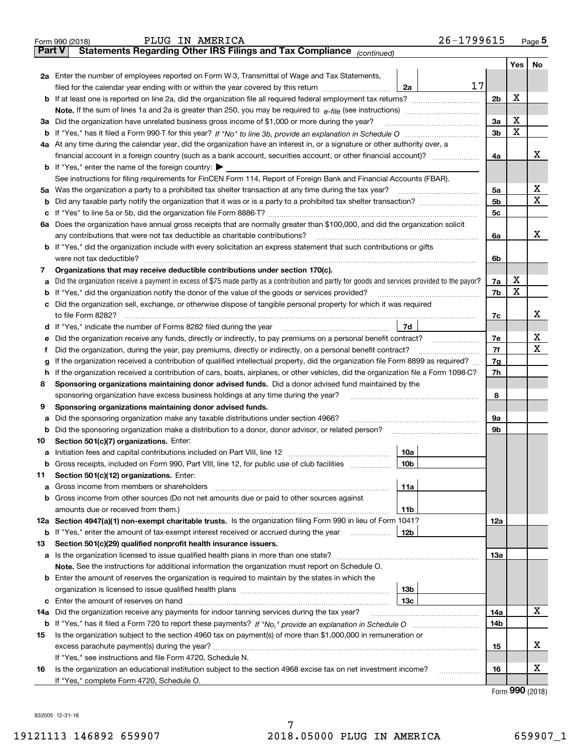|               | 26-1799615<br>PLUG IN AMERICA<br>Form 990 (2018)                                                                                                |                |     | Page 5 |  |  |  |  |  |  |  |
|---------------|-------------------------------------------------------------------------------------------------------------------------------------------------|----------------|-----|--------|--|--|--|--|--|--|--|
| <b>Part V</b> | Statements Regarding Other IRS Filings and Tax Compliance (continued)                                                                           |                |     |        |  |  |  |  |  |  |  |
|               |                                                                                                                                                 |                | Yes | No     |  |  |  |  |  |  |  |
|               | 2a Enter the number of employees reported on Form W-3, Transmittal of Wage and Tax Statements,                                                  |                |     |        |  |  |  |  |  |  |  |
|               | 17<br>filed for the calendar year ending with or within the year covered by this return <i>manumumumum</i><br>2a                                |                | х   |        |  |  |  |  |  |  |  |
|               |                                                                                                                                                 |                |     |        |  |  |  |  |  |  |  |
|               |                                                                                                                                                 |                |     |        |  |  |  |  |  |  |  |
|               | 3a Did the organization have unrelated business gross income of \$1,000 or more during the year?                                                |                |     |        |  |  |  |  |  |  |  |
|               |                                                                                                                                                 | 3 <sub>b</sub> | X   |        |  |  |  |  |  |  |  |
|               | 4a At any time during the calendar year, did the organization have an interest in, or a signature or other authority over, a                    |                |     |        |  |  |  |  |  |  |  |
|               |                                                                                                                                                 | 4a             |     | х      |  |  |  |  |  |  |  |
|               | <b>b</b> If "Yes," enter the name of the foreign country: $\blacktriangleright$                                                                 |                |     |        |  |  |  |  |  |  |  |
|               | See instructions for filing requirements for FinCEN Form 114, Report of Foreign Bank and Financial Accounts (FBAR).                             |                |     |        |  |  |  |  |  |  |  |
|               | 5a Was the organization a party to a prohibited tax shelter transaction at any time during the tax year?                                        | 5a             |     | X      |  |  |  |  |  |  |  |
| b             |                                                                                                                                                 | 5 <sub>b</sub> |     | х      |  |  |  |  |  |  |  |
|               |                                                                                                                                                 | 5c             |     |        |  |  |  |  |  |  |  |
|               | 6a Does the organization have annual gross receipts that are normally greater than \$100,000, and did the organization solicit                  |                |     |        |  |  |  |  |  |  |  |
|               |                                                                                                                                                 | 6a             |     | х      |  |  |  |  |  |  |  |
|               | <b>b</b> If "Yes," did the organization include with every solicitation an express statement that such contributions or gifts                   |                |     |        |  |  |  |  |  |  |  |
|               | were not tax deductible?                                                                                                                        | 6b             |     |        |  |  |  |  |  |  |  |
| 7             | Organizations that may receive deductible contributions under section 170(c).                                                                   |                |     |        |  |  |  |  |  |  |  |
| а             | Did the organization receive a payment in excess of \$75 made partly as a contribution and partly for goods and services provided to the payor? | 7a             | х   |        |  |  |  |  |  |  |  |
|               | <b>b</b> If "Yes," did the organization notify the donor of the value of the goods or services provided?                                        | 7b             | X   |        |  |  |  |  |  |  |  |
|               | c Did the organization sell, exchange, or otherwise dispose of tangible personal property for which it was required                             |                |     |        |  |  |  |  |  |  |  |
|               |                                                                                                                                                 | 7с             |     | х      |  |  |  |  |  |  |  |
|               | 7d                                                                                                                                              |                |     |        |  |  |  |  |  |  |  |
| е             |                                                                                                                                                 | 7e             |     | х      |  |  |  |  |  |  |  |
| f             | Did the organization, during the year, pay premiums, directly or indirectly, on a personal benefit contract?                                    | 7f             |     | x      |  |  |  |  |  |  |  |
| g             | If the organization received a contribution of qualified intellectual property, did the organization file Form 8899 as required?                | 7g             |     |        |  |  |  |  |  |  |  |
| h.            | If the organization received a contribution of cars, boats, airplanes, or other vehicles, did the organization file a Form 1098-C?              | 7h             |     |        |  |  |  |  |  |  |  |
| 8             | Sponsoring organizations maintaining donor advised funds. Did a donor advised fund maintained by the                                            |                |     |        |  |  |  |  |  |  |  |
|               | sponsoring organization have excess business holdings at any time during the year?                                                              | 8              |     |        |  |  |  |  |  |  |  |
| 9             | Sponsoring organizations maintaining donor advised funds.                                                                                       |                |     |        |  |  |  |  |  |  |  |
| а             | Did the sponsoring organization make any taxable distributions under section 4966?                                                              | 9а             |     |        |  |  |  |  |  |  |  |
|               | <b>b</b> Did the sponsoring organization make a distribution to a donor, donor advisor, or related person?                                      | 9b             |     |        |  |  |  |  |  |  |  |
| 10            | Section 501(c)(7) organizations. Enter:<br>10a                                                                                                  |                |     |        |  |  |  |  |  |  |  |
|               | 10b <br>Gross receipts, included on Form 990, Part VIII, line 12, for public use of club facilities                                             |                |     |        |  |  |  |  |  |  |  |
|               |                                                                                                                                                 |                |     |        |  |  |  |  |  |  |  |
| 11            | Section 501(c)(12) organizations. Enter:<br><b>a</b> Gross income from members or shareholders<br>11a                                           |                |     |        |  |  |  |  |  |  |  |
|               | b Gross income from other sources (Do not net amounts due or paid to other sources against                                                      |                |     |        |  |  |  |  |  |  |  |
|               | 11b                                                                                                                                             |                |     |        |  |  |  |  |  |  |  |
|               | 12a Section 4947(a)(1) non-exempt charitable trusts. Is the organization filing Form 990 in lieu of Form 1041?                                  | 12a            |     |        |  |  |  |  |  |  |  |
|               | 12b<br><b>b</b> If "Yes," enter the amount of tax-exempt interest received or accrued during the year                                           |                |     |        |  |  |  |  |  |  |  |
| 13            | Section 501(c)(29) qualified nonprofit health insurance issuers.                                                                                |                |     |        |  |  |  |  |  |  |  |
|               | <b>a</b> Is the organization licensed to issue qualified health plans in more than one state?                                                   | 13а            |     |        |  |  |  |  |  |  |  |
|               | Note. See the instructions for additional information the organization must report on Schedule O.                                               |                |     |        |  |  |  |  |  |  |  |
|               | <b>b</b> Enter the amount of reserves the organization is required to maintain by the states in which the                                       |                |     |        |  |  |  |  |  |  |  |
|               | 13b                                                                                                                                             |                |     |        |  |  |  |  |  |  |  |
|               | 13с                                                                                                                                             |                |     |        |  |  |  |  |  |  |  |
| 14a           | Did the organization receive any payments for indoor tanning services during the tax year?                                                      | 14a            |     | x      |  |  |  |  |  |  |  |
|               |                                                                                                                                                 | 14b            |     |        |  |  |  |  |  |  |  |
| 15            | Is the organization subject to the section 4960 tax on payment(s) of more than \$1,000,000 in remuneration or                                   |                |     |        |  |  |  |  |  |  |  |
|               |                                                                                                                                                 | 15             |     | x      |  |  |  |  |  |  |  |
|               | If "Yes," see instructions and file Form 4720, Schedule N.                                                                                      |                |     |        |  |  |  |  |  |  |  |
| 16            | Is the organization an educational institution subject to the section 4968 excise tax on net investment income?                                 | 16             |     | х      |  |  |  |  |  |  |  |
|               | If "Yes," complete Form 4720, Schedule O.                                                                                                       |                |     |        |  |  |  |  |  |  |  |

Form (2018) **990**

832005 12-31-18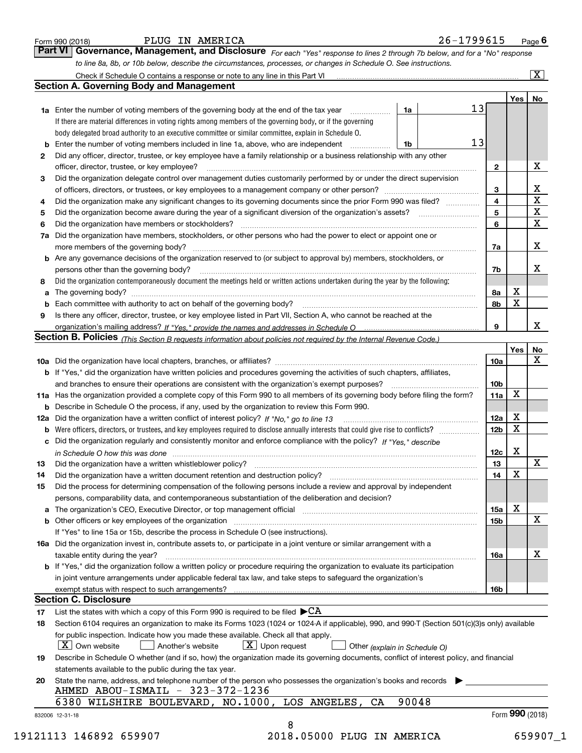|    |                                                                                                                                                                                                                                                                                                                                                                                                                                                                                                             |                 | Yes | No                      |
|----|-------------------------------------------------------------------------------------------------------------------------------------------------------------------------------------------------------------------------------------------------------------------------------------------------------------------------------------------------------------------------------------------------------------------------------------------------------------------------------------------------------------|-----------------|-----|-------------------------|
|    | 13<br>1a Enter the number of voting members of the governing body at the end of the tax year<br>1a<br>.                                                                                                                                                                                                                                                                                                                                                                                                     |                 |     |                         |
|    | If there are material differences in voting rights among members of the governing body, or if the governing                                                                                                                                                                                                                                                                                                                                                                                                 |                 |     |                         |
|    | body delegated broad authority to an executive committee or similar committee, explain in Schedule O.                                                                                                                                                                                                                                                                                                                                                                                                       |                 |     |                         |
| b  | 13<br>Enter the number of voting members included in line 1a, above, who are independent<br>1b                                                                                                                                                                                                                                                                                                                                                                                                              |                 |     |                         |
| 2  | Did any officer, director, trustee, or key employee have a family relationship or a business relationship with any other                                                                                                                                                                                                                                                                                                                                                                                    |                 |     |                         |
|    | officer, director, trustee, or key employee?<br>$\begin{minipage}{0.5\textwidth} \begin{tabular}{ l l l } \hline & \multicolumn{1}{ l l } \hline & \multicolumn{1}{ l } \hline \multicolumn{1}{ l } \hline \multicolumn{1}{ l } \hline \multicolumn{1}{ l } \hline \multicolumn{1}{ l } \hline \multicolumn{1}{ l } \hline \multicolumn{1}{ l } \hline \multicolumn{1}{ l } \hline \multicolumn{1}{ l } \hline \multicolumn{1}{ l } \hline \multicolumn{1}{ l } \hline \multicolumn{1}{ l } \hline \multic$ | $\mathbf{2}$    |     | X                       |
| З  | Did the organization delegate control over management duties customarily performed by or under the direct supervision                                                                                                                                                                                                                                                                                                                                                                                       |                 |     |                         |
|    |                                                                                                                                                                                                                                                                                                                                                                                                                                                                                                             | 3               |     | X                       |
|    |                                                                                                                                                                                                                                                                                                                                                                                                                                                                                                             | 4               |     | $\overline{\mathtt{x}}$ |
| 4  | Did the organization make any significant changes to its governing documents since the prior Form 990 was filed?                                                                                                                                                                                                                                                                                                                                                                                            | 5               |     | $\overline{\mathtt{x}}$ |
| 5  |                                                                                                                                                                                                                                                                                                                                                                                                                                                                                                             |                 |     | $\overline{\mathbf{x}}$ |
| 6  |                                                                                                                                                                                                                                                                                                                                                                                                                                                                                                             | 6               |     |                         |
| 7a | Did the organization have members, stockholders, or other persons who had the power to elect or appoint one or                                                                                                                                                                                                                                                                                                                                                                                              |                 |     |                         |
|    |                                                                                                                                                                                                                                                                                                                                                                                                                                                                                                             | 7a              |     | X                       |
|    | b Are any governance decisions of the organization reserved to (or subject to approval by) members, stockholders, or                                                                                                                                                                                                                                                                                                                                                                                        |                 |     |                         |
|    | persons other than the governing body?                                                                                                                                                                                                                                                                                                                                                                                                                                                                      | 7b              |     | х                       |
| 8  | Did the organization contemporaneously document the meetings held or written actions undertaken during the vear by the following:                                                                                                                                                                                                                                                                                                                                                                           |                 |     |                         |
| a  |                                                                                                                                                                                                                                                                                                                                                                                                                                                                                                             | 8a              | x   |                         |
| b  |                                                                                                                                                                                                                                                                                                                                                                                                                                                                                                             | 8b              | X   |                         |
| 9  | Is there any officer, director, trustee, or key employee listed in Part VII, Section A, who cannot be reached at the                                                                                                                                                                                                                                                                                                                                                                                        |                 |     |                         |
|    |                                                                                                                                                                                                                                                                                                                                                                                                                                                                                                             | 9               |     | x                       |
|    | Section B. Policies (This Section B requests information about policies not required by the Internal Revenue Code.)                                                                                                                                                                                                                                                                                                                                                                                         |                 |     |                         |
|    |                                                                                                                                                                                                                                                                                                                                                                                                                                                                                                             |                 | Yes | No                      |
|    |                                                                                                                                                                                                                                                                                                                                                                                                                                                                                                             | 10a             |     | X                       |
|    | <b>b</b> If "Yes," did the organization have written policies and procedures governing the activities of such chapters, affiliates,                                                                                                                                                                                                                                                                                                                                                                         |                 |     |                         |
|    |                                                                                                                                                                                                                                                                                                                                                                                                                                                                                                             | 10 <sub>b</sub> |     |                         |
|    | 11a Has the organization provided a complete copy of this Form 990 to all members of its governing body before filing the form?                                                                                                                                                                                                                                                                                                                                                                             | 11a             | х   |                         |
|    | <b>b</b> Describe in Schedule O the process, if any, used by the organization to review this Form 990.                                                                                                                                                                                                                                                                                                                                                                                                      |                 |     |                         |
|    |                                                                                                                                                                                                                                                                                                                                                                                                                                                                                                             | 12a             | Х   |                         |
| b  |                                                                                                                                                                                                                                                                                                                                                                                                                                                                                                             | 12 <sub>b</sub> | x   |                         |
| с  | Did the organization regularly and consistently monitor and enforce compliance with the policy? If "Yes." describe                                                                                                                                                                                                                                                                                                                                                                                          |                 |     |                         |
|    | in Schedule O how this was done manufactured and contact the state of the state of the state of the state of the state of the state of the state of the state of the state of the state of the state of the state of the state                                                                                                                                                                                                                                                                              | 12c             | Х   |                         |
| 13 |                                                                                                                                                                                                                                                                                                                                                                                                                                                                                                             | 13              |     | X                       |
| 14 | Did the organization have a written document retention and destruction policy? manufactured and the organization have a written document retention and destruction policy?                                                                                                                                                                                                                                                                                                                                  | 14              | х   |                         |
| 15 | Did the process for determining compensation of the following persons include a review and approval by independent                                                                                                                                                                                                                                                                                                                                                                                          |                 |     |                         |
|    | persons, comparability data, and contemporaneous substantiation of the deliberation and decision?                                                                                                                                                                                                                                                                                                                                                                                                           |                 |     |                         |
|    |                                                                                                                                                                                                                                                                                                                                                                                                                                                                                                             | 15a             | Х   |                         |
|    |                                                                                                                                                                                                                                                                                                                                                                                                                                                                                                             | 15 <sub>b</sub> |     | X                       |
|    | If "Yes" to line 15a or 15b, describe the process in Schedule O (see instructions).                                                                                                                                                                                                                                                                                                                                                                                                                         |                 |     |                         |
|    | 16a Did the organization invest in, contribute assets to, or participate in a joint venture or similar arrangement with a                                                                                                                                                                                                                                                                                                                                                                                   |                 |     |                         |
|    | taxable entity during the year?                                                                                                                                                                                                                                                                                                                                                                                                                                                                             | 16a             |     | х                       |
|    | <b>b</b> If "Yes," did the organization follow a written policy or procedure requiring the organization to evaluate its participation                                                                                                                                                                                                                                                                                                                                                                       |                 |     |                         |
|    |                                                                                                                                                                                                                                                                                                                                                                                                                                                                                                             |                 |     |                         |
|    | in joint venture arrangements under applicable federal tax law, and take steps to safequard the organization's                                                                                                                                                                                                                                                                                                                                                                                              |                 |     |                         |
|    | <b>Section C. Disclosure</b>                                                                                                                                                                                                                                                                                                                                                                                                                                                                                | 16b             |     |                         |
|    |                                                                                                                                                                                                                                                                                                                                                                                                                                                                                                             |                 |     |                         |
| 17 | List the states with which a copy of this Form 990 is required to be filed $\blacktriangleright$ CA                                                                                                                                                                                                                                                                                                                                                                                                         |                 |     |                         |
| 18 | Section 6104 requires an organization to make its Forms 1023 (1024 or 1024 A if applicable), 990, and 990-T (Section 501(c)(3)s only) available                                                                                                                                                                                                                                                                                                                                                             |                 |     |                         |
|    | for public inspection. Indicate how you made these available. Check all that apply.                                                                                                                                                                                                                                                                                                                                                                                                                         |                 |     |                         |
|    | $X$ Upon request<br>$\mid$ $\rm X\mid$ Own website<br>Another's website<br>Other (explain in Schedule O)                                                                                                                                                                                                                                                                                                                                                                                                    |                 |     |                         |
| 19 | Describe in Schedule O whether (and if so, how) the organization made its governing documents, conflict of interest policy, and financial                                                                                                                                                                                                                                                                                                                                                                   |                 |     |                         |
|    | statements available to the public during the tax year.                                                                                                                                                                                                                                                                                                                                                                                                                                                     |                 |     |                         |
| 20 | State the name, address, and telephone number of the person who possesses the organization's books and records                                                                                                                                                                                                                                                                                                                                                                                              |                 |     |                         |
|    | AHMED ABOU-ISMAIL - 323-372-1236                                                                                                                                                                                                                                                                                                                                                                                                                                                                            |                 |     |                         |
|    | 6380 WILSHIRE BOULEVARD, NO.1000, LOS ANGELES, CA<br>90048                                                                                                                                                                                                                                                                                                                                                                                                                                                  |                 |     |                         |

Form 990 (2018) PLUG IN AMERICA<br>**Part VI Governance, Management, and Disclosure** For each "Yes" response to lines 2 through 7b below, and for a "No" response

*For each "Yes" response to lines 2 through 7b below, and for a "No" response*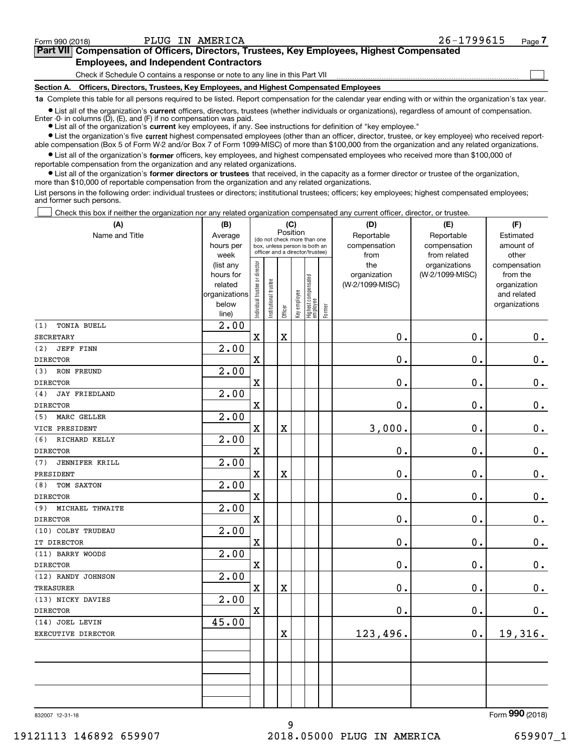$\mathcal{L}^{\text{max}}$ 

## Form 990 (2018) PLUG IN AMERICA 26-1799615 <sub>Page</sub> **7Part VII Compensation of Officers, Directors, Trustees, Key Employees, Highest Compensated Employees, and Independent Contractors**

Check if Schedule O contains a response or note to any line in this Part VII

**Section A. Officers, Directors, Trustees, Key Employees, and Highest Compensated Employees**

**1a**  Complete this table for all persons required to be listed. Report compensation for the calendar year ending with or within the organization's tax year.

**•** List all of the organization's current officers, directors, trustees (whether individuals or organizations), regardless of amount of compensation. Enter -0- in columns  $(D)$ ,  $(E)$ , and  $(F)$  if no compensation was paid.

● List all of the organization's **current** key employees, if any. See instructions for definition of "key employee."

**•** List the organization's five current highest compensated employees (other than an officer, director, trustee, or key employee) who received reportable compensation (Box 5 of Form W-2 and/or Box 7 of Form 1099-MISC) of more than \$100,000 from the organization and any related organizations.

 $\bullet$  List all of the organization's **former** officers, key employees, and highest compensated employees who received more than \$100,000 of reportable compensation from the organization and any related organizations.

**•** List all of the organization's former directors or trustees that received, in the capacity as a former director or trustee of the organization, more than \$10,000 of reportable compensation from the organization and any related organizations.

List persons in the following order: individual trustees or directors; institutional trustees; officers; key employees; highest compensated employees; and former such persons.

Check this box if neither the organization nor any related organization compensated any current officer, director, or trustee.  $\mathcal{L}^{\text{max}}$ 

| (A)                          | (B)                  | (C)                            |                       |                         |              |                                                                  |        | (D)                             | (E)             | (F)                      |
|------------------------------|----------------------|--------------------------------|-----------------------|-------------------------|--------------|------------------------------------------------------------------|--------|---------------------------------|-----------------|--------------------------|
| Name and Title               | Average              |                                |                       | Position                |              | (do not check more than one                                      |        | Reportable                      | Reportable      | Estimated                |
|                              | hours per            |                                |                       |                         |              | box, unless person is both an<br>officer and a director/trustee) |        | compensation                    | compensation    | amount of                |
|                              | week                 |                                |                       |                         |              |                                                                  |        | from                            | from related    | other                    |
|                              | (list any            |                                |                       |                         |              |                                                                  |        | the                             | organizations   | compensation             |
|                              | hours for<br>related |                                |                       |                         |              |                                                                  |        | organization<br>(W-2/1099-MISC) | (W-2/1099-MISC) | from the<br>organization |
|                              | organizations        |                                |                       |                         |              |                                                                  |        |                                 |                 | and related              |
|                              | below                | Individual trustee or director | Institutional trustee |                         | Key employee |                                                                  |        |                                 |                 | organizations            |
|                              | line)                |                                |                       | Officer                 |              | Highest compensated<br> employee                                 | Former |                                 |                 |                          |
| (1)<br>TONIA BUELL           | 2.00                 |                                |                       |                         |              |                                                                  |        |                                 |                 |                          |
| SECRETARY                    |                      | $\mathbf x$                    |                       | $\rm X$                 |              |                                                                  |        | 0.                              | $\mathbf 0$ .   | 0.                       |
| <b>JEFF FINN</b><br>(2)      | 2.00                 |                                |                       |                         |              |                                                                  |        |                                 |                 |                          |
| <b>DIRECTOR</b>              |                      | $\mathbf X$                    |                       |                         |              |                                                                  |        | $0$ .                           | $\mathbf 0$ .   | $0_{.}$                  |
| RON FREUND<br>(3)            | 2.00                 |                                |                       |                         |              |                                                                  |        |                                 |                 |                          |
| <b>DIRECTOR</b>              |                      | $\mathbf x$                    |                       |                         |              |                                                                  |        | 0.                              | 0.              | $0_{.}$                  |
| <b>JAY FRIEDLAND</b><br>(4)  | 2.00                 |                                |                       |                         |              |                                                                  |        |                                 |                 |                          |
| <b>DIRECTOR</b>              |                      | $\mathbf x$                    |                       |                         |              |                                                                  |        | 0.                              | $\mathbf 0$ .   | $\mathbf 0$ .            |
| MARC GELLER<br>(5)           | 2.00                 |                                |                       |                         |              |                                                                  |        |                                 |                 |                          |
| VICE PRESIDENT               |                      | $\mathbf x$                    |                       | $\bar{\mathbf{X}}$      |              |                                                                  |        | 3,000.                          | 0.              | $\mathbf 0$ .            |
| RICHARD KELLY<br>(6)         | 2.00                 |                                |                       |                         |              |                                                                  |        |                                 |                 |                          |
| <b>DIRECTOR</b>              |                      | $\mathbf x$                    |                       |                         |              |                                                                  |        | 0.                              | $\mathbf 0$ .   | $\mathbf 0$ .            |
| <b>JENNIFER KRILL</b><br>(7) | 2.00                 |                                |                       |                         |              |                                                                  |        |                                 |                 |                          |
| PRESIDENT                    |                      | $\mathbf X$                    |                       | $\bar{\mathbf{X}}$      |              |                                                                  |        | 0.                              | 0.              | $0_{.}$                  |
| TOM SAXTON<br>(8)            | 2.00                 |                                |                       |                         |              |                                                                  |        |                                 |                 |                          |
| <b>DIRECTOR</b>              |                      | $\mathbf X$                    |                       |                         |              |                                                                  |        | 0.                              | 0.              | $0_{.}$                  |
| MICHAEL THWAITE<br>(9)       | 2.00                 |                                |                       |                         |              |                                                                  |        |                                 |                 |                          |
| <b>DIRECTOR</b>              |                      | $\mathbf x$                    |                       |                         |              |                                                                  |        | 0.                              | $\mathbf 0$ .   | $0_{.}$                  |
| (10) COLBY TRUDEAU           | 2.00                 |                                |                       |                         |              |                                                                  |        |                                 |                 |                          |
| IT DIRECTOR                  |                      | $\mathbf X$                    |                       |                         |              |                                                                  |        | 0.                              | $\mathbf 0$ .   | $\mathbf 0$ .            |
| (11) BARRY WOODS             | 2.00                 |                                |                       |                         |              |                                                                  |        |                                 |                 |                          |
| <b>DIRECTOR</b>              |                      | $\mathbf x$                    |                       |                         |              |                                                                  |        | 0.                              | $\mathbf 0$ .   | 0.                       |
| (12) RANDY JOHNSON           | 2.00                 |                                |                       |                         |              |                                                                  |        |                                 |                 |                          |
| <b>TREASURER</b>             |                      | $\rm X$                        |                       | $\overline{\textbf{X}}$ |              |                                                                  |        | 0.                              | $\mathbf 0$ .   | $\mathbf 0$ .            |
| (13) NICKY DAVIES            | 2.00                 |                                |                       |                         |              |                                                                  |        |                                 |                 |                          |
| <b>DIRECTOR</b>              |                      | $\mathbf x$                    |                       |                         |              |                                                                  |        | 0.                              | $\mathbf 0$ .   | $\mathbf 0$ .            |
| (14) JOEL LEVIN              | 45.00                |                                |                       |                         |              |                                                                  |        |                                 |                 |                          |
| EXECUTIVE DIRECTOR           |                      |                                |                       | $\overline{\textbf{X}}$ |              |                                                                  |        | 123,496.                        | $\mathbf 0$ .   | 19,316.                  |
|                              |                      |                                |                       |                         |              |                                                                  |        |                                 |                 |                          |
|                              |                      |                                |                       |                         |              |                                                                  |        |                                 |                 |                          |
|                              |                      |                                |                       |                         |              |                                                                  |        |                                 |                 |                          |
|                              |                      |                                |                       |                         |              |                                                                  |        |                                 |                 |                          |
|                              |                      |                                |                       |                         |              |                                                                  |        |                                 |                 |                          |
|                              |                      |                                |                       |                         |              |                                                                  |        |                                 |                 |                          |

9

832007 12-31-18

Form (2018) **990**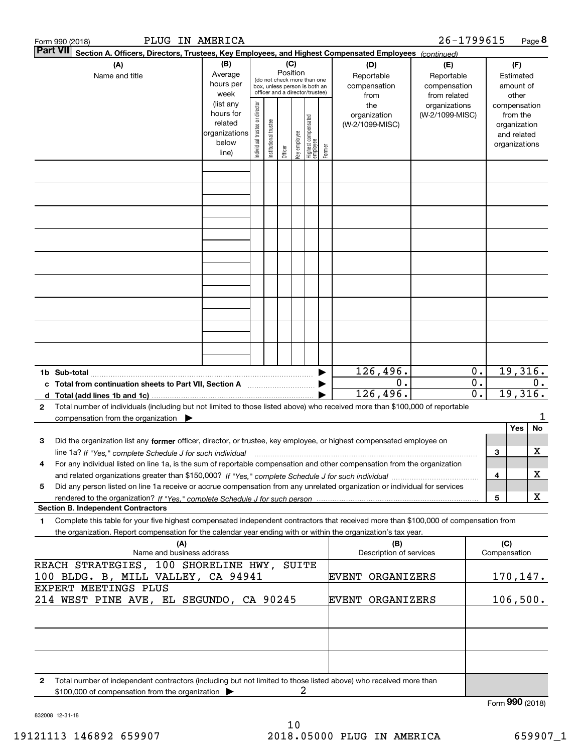|                                                            | Form 990 (2018)       |                                                                        |                                  | PLUG IN AMERICA                                                                                                                                           |                                |                       |         |              |                                 |        |                                                                                                                                                                                                                                                        | 26-1799615                                        |                                                 |                     |                                                          | Page 8 |
|------------------------------------------------------------|-----------------------|------------------------------------------------------------------------|----------------------------------|-----------------------------------------------------------------------------------------------------------------------------------------------------------|--------------------------------|-----------------------|---------|--------------|---------------------------------|--------|--------------------------------------------------------------------------------------------------------------------------------------------------------------------------------------------------------------------------------------------------------|---------------------------------------------------|-------------------------------------------------|---------------------|----------------------------------------------------------|--------|
|                                                            | <b>Part VII</b>       |                                                                        |                                  |                                                                                                                                                           |                                |                       |         |              |                                 |        | Section A. Officers, Directors, Trustees, Key Employees, and Highest Compensated Employees (continued)                                                                                                                                                 |                                                   |                                                 |                     |                                                          |        |
|                                                            | (A)<br>Name and title |                                                                        |                                  | (B)<br>(C)<br>Position<br>Average<br>(do not check more than one<br>hours per<br>box, unless person is both an<br>officer and a director/trustee)<br>week |                                |                       |         |              |                                 |        |                                                                                                                                                                                                                                                        | (E)<br>Reportable<br>compensation<br>from related |                                                 |                     | (F)<br>Estimated<br>amount of<br>other                   |        |
|                                                            |                       |                                                                        |                                  | (list any<br>hours for<br>related<br>organizations<br>below<br>line)                                                                                      | Individual trustee or director | Institutional trustee | Officer | key employee | Highest compensated<br>employee | Former | the<br>organization<br>(W-2/1099-MISC)                                                                                                                                                                                                                 | organizations<br>(W-2/1099-MISC)                  |                                                 | compensation        | from the<br>organization<br>and related<br>organizations |        |
|                                                            |                       |                                                                        |                                  |                                                                                                                                                           |                                |                       |         |              |                                 |        |                                                                                                                                                                                                                                                        |                                                   |                                                 |                     |                                                          |        |
|                                                            |                       |                                                                        |                                  |                                                                                                                                                           |                                |                       |         |              |                                 |        |                                                                                                                                                                                                                                                        |                                                   |                                                 |                     |                                                          |        |
|                                                            |                       |                                                                        |                                  |                                                                                                                                                           |                                |                       |         |              |                                 |        |                                                                                                                                                                                                                                                        |                                                   |                                                 |                     |                                                          |        |
|                                                            |                       |                                                                        |                                  |                                                                                                                                                           |                                |                       |         |              |                                 |        |                                                                                                                                                                                                                                                        |                                                   |                                                 |                     |                                                          |        |
|                                                            |                       |                                                                        |                                  |                                                                                                                                                           |                                |                       |         |              |                                 |        |                                                                                                                                                                                                                                                        |                                                   |                                                 |                     |                                                          |        |
|                                                            |                       |                                                                        |                                  |                                                                                                                                                           |                                |                       |         |              |                                 |        |                                                                                                                                                                                                                                                        |                                                   |                                                 |                     |                                                          |        |
|                                                            |                       |                                                                        |                                  |                                                                                                                                                           |                                |                       |         |              |                                 |        |                                                                                                                                                                                                                                                        |                                                   |                                                 |                     |                                                          |        |
|                                                            |                       |                                                                        |                                  |                                                                                                                                                           |                                |                       |         |              |                                 |        |                                                                                                                                                                                                                                                        |                                                   |                                                 |                     |                                                          |        |
|                                                            |                       |                                                                        |                                  |                                                                                                                                                           |                                |                       |         |              |                                 |        |                                                                                                                                                                                                                                                        |                                                   |                                                 |                     |                                                          |        |
|                                                            |                       |                                                                        |                                  |                                                                                                                                                           |                                |                       |         |              |                                 |        | 126,496.                                                                                                                                                                                                                                               |                                                   | 0.                                              |                     | 19,316.                                                  |        |
|                                                            |                       | c Total from continuation sheets to Part VII, Section A manuscription. |                                  |                                                                                                                                                           |                                |                       |         |              |                                 |        | 0.<br>126,496.                                                                                                                                                                                                                                         |                                                   | $\overline{0}$ .<br>$\overline{\mathfrak{0}}$ . |                     | 19,316.                                                  | $0$ .  |
| $\mathbf{2}$                                               |                       | compensation from the organization $\blacktriangleright$               |                                  |                                                                                                                                                           |                                |                       |         |              |                                 |        | Total number of individuals (including but not limited to those listed above) who received more than \$100,000 of reportable                                                                                                                           |                                                   |                                                 |                     |                                                          |        |
| з                                                          |                       |                                                                        |                                  |                                                                                                                                                           |                                |                       |         |              |                                 |        | Did the organization list any former officer, director, or trustee, key employee, or highest compensated employee on                                                                                                                                   |                                                   |                                                 |                     | Yes                                                      | No     |
|                                                            |                       |                                                                        |                                  |                                                                                                                                                           |                                |                       |         |              |                                 |        |                                                                                                                                                                                                                                                        |                                                   |                                                 | 3                   |                                                          | х      |
| 4                                                          |                       |                                                                        |                                  |                                                                                                                                                           |                                |                       |         |              |                                 |        | For any individual listed on line 1a, is the sum of reportable compensation and other compensation from the organization                                                                                                                               |                                                   |                                                 | 4                   |                                                          | х      |
| 5                                                          |                       |                                                                        |                                  |                                                                                                                                                           |                                |                       |         |              |                                 |        | Did any person listed on line 1a receive or accrue compensation from any unrelated organization or individual for services                                                                                                                             |                                                   |                                                 |                     |                                                          |        |
|                                                            |                       | <b>Section B. Independent Contractors</b>                              |                                  |                                                                                                                                                           |                                |                       |         |              |                                 |        |                                                                                                                                                                                                                                                        |                                                   |                                                 | 5                   |                                                          | X      |
| 1                                                          |                       |                                                                        |                                  |                                                                                                                                                           |                                |                       |         |              |                                 |        | Complete this table for your five highest compensated independent contractors that received more than \$100,000 of compensation from<br>the organization. Report compensation for the calendar year ending with or within the organization's tax year. |                                                   |                                                 |                     |                                                          |        |
|                                                            |                       |                                                                        | (A)<br>Name and business address |                                                                                                                                                           |                                |                       |         |              |                                 |        | (B)<br>Description of services                                                                                                                                                                                                                         |                                                   |                                                 | (C)<br>Compensation |                                                          |        |
|                                                            |                       | REACH STRATEGIES, 100 SHORELINE HWY, SUITE                             |                                  |                                                                                                                                                           |                                |                       |         |              |                                 |        |                                                                                                                                                                                                                                                        |                                                   |                                                 |                     |                                                          |        |
| 100 BLDG. B, MILL VALLEY, CA 94941<br>EXPERT MEETINGS PLUS |                       |                                                                        |                                  |                                                                                                                                                           |                                |                       |         |              |                                 |        | EVENT<br>ORGANIZERS                                                                                                                                                                                                                                    |                                                   |                                                 | 170, 147.           |                                                          |        |
|                                                            |                       | 214 WEST PINE AVE, EL SEGUNDO, CA 90245                                |                                  |                                                                                                                                                           |                                |                       |         |              |                                 |        | <b>EVENT ORGANIZERS</b>                                                                                                                                                                                                                                |                                                   |                                                 | 106,500.            |                                                          |        |
|                                                            |                       |                                                                        |                                  |                                                                                                                                                           |                                |                       |         |              |                                 |        |                                                                                                                                                                                                                                                        |                                                   |                                                 |                     |                                                          |        |
|                                                            |                       |                                                                        |                                  |                                                                                                                                                           |                                |                       |         |              |                                 |        |                                                                                                                                                                                                                                                        |                                                   |                                                 |                     |                                                          |        |
| 2                                                          |                       | \$100,000 of compensation from the organization                        |                                  |                                                                                                                                                           |                                |                       |         | 2            |                                 |        | Total number of independent contractors (including but not limited to those listed above) who received more than                                                                                                                                       |                                                   |                                                 |                     |                                                          |        |
|                                                            |                       |                                                                        |                                  |                                                                                                                                                           |                                |                       |         |              |                                 |        |                                                                                                                                                                                                                                                        |                                                   |                                                 | Form 990 (2018)     |                                                          |        |

832008 12-31-18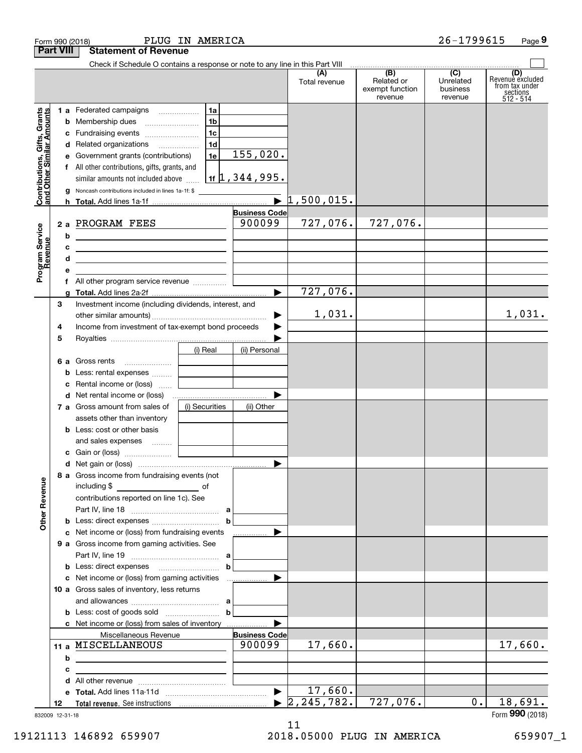| <b>Part VIII</b><br><b>Statement of Revenue</b><br>Check if Schedule O contains a response or note to any line in this Part VIII<br>(B)<br>$\overline{C}$<br>(A)<br>Related or<br>Unrelated<br>Total revenue<br>from tax under<br>exempt function<br>business<br>sections<br>512 - 514<br>revenue<br>revenue<br>Contributions, Gifts, Grants<br>and Other Similar Amounts<br>1b<br><b>b</b> Membership dues<br>1c<br>c Fundraising events<br>1 <sub>d</sub><br>d Related organizations<br>155,020.<br>1e<br>e Government grants (contributions)<br>f All other contributions, gifts, grants, and<br>$1$ <sub>1f</sub> $1, 344, 995$ .<br>similar amounts not included above<br>g Noncash contributions included in lines 1a-1f: \$<br>$\overline{\blacktriangleright}$<br>$1,500,015$ .<br><b>Business Code</b><br>900099<br>727,076.<br>727,076.<br>2 a PROGRAM FEES<br>Program Service<br>Revenue<br>b<br>the control of the control of the control of the control of the control of the control of<br>c<br><u> 1989 - Johann John Stein, mars an de Francisco (f. 1989)</u><br>d<br>е<br>727,076.<br>$\blacktriangleright$<br>Investment income (including dividends, interest, and<br>З<br>1,031.<br>▶<br>Income from investment of tax-exempt bond proceeds<br>4<br>5<br>(i) Real<br>(ii) Personal<br>6 a Gross rents<br>Less: rental expenses<br>b<br>c Rental income or (loss)<br>(i) Securities<br>7 a Gross amount from sales of<br>(ii) Other<br>assets other than inventory<br><b>b</b> Less: cost or other basis<br>and sales expenses  [ <b>Lessenses</b><br>8 a Gross income from fundraising events (not<br><b>Other Revenue</b><br>including \$<br><u>and the state of</u> the state of<br>contributions reported on line 1c). See<br>c Net income or (loss) from fundraising events<br>9 a Gross income from gaming activities. See<br>10 a Gross sales of inventory, less returns<br><b>b</b> Less: cost of goods sold $\begin{bmatrix} b \end{bmatrix}$<br>c Net income or (loss) from sales of inventory<br>Miscellaneous Revenue<br><b>Business Code</b><br>11 a MISCELLANEOUS<br>900099<br>17,660.<br>b<br><u> 1980 - Jan James, politik eta politik eta politik eta politik eta politik eta politik eta politik eta politik</u><br>c<br>d<br>17,660.<br>$\blacktriangleright$<br>2, 245, 782.<br>727,076.<br>0.<br>12 |  | Form 990 (2018) | PLUG IN AMERICA |  | 26-1799615 | Page 9                     |
|----------------------------------------------------------------------------------------------------------------------------------------------------------------------------------------------------------------------------------------------------------------------------------------------------------------------------------------------------------------------------------------------------------------------------------------------------------------------------------------------------------------------------------------------------------------------------------------------------------------------------------------------------------------------------------------------------------------------------------------------------------------------------------------------------------------------------------------------------------------------------------------------------------------------------------------------------------------------------------------------------------------------------------------------------------------------------------------------------------------------------------------------------------------------------------------------------------------------------------------------------------------------------------------------------------------------------------------------------------------------------------------------------------------------------------------------------------------------------------------------------------------------------------------------------------------------------------------------------------------------------------------------------------------------------------------------------------------------------------------------------------------------------------------------------------------------------------------------------------------------------------------------------------------------------------------------------------------------------------------------------------------------------------------------------------------------------------------------------------------------------------------------------------------------------------------------------------------------------------------------------------------------------------------------------------------------------------------------|--|-----------------|-----------------|--|------------|----------------------------|
|                                                                                                                                                                                                                                                                                                                                                                                                                                                                                                                                                                                                                                                                                                                                                                                                                                                                                                                                                                                                                                                                                                                                                                                                                                                                                                                                                                                                                                                                                                                                                                                                                                                                                                                                                                                                                                                                                                                                                                                                                                                                                                                                                                                                                                                                                                                                              |  |                 |                 |  |            |                            |
|                                                                                                                                                                                                                                                                                                                                                                                                                                                                                                                                                                                                                                                                                                                                                                                                                                                                                                                                                                                                                                                                                                                                                                                                                                                                                                                                                                                                                                                                                                                                                                                                                                                                                                                                                                                                                                                                                                                                                                                                                                                                                                                                                                                                                                                                                                                                              |  |                 |                 |  |            | (D)<br>Revenue excluded    |
|                                                                                                                                                                                                                                                                                                                                                                                                                                                                                                                                                                                                                                                                                                                                                                                                                                                                                                                                                                                                                                                                                                                                                                                                                                                                                                                                                                                                                                                                                                                                                                                                                                                                                                                                                                                                                                                                                                                                                                                                                                                                                                                                                                                                                                                                                                                                              |  |                 |                 |  |            |                            |
|                                                                                                                                                                                                                                                                                                                                                                                                                                                                                                                                                                                                                                                                                                                                                                                                                                                                                                                                                                                                                                                                                                                                                                                                                                                                                                                                                                                                                                                                                                                                                                                                                                                                                                                                                                                                                                                                                                                                                                                                                                                                                                                                                                                                                                                                                                                                              |  |                 |                 |  |            |                            |
|                                                                                                                                                                                                                                                                                                                                                                                                                                                                                                                                                                                                                                                                                                                                                                                                                                                                                                                                                                                                                                                                                                                                                                                                                                                                                                                                                                                                                                                                                                                                                                                                                                                                                                                                                                                                                                                                                                                                                                                                                                                                                                                                                                                                                                                                                                                                              |  |                 |                 |  |            |                            |
|                                                                                                                                                                                                                                                                                                                                                                                                                                                                                                                                                                                                                                                                                                                                                                                                                                                                                                                                                                                                                                                                                                                                                                                                                                                                                                                                                                                                                                                                                                                                                                                                                                                                                                                                                                                                                                                                                                                                                                                                                                                                                                                                                                                                                                                                                                                                              |  |                 |                 |  |            |                            |
|                                                                                                                                                                                                                                                                                                                                                                                                                                                                                                                                                                                                                                                                                                                                                                                                                                                                                                                                                                                                                                                                                                                                                                                                                                                                                                                                                                                                                                                                                                                                                                                                                                                                                                                                                                                                                                                                                                                                                                                                                                                                                                                                                                                                                                                                                                                                              |  |                 |                 |  |            |                            |
|                                                                                                                                                                                                                                                                                                                                                                                                                                                                                                                                                                                                                                                                                                                                                                                                                                                                                                                                                                                                                                                                                                                                                                                                                                                                                                                                                                                                                                                                                                                                                                                                                                                                                                                                                                                                                                                                                                                                                                                                                                                                                                                                                                                                                                                                                                                                              |  |                 |                 |  |            | 1,031.                     |
|                                                                                                                                                                                                                                                                                                                                                                                                                                                                                                                                                                                                                                                                                                                                                                                                                                                                                                                                                                                                                                                                                                                                                                                                                                                                                                                                                                                                                                                                                                                                                                                                                                                                                                                                                                                                                                                                                                                                                                                                                                                                                                                                                                                                                                                                                                                                              |  |                 |                 |  |            |                            |
|                                                                                                                                                                                                                                                                                                                                                                                                                                                                                                                                                                                                                                                                                                                                                                                                                                                                                                                                                                                                                                                                                                                                                                                                                                                                                                                                                                                                                                                                                                                                                                                                                                                                                                                                                                                                                                                                                                                                                                                                                                                                                                                                                                                                                                                                                                                                              |  |                 |                 |  |            |                            |
|                                                                                                                                                                                                                                                                                                                                                                                                                                                                                                                                                                                                                                                                                                                                                                                                                                                                                                                                                                                                                                                                                                                                                                                                                                                                                                                                                                                                                                                                                                                                                                                                                                                                                                                                                                                                                                                                                                                                                                                                                                                                                                                                                                                                                                                                                                                                              |  |                 |                 |  |            |                            |
|                                                                                                                                                                                                                                                                                                                                                                                                                                                                                                                                                                                                                                                                                                                                                                                                                                                                                                                                                                                                                                                                                                                                                                                                                                                                                                                                                                                                                                                                                                                                                                                                                                                                                                                                                                                                                                                                                                                                                                                                                                                                                                                                                                                                                                                                                                                                              |  |                 |                 |  |            |                            |
|                                                                                                                                                                                                                                                                                                                                                                                                                                                                                                                                                                                                                                                                                                                                                                                                                                                                                                                                                                                                                                                                                                                                                                                                                                                                                                                                                                                                                                                                                                                                                                                                                                                                                                                                                                                                                                                                                                                                                                                                                                                                                                                                                                                                                                                                                                                                              |  |                 |                 |  |            |                            |
|                                                                                                                                                                                                                                                                                                                                                                                                                                                                                                                                                                                                                                                                                                                                                                                                                                                                                                                                                                                                                                                                                                                                                                                                                                                                                                                                                                                                                                                                                                                                                                                                                                                                                                                                                                                                                                                                                                                                                                                                                                                                                                                                                                                                                                                                                                                                              |  |                 |                 |  |            |                            |
|                                                                                                                                                                                                                                                                                                                                                                                                                                                                                                                                                                                                                                                                                                                                                                                                                                                                                                                                                                                                                                                                                                                                                                                                                                                                                                                                                                                                                                                                                                                                                                                                                                                                                                                                                                                                                                                                                                                                                                                                                                                                                                                                                                                                                                                                                                                                              |  |                 |                 |  |            |                            |
|                                                                                                                                                                                                                                                                                                                                                                                                                                                                                                                                                                                                                                                                                                                                                                                                                                                                                                                                                                                                                                                                                                                                                                                                                                                                                                                                                                                                                                                                                                                                                                                                                                                                                                                                                                                                                                                                                                                                                                                                                                                                                                                                                                                                                                                                                                                                              |  |                 |                 |  |            |                            |
|                                                                                                                                                                                                                                                                                                                                                                                                                                                                                                                                                                                                                                                                                                                                                                                                                                                                                                                                                                                                                                                                                                                                                                                                                                                                                                                                                                                                                                                                                                                                                                                                                                                                                                                                                                                                                                                                                                                                                                                                                                                                                                                                                                                                                                                                                                                                              |  |                 |                 |  |            |                            |
|                                                                                                                                                                                                                                                                                                                                                                                                                                                                                                                                                                                                                                                                                                                                                                                                                                                                                                                                                                                                                                                                                                                                                                                                                                                                                                                                                                                                                                                                                                                                                                                                                                                                                                                                                                                                                                                                                                                                                                                                                                                                                                                                                                                                                                                                                                                                              |  |                 |                 |  |            |                            |
|                                                                                                                                                                                                                                                                                                                                                                                                                                                                                                                                                                                                                                                                                                                                                                                                                                                                                                                                                                                                                                                                                                                                                                                                                                                                                                                                                                                                                                                                                                                                                                                                                                                                                                                                                                                                                                                                                                                                                                                                                                                                                                                                                                                                                                                                                                                                              |  |                 |                 |  |            |                            |
|                                                                                                                                                                                                                                                                                                                                                                                                                                                                                                                                                                                                                                                                                                                                                                                                                                                                                                                                                                                                                                                                                                                                                                                                                                                                                                                                                                                                                                                                                                                                                                                                                                                                                                                                                                                                                                                                                                                                                                                                                                                                                                                                                                                                                                                                                                                                              |  |                 |                 |  |            |                            |
|                                                                                                                                                                                                                                                                                                                                                                                                                                                                                                                                                                                                                                                                                                                                                                                                                                                                                                                                                                                                                                                                                                                                                                                                                                                                                                                                                                                                                                                                                                                                                                                                                                                                                                                                                                                                                                                                                                                                                                                                                                                                                                                                                                                                                                                                                                                                              |  |                 |                 |  |            | 17,660.                    |
|                                                                                                                                                                                                                                                                                                                                                                                                                                                                                                                                                                                                                                                                                                                                                                                                                                                                                                                                                                                                                                                                                                                                                                                                                                                                                                                                                                                                                                                                                                                                                                                                                                                                                                                                                                                                                                                                                                                                                                                                                                                                                                                                                                                                                                                                                                                                              |  |                 |                 |  |            |                            |
|                                                                                                                                                                                                                                                                                                                                                                                                                                                                                                                                                                                                                                                                                                                                                                                                                                                                                                                                                                                                                                                                                                                                                                                                                                                                                                                                                                                                                                                                                                                                                                                                                                                                                                                                                                                                                                                                                                                                                                                                                                                                                                                                                                                                                                                                                                                                              |  |                 |                 |  |            |                            |
|                                                                                                                                                                                                                                                                                                                                                                                                                                                                                                                                                                                                                                                                                                                                                                                                                                                                                                                                                                                                                                                                                                                                                                                                                                                                                                                                                                                                                                                                                                                                                                                                                                                                                                                                                                                                                                                                                                                                                                                                                                                                                                                                                                                                                                                                                                                                              |  |                 |                 |  |            |                            |
|                                                                                                                                                                                                                                                                                                                                                                                                                                                                                                                                                                                                                                                                                                                                                                                                                                                                                                                                                                                                                                                                                                                                                                                                                                                                                                                                                                                                                                                                                                                                                                                                                                                                                                                                                                                                                                                                                                                                                                                                                                                                                                                                                                                                                                                                                                                                              |  |                 |                 |  |            | 18,691.<br>Form 990 (2018) |

832009 12-31-18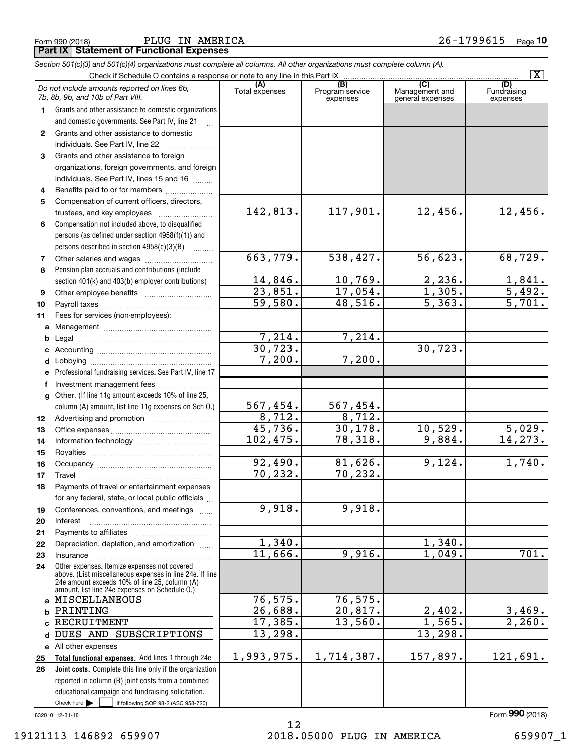Form 990 (2018) PLUG IN AMERICA 2 6-1799615 <sub>Page</sub> **Part IX Statement of Functional Expenses**

|              | Section 501(c)(3) and 501(c)(4) organizations must complete all columns. All other organizations must complete column (A).                                                                                  |                           |                                    |                                           |                                |
|--------------|-------------------------------------------------------------------------------------------------------------------------------------------------------------------------------------------------------------|---------------------------|------------------------------------|-------------------------------------------|--------------------------------|
|              | Check if Schedule O contains a response or note to any line in this Part IX                                                                                                                                 |                           | $\overline{\mathbf{X}}$            |                                           |                                |
|              | Do not include amounts reported on lines 6b,<br>7b, 8b, 9b, and 10b of Part VIII.                                                                                                                           | (A)<br>Total expenses     | (B)<br>Program service<br>expenses | (C)<br>Management and<br>general expenses | (D)<br>Fundraising<br>expenses |
| 1            | Grants and other assistance to domestic organizations                                                                                                                                                       |                           |                                    |                                           |                                |
|              | and domestic governments. See Part IV, line 21                                                                                                                                                              |                           |                                    |                                           |                                |
| $\mathbf{2}$ | Grants and other assistance to domestic                                                                                                                                                                     |                           |                                    |                                           |                                |
|              | individuals. See Part IV, line 22                                                                                                                                                                           |                           |                                    |                                           |                                |
| 3            | Grants and other assistance to foreign                                                                                                                                                                      |                           |                                    |                                           |                                |
|              | organizations, foreign governments, and foreign                                                                                                                                                             |                           |                                    |                                           |                                |
|              | individuals. See Part IV, lines 15 and 16                                                                                                                                                                   |                           |                                    |                                           |                                |
| 4            | Benefits paid to or for members                                                                                                                                                                             |                           |                                    |                                           |                                |
| 5            | Compensation of current officers, directors,                                                                                                                                                                |                           |                                    |                                           |                                |
|              | trustees, and key employees                                                                                                                                                                                 | 142,813.                  | 117,901.                           | 12,456.                                   | 12,456.                        |
| 6            | Compensation not included above, to disqualified                                                                                                                                                            |                           |                                    |                                           |                                |
|              | persons (as defined under section 4958(f)(1)) and                                                                                                                                                           |                           |                                    |                                           |                                |
|              | persons described in section 4958(c)(3)(B)                                                                                                                                                                  |                           |                                    |                                           |                                |
| 7            |                                                                                                                                                                                                             | 663,779.                  | 538, 427.                          | 56,623.                                   | 68,729.                        |
| 8            | Pension plan accruals and contributions (include                                                                                                                                                            |                           |                                    |                                           |                                |
|              | section 401(k) and 403(b) employer contributions)                                                                                                                                                           | $\frac{14,846}{23,851}$ . | $\frac{10,769.}{17,054.}$          | $\frac{2,236}{1,305}$ .                   | $\frac{1,841}{5,492}$ .        |
| 9            |                                                                                                                                                                                                             |                           |                                    |                                           |                                |
| 10           |                                                                                                                                                                                                             | 59,580.                   | 48,516.                            | 5,363.                                    | $\overline{5,701}$ .           |
| 11           | Fees for services (non-employees):                                                                                                                                                                          |                           |                                    |                                           |                                |
| a            |                                                                                                                                                                                                             |                           |                                    |                                           |                                |
| b            |                                                                                                                                                                                                             | 7,214.                    | 7,214.                             |                                           |                                |
| c            |                                                                                                                                                                                                             | 30, 723.                  |                                    | 30, 723.                                  |                                |
| d            |                                                                                                                                                                                                             | 7,200.                    | 7,200.                             |                                           |                                |
| e            | Professional fundraising services. See Part IV, line 17                                                                                                                                                     |                           |                                    |                                           |                                |
| f            | Investment management fees                                                                                                                                                                                  |                           |                                    |                                           |                                |
| g            | Other. (If line 11g amount exceeds 10% of line 25,                                                                                                                                                          |                           |                                    |                                           |                                |
|              | column (A) amount, list line 11g expenses on Sch O.)                                                                                                                                                        | $\frac{567,454.}{8,712.}$ | 567,454.<br>8,712.                 |                                           |                                |
| 12           |                                                                                                                                                                                                             | 45,736.                   | 30, 178.                           | 10,529.                                   | 5,029.                         |
| 13           |                                                                                                                                                                                                             | 102,475.                  | 78,318.                            | 9,884.                                    | 14, 273.                       |
| 14           |                                                                                                                                                                                                             |                           |                                    |                                           |                                |
| 15           |                                                                                                                                                                                                             | 92,490.                   | 81,626.                            | 9,124.                                    | 1,740.                         |
| 16<br>17     |                                                                                                                                                                                                             | 70, 232.                  | 70, 232.                           |                                           |                                |
|              | Payments of travel or entertainment expenses                                                                                                                                                                |                           |                                    |                                           |                                |
| 18           | for any federal, state, or local public officials                                                                                                                                                           |                           |                                    |                                           |                                |
| 19           | Conferences, conventions, and meetings                                                                                                                                                                      | 9,918.                    | 9,918.                             |                                           |                                |
| 20           | Interest                                                                                                                                                                                                    |                           |                                    |                                           |                                |
| 21           |                                                                                                                                                                                                             |                           |                                    |                                           |                                |
| 22           | Depreciation, depletion, and amortization                                                                                                                                                                   | 1,340.                    |                                    | 1,340.                                    |                                |
| 23           | Insurance                                                                                                                                                                                                   | 11,666.                   | 9,916.                             | 1,049.                                    | 701.                           |
| 24           | Other expenses. Itemize expenses not covered<br>above. (List miscellaneous expenses in line 24e. If line<br>24e amount exceeds 10% of line 25, column (A)<br>amount, list line 24e expenses on Schedule O.) |                           |                                    |                                           |                                |
|              | a MISCELLANEOUS                                                                                                                                                                                             | 76,575.                   | 76, 575.                           |                                           |                                |
| b            | PRINTING                                                                                                                                                                                                    | 26,688.                   | $\overline{20,817.}$               | $\overline{2,402}$ .                      | 3,469.                         |
| C.           | RECRUITMENT                                                                                                                                                                                                 | 17,385.                   | 13,560.                            | 1,565.                                    | 2,260.                         |
| d            | DUES AND SUBSCRIPTIONS                                                                                                                                                                                      | 13,298.                   |                                    | 13,298.                                   |                                |
|              | e All other expenses                                                                                                                                                                                        |                           |                                    |                                           |                                |
| 25           | Total functional expenses. Add lines 1 through 24e                                                                                                                                                          | 1,993,975.                | 1,714,387.                         | 157,897.                                  | 121,691.                       |
| 26           | Joint costs. Complete this line only if the organization                                                                                                                                                    |                           |                                    |                                           |                                |
|              | reported in column (B) joint costs from a combined                                                                                                                                                          |                           |                                    |                                           |                                |
|              | educational campaign and fundraising solicitation.                                                                                                                                                          |                           |                                    |                                           |                                |
|              | Check here $\blacktriangleright$<br>if following SOP 98-2 (ASC 958-720)                                                                                                                                     |                           |                                    |                                           |                                |

832010 12-31-18

12 19121113 146892 659907 2018.05000 PLUG IN AMERICA 659907\_1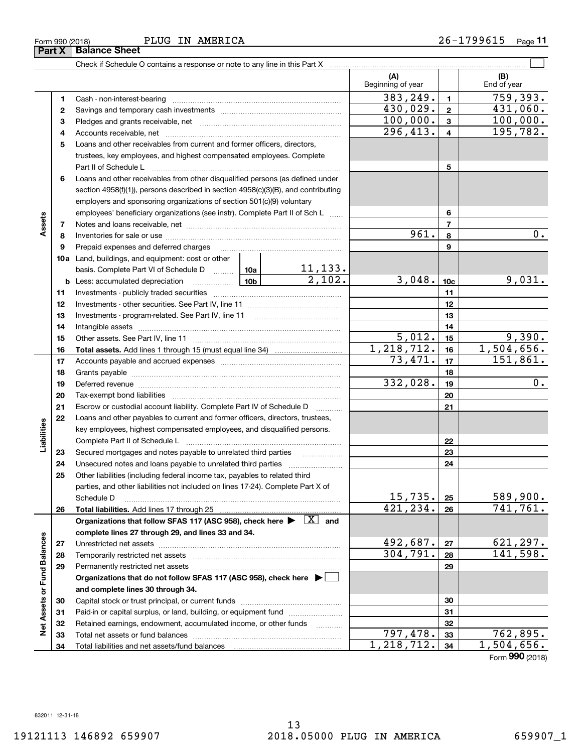**3334**

**Net Assets or Fund Balances**

**Net Assets or Fund Balances** 

### Form 990 (2018) PLUG IN AMERICA 2 6-1799615 <sub>Page</sub> 11 PLUG IN AMERICA

Check if Schedule O contains a response or note to any line in this Part X

Total net assets or fund balances ~~~~~~~~~~~~~~~~~~~~~~

Total liabilities and net assets/fund balances

**123** Pledges and grants receivable, net  $\ldots$  **multimes contained and grants receivable**, net **multimes contained and grants receivable**, net **multimes contained and grants receivable 45**Loans and other receivables from current and former officers, directors, **678910a**Land, buildings, and equipment: cost or other **1112131415161718192021222324252627282930313212345678910c11121314151617181920212223242526b** Less: accumulated depreciation \_\_\_\_\_\_\_\_\_\_\_\_\_\_\_ Lub basis. Complete Part VI of Schedule D will aller **Total assets.**  Add lines 1 through 15 (must equal line 34) **Total liabilities.**  Add lines 17 through 25 Organizations that follow SFAS 117 (ASC 958), check here  $\blacktriangleright$   $\boxed{\text{X}}$  and **complete lines 27 through 29, and lines 33 and 34. 272829Organizations that do not follow SFAS 117 (ASC 958), check here** | **and complete lines 30 through 34. 303132**Beginning of year | | End of year Cash - non-interest-bearing ~~~~~~~~~~~~~~~~~~~~~~~~~ Savings and temporary cash investments ~~~~~~~~~~~~~~~~~~Accounts receivable, net ~~~~~~~~~~~~~~~~~~~~~~~~~~ trustees, key employees, and highest compensated employees. Complete Part II of Schedule L ~~~~~~~~~~~~~~~~~~~~~~~~~~~~ Loans and other receivables from other disqualified persons (as defined under section 4958(f)(1)), persons described in section 4958(c)(3)(B), and contributing employers and sponsoring organizations of section 501(c)(9) voluntary employees' beneficiary organizations (see instr). Complete Part II of Sch L ...... Notes and loans receivable, net ~~~~~~~~~~~~~~~~~~~~~~~ Inventories for sale or use ~~~~~~~~~~~~~~~~~~~~~~~~~~ Prepaid expenses and deferred charges Investments - publicly traded securities ~~~~~~~~~~~~~~~~~~~ Investments - other securities. See Part IV, line 11 ~~~~~~~~~~~~~~Investments - program-related. See Part IV, line 11 Intangible assets …………………………………………………………………………………… Other assets. See Part IV, line 11 ~~~~~~~~~~~~~~~~~~~~~~ Accounts payable and accrued expenses ~~~~~~~~~~~~~~~~~~Grants payable ~~~~~~~~~~~~~~~~~~~~~~~~~~~~~~~ Deferred revenue et al. and the state of the state of the state of the state of the state of the state of the state of the state of the state of the state of the state of the state of the state of the state of the state of Tax-exempt bond liabilities …………………………………………………………… Escrow or custodial account liability. Complete Part IV of Schedule D Loans and other payables to current and former officers, directors, trustees, key employees, highest compensated employees, and disqualified persons. Complete Part II of Schedule L <sub>…………………………………………………………</sub> Secured mortgages and notes payable to unrelated third parties Unsecured notes and loans payable to unrelated third parties ~~~~~~~~~~~~~~~~~~~~ Other liabilities (including federal income tax, payables to related third parties, and other liabilities not included on lines 17-24). Complete Part X of Schedule D ~~~~~~~~~~~~~~~~~~~~~~~~~~~~~~~~ Unrestricted net assets ~~~~~~~~~~~~~~~~~~~~~~~~~~~ Temporarily restricted net assets ~~~~~~~~~~~~~~~~~~~~~~ Permanently restricted net assets …………………………………………………… Capital stock or trust principal, or current funds ~~~~~~~~~~~~~~~ Paid-in or capital surplus, or land, building, or equipment fund will concurred. Retained earnings, endowment, accumulated income, or other funds www.com  $383, 249. \mid 1 \mid 759, 393.$  $296,413. | 4 | 195,782.$  $100,000.$   $3$  100,000. 961. 8 0. 11,133.  $2,102.$   $3,048.$   $10c$  9,031.  $5,012.$   $15$  9,390.  $1,218,712.$  | 16 | 1,504,656.  $430,029$ .  $2$   $431,060$ . 73,471. 151,861.  $332,028.$  19  $0.$  $15,735.$   $25$  589,900. 421,234. 741,761.  $492,687. |z_7|$  621,297.  $304,791. |28 | 141,598.$ 

 $\mathcal{L}^{\text{max}}$ 

**(A) (B)**

Form (2018) **990**

**3334**

797,478. 762,895.  $1,218,712.$   $34$  | 1,504,656.

| Form 990 (2018)        |  |  |
|------------------------|--|--|
| Part X   Balance Sheet |  |  |

**Assets**

**Liabilities**

Liabilities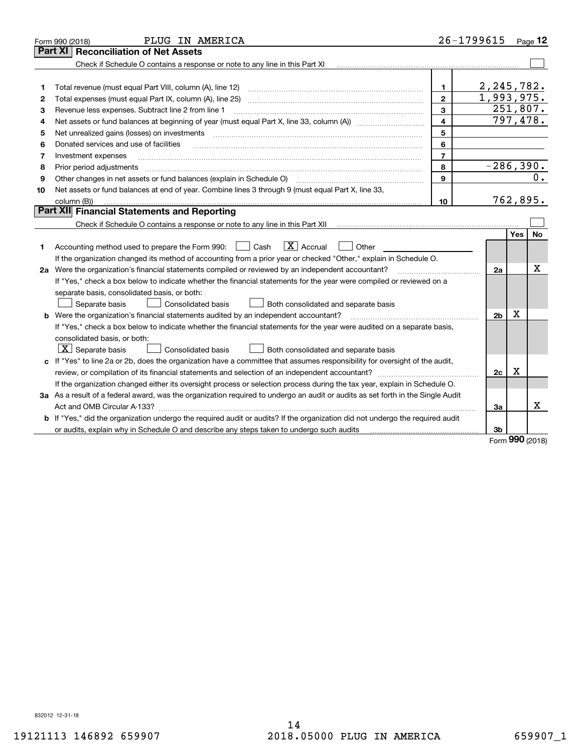|    | PLUG IN AMERICA<br>Form 990 (2018)                                                                                              |                         | 26-1799615     |     | Page $12$ |
|----|---------------------------------------------------------------------------------------------------------------------------------|-------------------------|----------------|-----|-----------|
|    | <b>Reconciliation of Net Assets</b><br>Part XI                                                                                  |                         |                |     |           |
|    | Check if Schedule O contains a response or note to any line in this Part XI                                                     |                         |                |     |           |
|    |                                                                                                                                 |                         |                |     |           |
| 1  | Total revenue (must equal Part VIII, column (A), line 12)                                                                       | 1.                      | 2, 245, 782.   |     |           |
| 2  | Total expenses (must equal Part IX, column (A), line 25)                                                                        | $\overline{2}$          | 1,993,975.     |     |           |
| 3  | Revenue less expenses. Subtract line 2 from line 1                                                                              | 3                       | 251,807.       |     |           |
| 4  |                                                                                                                                 | $\overline{\mathbf{4}}$ | 797,478.       |     |           |
| 5  | Net unrealized gains (losses) on investments                                                                                    | 5                       |                |     |           |
| 6  | Donated services and use of facilities                                                                                          | 6                       |                |     |           |
| 7  | Investment expenses                                                                                                             | $\overline{7}$          |                |     |           |
| 8  | Prior period adjustments                                                                                                        | 8                       | $-286,390.$    |     |           |
| 9  |                                                                                                                                 | $\mathbf{9}$            |                |     | 0.        |
| 10 | Net assets or fund balances at end of year. Combine lines 3 through 9 (must equal Part X, line 33,                              |                         |                |     |           |
|    | column (B))                                                                                                                     | 10                      | 762,895.       |     |           |
|    | Part XII Financial Statements and Reporting                                                                                     |                         |                |     |           |
|    |                                                                                                                                 |                         |                |     |           |
|    |                                                                                                                                 |                         |                | Yes | No        |
| 1  | $\boxed{\mathbf{X}}$ Accrual<br>Accounting method used to prepare the Form 990: <u>II</u> Cash<br>Other                         |                         |                |     |           |
|    | If the organization changed its method of accounting from a prior year or checked "Other," explain in Schedule O.               |                         |                |     |           |
|    | 2a Were the organization's financial statements compiled or reviewed by an independent accountant?                              |                         | 2a             |     | x         |
|    | If "Yes," check a box below to indicate whether the financial statements for the year were compiled or reviewed on a            |                         |                |     |           |
|    | separate basis, consolidated basis, or both:                                                                                    |                         |                |     |           |
|    | Separate basis<br><b>Consolidated basis</b><br>Both consolidated and separate basis                                             |                         |                |     |           |
|    | <b>b</b> Were the organization's financial statements audited by an independent accountant?                                     |                         | 2 <sub>b</sub> | X   |           |
|    | If "Yes," check a box below to indicate whether the financial statements for the year were audited on a separate basis,         |                         |                |     |           |
|    | consolidated basis, or both:                                                                                                    |                         |                |     |           |
|    | $X$ Separate basis<br><b>Consolidated basis</b><br>Both consolidated and separate basis                                         |                         |                |     |           |
|    | c If "Yes" to line 2a or 2b, does the organization have a committee that assumes responsibility for oversight of the audit,     |                         |                |     |           |
|    | review, or compilation of its financial statements and selection of an independent accountant?                                  |                         | 2c             | x   |           |
|    | If the organization changed either its oversight process or selection process during the tax year, explain in Schedule O.       |                         |                |     |           |
|    | 3a As a result of a federal award, was the organization required to undergo an audit or audits as set forth in the Single Audit |                         |                |     |           |
|    |                                                                                                                                 |                         | 3a             |     | х         |
|    | b If "Yes," did the organization undergo the required audit or audits? If the organization did not undergo the required audit   |                         |                |     |           |
|    | or audits, explain why in Schedule O and describe any steps taken to undergo such audits                                        |                         | 3b             | nnn |           |

Form (2018) **990**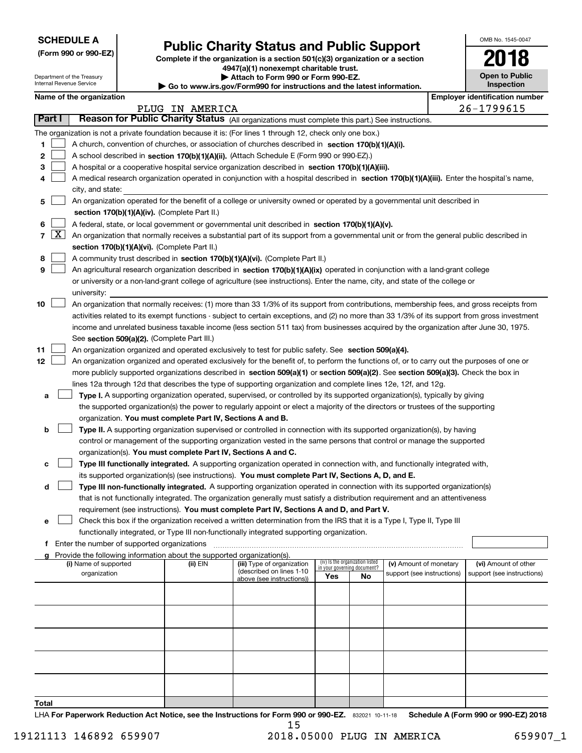| <b>SCHEDULE A</b> |  |
|-------------------|--|
|-------------------|--|

Department of the Treasury Internal Revenue Service

|  |  |  | (Form 990 or 990-EZ) |
|--|--|--|----------------------|
|--|--|--|----------------------|

# **Public Charity Status and Public Support**

**Complete if the organization is a section 501(c)(3) organization or a section 4947(a)(1) nonexempt charitable trust. | Attach to Form 990 or Form 990-EZ.** 

| ▶ Go to www.irs.gov/Form990 for instructions and the latest information |
|-------------------------------------------------------------------------|

| OMB No. 1545-0047            |
|------------------------------|
| 2018                         |
| Open to Public<br>Inspection |

|  | Name of the organization |
|--|--------------------------|
|--|--------------------------|

|                |                     | Name of the organization                                                                                                                      |                 |                            |                                    |                                 |                            |  | <b>Employer identification number</b> |
|----------------|---------------------|-----------------------------------------------------------------------------------------------------------------------------------------------|-----------------|----------------------------|------------------------------------|---------------------------------|----------------------------|--|---------------------------------------|
|                |                     |                                                                                                                                               | PLUG IN AMERICA |                            |                                    |                                 |                            |  | 26-1799615                            |
|                | Part I              | Reason for Public Charity Status (All organizations must complete this part.) See instructions.                                               |                 |                            |                                    |                                 |                            |  |                                       |
|                |                     | The organization is not a private foundation because it is: (For lines 1 through 12, check only one box.)                                     |                 |                            |                                    |                                 |                            |  |                                       |
| 1.             |                     | A church, convention of churches, or association of churches described in section 170(b)(1)(A)(i).                                            |                 |                            |                                    |                                 |                            |  |                                       |
| 2              |                     | A school described in section 170(b)(1)(A)(ii). (Attach Schedule E (Form 990 or 990-EZ).)                                                     |                 |                            |                                    |                                 |                            |  |                                       |
| 3              |                     | A hospital or a cooperative hospital service organization described in section 170(b)(1)(A)(iii).                                             |                 |                            |                                    |                                 |                            |  |                                       |
| 4              |                     | A medical research organization operated in conjunction with a hospital described in section 170(b)(1)(A)(iii). Enter the hospital's name,    |                 |                            |                                    |                                 |                            |  |                                       |
|                |                     | city, and state:                                                                                                                              |                 |                            |                                    |                                 |                            |  |                                       |
| 5              |                     | An organization operated for the benefit of a college or university owned or operated by a governmental unit described in                     |                 |                            |                                    |                                 |                            |  |                                       |
|                |                     | section 170(b)(1)(A)(iv). (Complete Part II.)                                                                                                 |                 |                            |                                    |                                 |                            |  |                                       |
| 6              |                     | A federal, state, or local government or governmental unit described in section 170(b)(1)(A)(v).                                              |                 |                            |                                    |                                 |                            |  |                                       |
| $\overline{7}$ | $\lfloor x \rfloor$ | An organization that normally receives a substantial part of its support from a governmental unit or from the general public described in     |                 |                            |                                    |                                 |                            |  |                                       |
|                |                     | section 170(b)(1)(A)(vi). (Complete Part II.)                                                                                                 |                 |                            |                                    |                                 |                            |  |                                       |
| 8              |                     | A community trust described in section 170(b)(1)(A)(vi). (Complete Part II.)                                                                  |                 |                            |                                    |                                 |                            |  |                                       |
| 9              |                     | An agricultural research organization described in section 170(b)(1)(A)(ix) operated in conjunction with a land-grant college                 |                 |                            |                                    |                                 |                            |  |                                       |
|                |                     | or university or a non-land-grant college of agriculture (see instructions). Enter the name, city, and state of the college or                |                 |                            |                                    |                                 |                            |  |                                       |
|                |                     | university:                                                                                                                                   |                 |                            |                                    |                                 |                            |  |                                       |
| 10             |                     | An organization that normally receives: (1) more than 33 1/3% of its support from contributions, membership fees, and gross receipts from     |                 |                            |                                    |                                 |                            |  |                                       |
|                |                     | activities related to its exempt functions - subject to certain exceptions, and (2) no more than 33 1/3% of its support from gross investment |                 |                            |                                    |                                 |                            |  |                                       |
|                |                     | income and unrelated business taxable income (less section 511 tax) from businesses acquired by the organization after June 30, 1975.         |                 |                            |                                    |                                 |                            |  |                                       |
|                |                     | See section 509(a)(2). (Complete Part III.)                                                                                                   |                 |                            |                                    |                                 |                            |  |                                       |
| 11             |                     | An organization organized and operated exclusively to test for public safety. See section 509(a)(4).                                          |                 |                            |                                    |                                 |                            |  |                                       |
| 12             |                     | An organization organized and operated exclusively for the benefit of, to perform the functions of, or to carry out the purposes of one or    |                 |                            |                                    |                                 |                            |  |                                       |
|                |                     | more publicly supported organizations described in section 509(a)(1) or section 509(a)(2). See section 509(a)(3). Check the box in            |                 |                            |                                    |                                 |                            |  |                                       |
|                |                     | lines 12a through 12d that describes the type of supporting organization and complete lines 12e, 12f, and 12g.                                |                 |                            |                                    |                                 |                            |  |                                       |
| а              |                     | Type I. A supporting organization operated, supervised, or controlled by its supported organization(s), typically by giving                   |                 |                            |                                    |                                 |                            |  |                                       |
|                |                     | the supported organization(s) the power to regularly appoint or elect a majority of the directors or trustees of the supporting               |                 |                            |                                    |                                 |                            |  |                                       |
|                |                     | organization. You must complete Part IV, Sections A and B.                                                                                    |                 |                            |                                    |                                 |                            |  |                                       |
| b              |                     | Type II. A supporting organization supervised or controlled in connection with its supported organization(s), by having                       |                 |                            |                                    |                                 |                            |  |                                       |
|                |                     | control or management of the supporting organization vested in the same persons that control or manage the supported                          |                 |                            |                                    |                                 |                            |  |                                       |
|                |                     |                                                                                                                                               |                 |                            |                                    |                                 |                            |  |                                       |
|                |                     | organization(s). You must complete Part IV, Sections A and C.                                                                                 |                 |                            |                                    |                                 |                            |  |                                       |
| с              |                     | Type III functionally integrated. A supporting organization operated in connection with, and functionally integrated with,                    |                 |                            |                                    |                                 |                            |  |                                       |
|                |                     | its supported organization(s) (see instructions). You must complete Part IV, Sections A, D, and E.                                            |                 |                            |                                    |                                 |                            |  |                                       |
| d              |                     | Type III non-functionally integrated. A supporting organization operated in connection with its supported organization(s)                     |                 |                            |                                    |                                 |                            |  |                                       |
|                |                     | that is not functionally integrated. The organization generally must satisfy a distribution requirement and an attentiveness                  |                 |                            |                                    |                                 |                            |  |                                       |
|                |                     | requirement (see instructions). You must complete Part IV, Sections A and D, and Part V.                                                      |                 |                            |                                    |                                 |                            |  |                                       |
|                |                     | Check this box if the organization received a written determination from the IRS that it is a Type I, Type II, Type III                       |                 |                            |                                    |                                 |                            |  |                                       |
|                |                     | functionally integrated, or Type III non-functionally integrated supporting organization.                                                     |                 |                            |                                    |                                 |                            |  |                                       |
|                |                     | f Enter the number of supported organizations                                                                                                 |                 |                            |                                    |                                 |                            |  |                                       |
|                |                     | g Provide the following information about the supported organization(s).<br>(i) Name of supported                                             | (ii) EIN        | (iii) Type of organization |                                    | (iv) Is the organization listed | (v) Amount of monetary     |  | (vi) Amount of other                  |
|                |                     | organization                                                                                                                                  |                 | (described on lines 1-10   | in your governing document?<br>Yes | No                              | support (see instructions) |  | support (see instructions)            |
|                |                     |                                                                                                                                               |                 | above (see instructions))  |                                    |                                 |                            |  |                                       |
|                |                     |                                                                                                                                               |                 |                            |                                    |                                 |                            |  |                                       |
|                |                     |                                                                                                                                               |                 |                            |                                    |                                 |                            |  |                                       |
|                |                     |                                                                                                                                               |                 |                            |                                    |                                 |                            |  |                                       |
|                |                     |                                                                                                                                               |                 |                            |                                    |                                 |                            |  |                                       |
|                |                     |                                                                                                                                               |                 |                            |                                    |                                 |                            |  |                                       |
|                |                     |                                                                                                                                               |                 |                            |                                    |                                 |                            |  |                                       |
|                |                     |                                                                                                                                               |                 |                            |                                    |                                 |                            |  |                                       |
|                |                     |                                                                                                                                               |                 |                            |                                    |                                 |                            |  |                                       |
|                |                     |                                                                                                                                               |                 |                            |                                    |                                 |                            |  |                                       |
|                |                     |                                                                                                                                               |                 |                            |                                    |                                 |                            |  |                                       |
| Total          |                     |                                                                                                                                               |                 |                            |                                    |                                 |                            |  |                                       |

LHA For Paperwork Reduction Act Notice, see the Instructions for Form 990 or 990-EZ. 832021 10-11-18 Schedule A (Form 990 or 990-EZ) 2018 15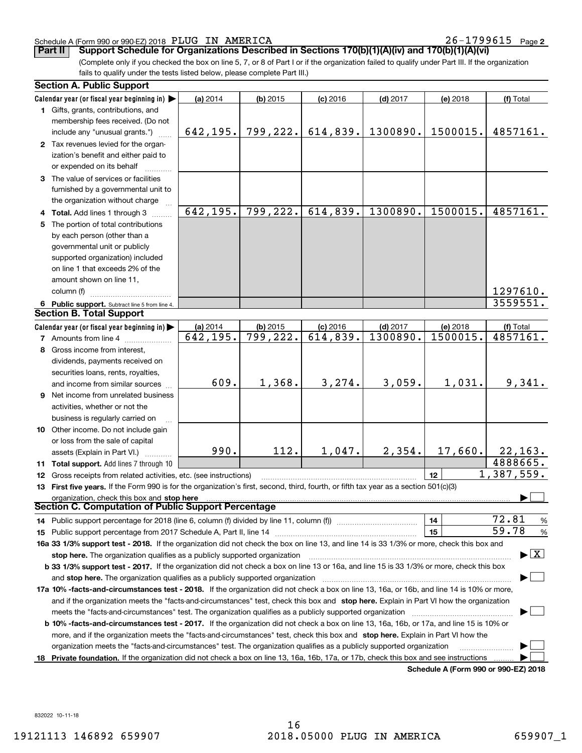### Schedule A (Form 990 or 990-EZ) 2018 Page PLUG IN AMERICA 26-1799615

 $26 - 1799615$  Page 2

**Part II** | Support Schedule for Organizations Described in Sections 170(b)(1)(A)(iv) and 170(b)(1)(A)(vi)

(Complete only if you checked the box on line 5, 7, or 8 of Part I or if the organization failed to qualify under Part III. If the organization fails to qualify under the tests listed below, please complete Part III.)

| <b>Section A. Public Support</b>                                                                                                           |                         |                        |                         |            |                                             |                                          |
|--------------------------------------------------------------------------------------------------------------------------------------------|-------------------------|------------------------|-------------------------|------------|---------------------------------------------|------------------------------------------|
| Calendar year (or fiscal year beginning in)                                                                                                | (a) 2014                | $(b)$ 2015             | $(c)$ 2016              | $(d)$ 2017 | (e) 2018                                    | (f) Total                                |
| 1 Gifts, grants, contributions, and                                                                                                        |                         |                        |                         |            |                                             |                                          |
| membership fees received. (Do not                                                                                                          |                         |                        |                         |            |                                             |                                          |
| include any "unusual grants.")                                                                                                             | 642,195.                | 799,222.               | 614,839.                | 1300890.   | 1500015.                                    | 4857161.                                 |
| 2 Tax revenues levied for the organ-                                                                                                       |                         |                        |                         |            |                                             |                                          |
| ization's benefit and either paid to                                                                                                       |                         |                        |                         |            |                                             |                                          |
| or expended on its behalf                                                                                                                  |                         |                        |                         |            |                                             |                                          |
| 3 The value of services or facilities                                                                                                      |                         |                        |                         |            |                                             |                                          |
| furnished by a governmental unit to                                                                                                        |                         |                        |                         |            |                                             |                                          |
| the organization without charge                                                                                                            |                         |                        |                         |            |                                             |                                          |
| 4 Total. Add lines 1 through 3                                                                                                             | 642,195.                | 799,222.               | 614,839.                | 1300890.   | 1500015.                                    | 4857161.                                 |
| 5 The portion of total contributions                                                                                                       |                         |                        |                         |            |                                             |                                          |
| by each person (other than a                                                                                                               |                         |                        |                         |            |                                             |                                          |
| governmental unit or publicly                                                                                                              |                         |                        |                         |            |                                             |                                          |
| supported organization) included                                                                                                           |                         |                        |                         |            |                                             |                                          |
| on line 1 that exceeds 2% of the                                                                                                           |                         |                        |                         |            |                                             |                                          |
| amount shown on line 11,                                                                                                                   |                         |                        |                         |            |                                             |                                          |
| column (f)                                                                                                                                 |                         |                        |                         |            |                                             | 1297610.                                 |
| 6 Public support. Subtract line 5 from line 4.                                                                                             |                         |                        |                         |            |                                             | 3559551.                                 |
| <b>Section B. Total Support</b>                                                                                                            |                         |                        |                         |            |                                             |                                          |
| Calendar year (or fiscal year beginning in)                                                                                                | (a) 2014                | $(b)$ 2015             | $(c)$ 2016              | $(d)$ 2017 | (e) 2018                                    | (f) Total                                |
| <b>7</b> Amounts from line 4                                                                                                               | $\overline{642}$ , 195. | $\overline{799,222}$ . | $\overline{614}$ , 839. | 1300890.   | 1500015.                                    | 4857161.                                 |
| 8 Gross income from interest,                                                                                                              |                         |                        |                         |            |                                             |                                          |
| dividends, payments received on                                                                                                            |                         |                        |                         |            |                                             |                                          |
| securities loans, rents, royalties,                                                                                                        |                         |                        |                         |            |                                             |                                          |
| and income from similar sources                                                                                                            | 609.                    | 1,368.                 | 3, 274.                 | 3,059.     | 1,031.                                      | 9,341.                                   |
| 9 Net income from unrelated business                                                                                                       |                         |                        |                         |            |                                             |                                          |
|                                                                                                                                            |                         |                        |                         |            |                                             |                                          |
| activities, whether or not the                                                                                                             |                         |                        |                         |            |                                             |                                          |
| business is regularly carried on                                                                                                           |                         |                        |                         |            |                                             |                                          |
| 10 Other income. Do not include gain                                                                                                       |                         |                        |                         |            |                                             |                                          |
| or loss from the sale of capital                                                                                                           | 990.                    | 112.                   | 1,047.                  | 2,354.     | 17,660.                                     | 22, 163.                                 |
| assets (Explain in Part VI.)                                                                                                               |                         |                        |                         |            |                                             | 4888665.                                 |
| 11 Total support. Add lines 7 through 10                                                                                                   |                         |                        |                         |            | 12                                          | 1,387,559.                               |
| 12 Gross receipts from related activities, etc. (see instructions)                                                                         |                         |                        |                         |            |                                             |                                          |
| 13 First five years. If the Form 990 is for the organization's first, second, third, fourth, or fifth tax year as a section 501(c)(3)      |                         |                        |                         |            |                                             |                                          |
| organization, check this box and stop here<br>Section C. Computation of Public Support Percentage                                          |                         |                        |                         |            |                                             |                                          |
|                                                                                                                                            |                         |                        |                         |            |                                             | 72.81                                    |
| 14 Public support percentage for 2018 (line 6, column (f) divided by line 11, column (f) <i>manumanomeron</i>                              |                         |                        |                         |            | 14                                          | %<br>59.78                               |
|                                                                                                                                            |                         |                        |                         |            | 15                                          | $\%$                                     |
| 16a 33 1/3% support test - 2018. If the organization did not check the box on line 13, and line 14 is 33 1/3% or more, check this box and  |                         |                        |                         |            |                                             | $\blacktriangleright$ $\boxed{\text{X}}$ |
| stop here. The organization qualifies as a publicly supported organization                                                                 |                         |                        |                         |            |                                             |                                          |
| b 33 1/3% support test - 2017. If the organization did not check a box on line 13 or 16a, and line 15 is 33 1/3% or more, check this box   |                         |                        |                         |            |                                             |                                          |
| and stop here. The organization qualifies as a publicly supported organization                                                             |                         |                        |                         |            |                                             |                                          |
| 17a 10% -facts-and-circumstances test - 2018. If the organization did not check a box on line 13, 16a, or 16b, and line 14 is 10% or more, |                         |                        |                         |            |                                             |                                          |
| and if the organization meets the "facts-and-circumstances" test, check this box and stop here. Explain in Part VI how the organization    |                         |                        |                         |            |                                             |                                          |
| meets the "facts-and-circumstances" test. The organization qualifies as a publicly supported organization <i>manumumumumumum</i>           |                         |                        |                         |            |                                             |                                          |
| b 10% -facts-and-circumstances test - 2017. If the organization did not check a box on line 13, 16a, 16b, or 17a, and line 15 is 10% or    |                         |                        |                         |            |                                             |                                          |
| more, and if the organization meets the "facts-and-circumstances" test, check this box and stop here. Explain in Part VI how the           |                         |                        |                         |            |                                             |                                          |
| organization meets the "facts-and-circumstances" test. The organization qualifies as a publicly supported organization                     |                         |                        |                         |            |                                             |                                          |
| 18 Private foundation. If the organization did not check a box on line 13, 16a, 16b, 17a, or 17b, check this box and see instructions      |                         |                        |                         |            | <b>Cohodulo A (Form 000 or 000 E7) 2010</b> |                                          |

**Schedule A (Form 990 or 990-EZ) 2018**

832022 10-11-18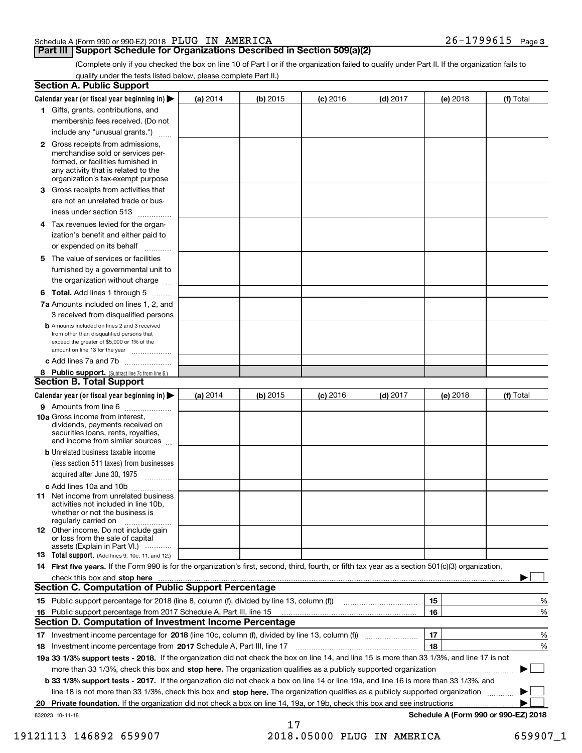### Schedule A (Form 990 or 990-EZ) 2018 Page PLUG IN AMERICA 26-1799615

# **Part III** | Support Schedule for Organizations Described in Section 509(a)(2)

**3**

(Complete only if you checked the box on line 10 of Part I or if the organization failed to qualify under Part II. If the organization fails to qualify under the tests listed below, please complete Part II.)

| <b>Section A. Public Support</b>                                                                                                                                                         |            |          |            |            |          |                                      |
|------------------------------------------------------------------------------------------------------------------------------------------------------------------------------------------|------------|----------|------------|------------|----------|--------------------------------------|
| Calendar year (or fiscal year beginning in) $\blacktriangleright$                                                                                                                        | (a) 2014   | (b) 2015 | $(c)$ 2016 | $(d)$ 2017 | (e) 2018 | (f) Total                            |
| 1 Gifts, grants, contributions, and                                                                                                                                                      |            |          |            |            |          |                                      |
| membership fees received. (Do not                                                                                                                                                        |            |          |            |            |          |                                      |
| include any "unusual grants.")                                                                                                                                                           |            |          |            |            |          |                                      |
| 2 Gross receipts from admissions,<br>merchandise sold or services per-<br>formed, or facilities furnished in<br>any activity that is related to the<br>organization's tax-exempt purpose |            |          |            |            |          |                                      |
| 3 Gross receipts from activities that                                                                                                                                                    |            |          |            |            |          |                                      |
| are not an unrelated trade or bus-<br>iness under section 513                                                                                                                            |            |          |            |            |          |                                      |
| 4 Tax revenues levied for the organ-                                                                                                                                                     |            |          |            |            |          |                                      |
| ization's benefit and either paid to<br>or expended on its behalf<br>.                                                                                                                   |            |          |            |            |          |                                      |
| 5 The value of services or facilities                                                                                                                                                    |            |          |            |            |          |                                      |
| furnished by a governmental unit to                                                                                                                                                      |            |          |            |            |          |                                      |
| the organization without charge                                                                                                                                                          |            |          |            |            |          |                                      |
| <b>6 Total.</b> Add lines 1 through 5                                                                                                                                                    |            |          |            |            |          |                                      |
| 7a Amounts included on lines 1, 2, and<br>3 received from disqualified persons                                                                                                           |            |          |            |            |          |                                      |
| <b>b</b> Amounts included on lines 2 and 3 received<br>from other than disqualified persons that<br>exceed the greater of \$5,000 or 1% of the<br>amount on line 13 for the year         |            |          |            |            |          |                                      |
| c Add lines 7a and 7b                                                                                                                                                                    |            |          |            |            |          |                                      |
| 8 Public support. (Subtract line 7c from line 6.)<br><b>Section B. Total Support</b>                                                                                                     |            |          |            |            |          |                                      |
| Calendar year (or fiscal year beginning in) $\blacktriangleright$                                                                                                                        | (a) $2014$ | (b) 2015 | $(c)$ 2016 | $(d)$ 2017 | (e) 2018 | (f) Total                            |
| 9 Amounts from line 6                                                                                                                                                                    |            |          |            |            |          |                                      |
| 10a Gross income from interest,<br>dividends, payments received on<br>securities loans, rents, royalties,<br>and income from similar sources                                             |            |          |            |            |          |                                      |
| <b>b</b> Unrelated business taxable income                                                                                                                                               |            |          |            |            |          |                                      |
| (less section 511 taxes) from businesses<br>acquired after June 30, 1975<br>1.1.1.1.1.1.1.1.1.1                                                                                          |            |          |            |            |          |                                      |
| c Add lines 10a and 10b                                                                                                                                                                  |            |          |            |            |          |                                      |
| <b>11</b> Net income from unrelated business<br>activities not included in line 10b,<br>whether or not the business is<br>regularly carried on                                           |            |          |            |            |          |                                      |
| <b>12</b> Other income. Do not include gain<br>or loss from the sale of capital<br>assets (Explain in Part VI.)                                                                          |            |          |            |            |          |                                      |
| <b>13</b> Total support. (Add lines 9, 10c, 11, and 12.)                                                                                                                                 |            |          |            |            |          |                                      |
| 14 First five years. If the Form 990 is for the organization's first, second, third, fourth, or fifth tax year as a section 501(c)(3) organization,                                      |            |          |            |            |          |                                      |
| check this box and stop here <b>contractly contractly and structure and stop here</b> check this box and stop here <b>contractly and stop here contractly</b>                            |            |          |            |            |          |                                      |
| <b>Section C. Computation of Public Support Percentage</b>                                                                                                                               |            |          |            |            |          |                                      |
|                                                                                                                                                                                          |            |          |            |            | 15       | %                                    |
| 16 Public support percentage from 2017 Schedule A, Part III, line 15                                                                                                                     |            |          |            |            | 16       | %                                    |
| <b>Section D. Computation of Investment Income Percentage</b>                                                                                                                            |            |          |            |            |          |                                      |
| 17 Investment income percentage for 2018 (line 10c, column (f), divided by line 13, column (f))<br>18 Investment income percentage from 2017 Schedule A, Part III, line 17               |            |          |            |            | 17<br>18 | %<br>%                               |
| 19a 33 1/3% support tests - 2018. If the organization did not check the box on line 14, and line 15 is more than 33 1/3%, and line 17 is not                                             |            |          |            |            |          |                                      |
| more than 33 1/3%, check this box and stop here. The organization qualifies as a publicly supported organization                                                                         |            |          |            |            |          |                                      |
| b 33 1/3% support tests - 2017. If the organization did not check a box on line 14 or line 19a, and line 16 is more than 33 1/3%, and                                                    |            |          |            |            |          |                                      |
| line 18 is not more than 33 1/3%, check this box and stop here. The organization qualifies as a publicly supported organization                                                          |            |          |            |            |          |                                      |
| 20 Private foundation. If the organization did not check a box on line 14, 19a, or 19b, check this box and see instructions                                                              |            |          |            |            |          | .                                    |
| 832023 10-11-18                                                                                                                                                                          |            |          |            |            |          | Schedule A (Form 990 or 990-EZ) 2018 |
|                                                                                                                                                                                          |            | 17       |            |            |          |                                      |

 <sup>19121113 146892 659907 2018.05000</sup> PLUG IN AMERICA 659907\_1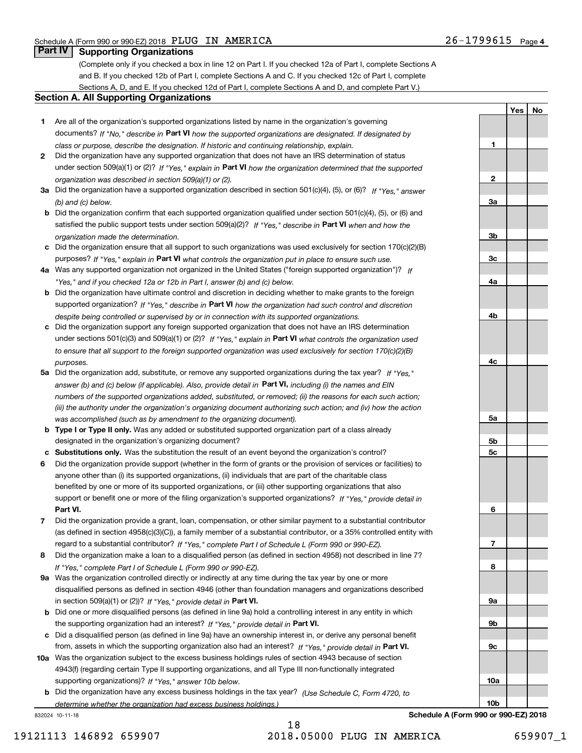**1**

**2**

**3a**

**3b**

**3c**

**4a**

**4b**

**4c**

**5a**

**5b5c**

**6**

**7**

**8**

**9a**

**9b**

**YesNo**

# **Part IV Supporting Organizations**

(Complete only if you checked a box in line 12 on Part I. If you checked 12a of Part I, complete Sections A and B. If you checked 12b of Part I, complete Sections A and C. If you checked 12c of Part I, complete Sections A, D, and E. If you checked 12d of Part I, complete Sections A and D, and complete Part V.)

## **Section A. All Supporting Organizations**

- **1** Are all of the organization's supported organizations listed by name in the organization's governing documents? If "No," describe in **Part VI** how the supported organizations are designated. If designated by *class or purpose, describe the designation. If historic and continuing relationship, explain.*
- **2** Did the organization have any supported organization that does not have an IRS determination of status under section 509(a)(1) or (2)? If "Yes," explain in Part VI how the organization determined that the supported *organization was described in section 509(a)(1) or (2).*
- **3a** Did the organization have a supported organization described in section 501(c)(4), (5), or (6)? If "Yes," answer *(b) and (c) below.*
- **b** Did the organization confirm that each supported organization qualified under section 501(c)(4), (5), or (6) and satisfied the public support tests under section 509(a)(2)? If "Yes," describe in **Part VI** when and how the *organization made the determination.*
- **c**Did the organization ensure that all support to such organizations was used exclusively for section 170(c)(2)(B) purposes? If "Yes," explain in **Part VI** what controls the organization put in place to ensure such use.
- **4a***If* Was any supported organization not organized in the United States ("foreign supported organization")? *"Yes," and if you checked 12a or 12b in Part I, answer (b) and (c) below.*
- **b** Did the organization have ultimate control and discretion in deciding whether to make grants to the foreign supported organization? If "Yes," describe in **Part VI** how the organization had such control and discretion *despite being controlled or supervised by or in connection with its supported organizations.*
- **c** Did the organization support any foreign supported organization that does not have an IRS determination under sections 501(c)(3) and 509(a)(1) or (2)? If "Yes," explain in **Part VI** what controls the organization used *to ensure that all support to the foreign supported organization was used exclusively for section 170(c)(2)(B) purposes.*
- **5a** Did the organization add, substitute, or remove any supported organizations during the tax year? If "Yes," answer (b) and (c) below (if applicable). Also, provide detail in **Part VI,** including (i) the names and EIN *numbers of the supported organizations added, substituted, or removed; (ii) the reasons for each such action; (iii) the authority under the organization's organizing document authorizing such action; and (iv) how the action was accomplished (such as by amendment to the organizing document).*
- **b** Type I or Type II only. Was any added or substituted supported organization part of a class already designated in the organization's organizing document?
- **cSubstitutions only.**  Was the substitution the result of an event beyond the organization's control?
- **6** Did the organization provide support (whether in the form of grants or the provision of services or facilities) to **Part VI.** *If "Yes," provide detail in* support or benefit one or more of the filing organization's supported organizations? anyone other than (i) its supported organizations, (ii) individuals that are part of the charitable class benefited by one or more of its supported organizations, or (iii) other supporting organizations that also
- **7**Did the organization provide a grant, loan, compensation, or other similar payment to a substantial contributor *If "Yes," complete Part I of Schedule L (Form 990 or 990-EZ).* regard to a substantial contributor? (as defined in section 4958(c)(3)(C)), a family member of a substantial contributor, or a 35% controlled entity with
- **8** Did the organization make a loan to a disqualified person (as defined in section 4958) not described in line 7? *If "Yes," complete Part I of Schedule L (Form 990 or 990-EZ).*
- **9a** Was the organization controlled directly or indirectly at any time during the tax year by one or more in section 509(a)(1) or (2))? If "Yes," *provide detail in* <code>Part VI.</code> disqualified persons as defined in section 4946 (other than foundation managers and organizations described
- **b** Did one or more disqualified persons (as defined in line 9a) hold a controlling interest in any entity in which the supporting organization had an interest? If "Yes," provide detail in P**art VI**.
- **c**Did a disqualified person (as defined in line 9a) have an ownership interest in, or derive any personal benefit from, assets in which the supporting organization also had an interest? If "Yes," provide detail in P**art VI.**
- **10a** Was the organization subject to the excess business holdings rules of section 4943 because of section supporting organizations)? If "Yes," answer 10b below. 4943(f) (regarding certain Type II supporting organizations, and all Type III non-functionally integrated
- **b** Did the organization have any excess business holdings in the tax year? (Use Schedule C, Form 4720, to *determine whether the organization had excess business holdings.)*

832024 10-11-18

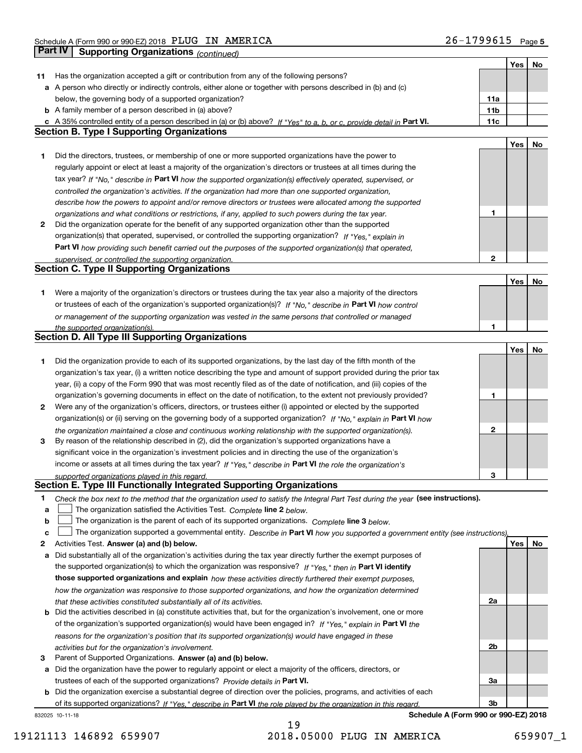|        |                                                                                                                                                                               |     | Yes | No |
|--------|-------------------------------------------------------------------------------------------------------------------------------------------------------------------------------|-----|-----|----|
| 11     | Has the organization accepted a gift or contribution from any of the following persons?                                                                                       |     |     |    |
|        | a A person who directly or indirectly controls, either alone or together with persons described in (b) and (c)                                                                |     |     |    |
|        | below, the governing body of a supported organization?                                                                                                                        | 11a |     |    |
|        | <b>b</b> A family member of a person described in (a) above?                                                                                                                  | 11b |     |    |
|        | c A 35% controlled entity of a person described in (a) or (b) above? If "Yes" to a, b, or c, provide detail in Part VI.                                                       | 11c |     |    |
|        | <b>Section B. Type I Supporting Organizations</b>                                                                                                                             |     |     |    |
|        |                                                                                                                                                                               |     | Yes | No |
| 1      | Did the directors, trustees, or membership of one or more supported organizations have the power to                                                                           |     |     |    |
|        | regularly appoint or elect at least a majority of the organization's directors or trustees at all times during the                                                            |     |     |    |
|        | tax year? If "No," describe in Part VI how the supported organization(s) effectively operated, supervised, or                                                                 |     |     |    |
|        | controlled the organization's activities. If the organization had more than one supported organization,                                                                       |     |     |    |
|        | describe how the powers to appoint and/or remove directors or trustees were allocated among the supported                                                                     |     |     |    |
|        | organizations and what conditions or restrictions, if any, applied to such powers during the tax year.                                                                        | 1   |     |    |
| 2      | Did the organization operate for the benefit of any supported organization other than the supported                                                                           |     |     |    |
|        | organization(s) that operated, supervised, or controlled the supporting organization? If "Yes," explain in                                                                    |     |     |    |
|        | Part VI how providing such benefit carried out the purposes of the supported organization(s) that operated,                                                                   |     |     |    |
|        | supervised, or controlled the supporting organization.                                                                                                                        | 2   |     |    |
|        | <b>Section C. Type II Supporting Organizations</b>                                                                                                                            |     |     |    |
|        |                                                                                                                                                                               |     | Yes | No |
| 1      | Were a majority of the organization's directors or trustees during the tax year also a majority of the directors                                                              |     |     |    |
|        | or trustees of each of the organization's supported organization(s)? If "No," describe in Part VI how control                                                                 |     |     |    |
|        | or management of the supporting organization was vested in the same persons that controlled or managed                                                                        |     |     |    |
|        | the supported organization(s).                                                                                                                                                | 1   |     |    |
|        | <b>Section D. All Type III Supporting Organizations</b>                                                                                                                       |     |     |    |
|        |                                                                                                                                                                               |     | Yes | No |
| 1      | Did the organization provide to each of its supported organizations, by the last day of the fifth month of the                                                                |     |     |    |
|        | organization's tax year, (i) a written notice describing the type and amount of support provided during the prior tax                                                         |     |     |    |
|        | year, (ii) a copy of the Form 990 that was most recently filed as of the date of notification, and (iii) copies of the                                                        |     |     |    |
|        | organization's governing documents in effect on the date of notification, to the extent not previously provided?                                                              | 1   |     |    |
| 2      | Were any of the organization's officers, directors, or trustees either (i) appointed or elected by the supported                                                              |     |     |    |
|        | organization(s) or (ii) serving on the governing body of a supported organization? If "No," explain in Part VI how                                                            |     |     |    |
|        | the organization maintained a close and continuous working relationship with the supported organization(s).                                                                   | 2   |     |    |
| 3      | By reason of the relationship described in (2), did the organization's supported organizations have a                                                                         |     |     |    |
|        | significant voice in the organization's investment policies and in directing the use of the organization's                                                                    |     |     |    |
|        | income or assets at all times during the tax year? If "Yes," describe in Part VI the role the organization's                                                                  |     |     |    |
|        | supported organizations played in this regard.<br>Section E. Type III Functionally Integrated Supporting Organizations                                                        | 3   |     |    |
|        |                                                                                                                                                                               |     |     |    |
| 1      | Check the box next to the method that the organization used to satisfy the Integral Part Test during the year (see instructions).                                             |     |     |    |
| a<br>b | The organization satisfied the Activities Test. Complete line 2 below.<br>The organization is the parent of each of its supported organizations. Complete line 3 below.       |     |     |    |
|        |                                                                                                                                                                               |     |     |    |
| C<br>2 | The organization supported a governmental entity. Describe in Part VI how you supported a government entity (see instructions).<br>Activities Test. Answer (a) and (b) below. |     | Yes | No |
| а      | Did substantially all of the organization's activities during the tax year directly further the exempt purposes of                                                            |     |     |    |
|        | the supported organization(s) to which the organization was responsive? If "Yes." then in Part VI identify                                                                    |     |     |    |
|        | those supported organizations and explain how these activities directly furthered their exempt purposes,                                                                      |     |     |    |
|        | how the organization was responsive to those supported organizations, and how the organization determined                                                                     |     |     |    |
|        | that these activities constituted substantially all of its activities.                                                                                                        | 2a  |     |    |
| b      | Did the activities described in (a) constitute activities that, but for the organization's involvement, one or more                                                           |     |     |    |
|        | of the organization's supported organization(s) would have been engaged in? If "Yes," explain in Part VI the                                                                  |     |     |    |
|        | reasons for the organization's position that its supported organization(s) would have engaged in these                                                                        |     |     |    |
|        | activities but for the organization's involvement.                                                                                                                            | 2b  |     |    |
| з      | Parent of Supported Organizations. Answer (a) and (b) below.                                                                                                                  |     |     |    |
| а      | Did the organization have the power to regularly appoint or elect a majority of the officers, directors, or                                                                   |     |     |    |
|        | trustees of each of the supported organizations? Provide details in Part VI.                                                                                                  | За  |     |    |
| b      | Did the organization exercise a substantial degree of direction over the policies, programs, and activities of each                                                           |     |     |    |
|        | of its supported organizations? If "Yes," describe in Part VI the role played by the organization in this regard.                                                             | 3b  |     |    |
|        | Schedule A (Form 990 or 990-EZ) 2018<br>832025 10-11-18                                                                                                                       |     |     |    |

19121113 146892 659907 2018.05000 PLUG IN AMERICA 659907\_1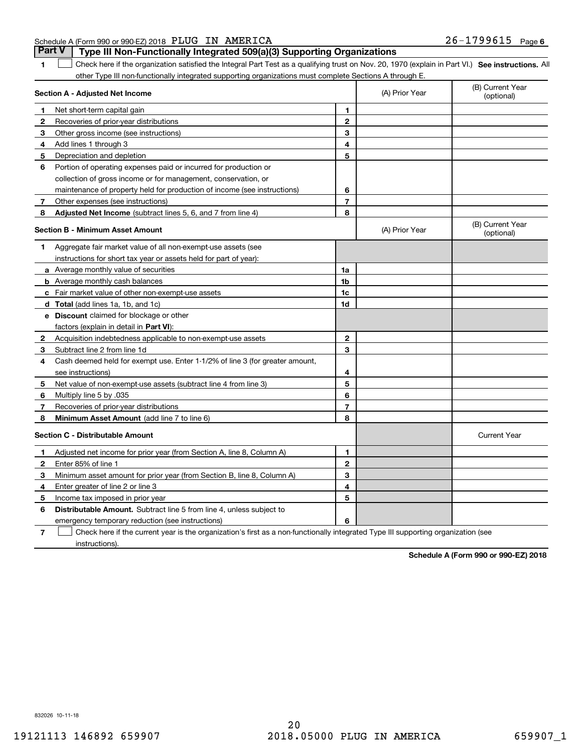# Schedule A (Form 990 or 990-EZ) 2018 Page PLUG IN AMERICA 26-1799615 **Part V Type III Non-Functionally Integrated 509(a)(3) Supporting Organizations**

**1**

1 Check here if the organization satisfied the Integral Part Test as a qualifying trust on Nov. 20, 1970 (explain in Part VI.) See instructions. All other Type III non-functionally integrated supporting organizations must complete Sections A through E.

| Section A - Adjusted Net Income |                                                                              |                | (A) Prior Year | (B) Current Year<br>(optional) |
|---------------------------------|------------------------------------------------------------------------------|----------------|----------------|--------------------------------|
| 1                               | Net short-term capital gain                                                  | 1              |                |                                |
| 2                               | Recoveries of prior-year distributions                                       | $\overline{2}$ |                |                                |
| 3                               | Other gross income (see instructions)                                        | 3              |                |                                |
| 4                               | Add lines 1 through 3                                                        | 4              |                |                                |
| 5                               | Depreciation and depletion                                                   | 5              |                |                                |
| 6                               | Portion of operating expenses paid or incurred for production or             |                |                |                                |
|                                 | collection of gross income or for management, conservation, or               |                |                |                                |
|                                 | maintenance of property held for production of income (see instructions)     | 6              |                |                                |
| 7                               | Other expenses (see instructions)                                            | $\overline{7}$ |                |                                |
| 8                               | <b>Adjusted Net Income</b> (subtract lines 5, 6, and 7 from line 4)          | 8              |                |                                |
|                                 | <b>Section B - Minimum Asset Amount</b>                                      |                | (A) Prior Year | (B) Current Year<br>(optional) |
| 1                               | Aggregate fair market value of all non-exempt-use assets (see                |                |                |                                |
|                                 | instructions for short tax year or assets held for part of year):            |                |                |                                |
|                                 | a Average monthly value of securities                                        | 1a             |                |                                |
|                                 | <b>b</b> Average monthly cash balances                                       | 1b             |                |                                |
|                                 | c Fair market value of other non-exempt-use assets                           | 1c             |                |                                |
|                                 | <b>d</b> Total (add lines 1a, 1b, and 1c)                                    | 1 <sub>d</sub> |                |                                |
|                                 | <b>e</b> Discount claimed for blockage or other                              |                |                |                                |
|                                 | factors (explain in detail in Part VI):                                      |                |                |                                |
| 2                               | Acquisition indebtedness applicable to non-exempt-use assets                 | $\mathbf{2}$   |                |                                |
| 3                               | Subtract line 2 from line 1d                                                 | 3              |                |                                |
| 4                               | Cash deemed held for exempt use. Enter 1-1/2% of line 3 (for greater amount, |                |                |                                |
|                                 | see instructions)                                                            | 4              |                |                                |
| 5                               | Net value of non-exempt-use assets (subtract line 4 from line 3)             | 5              |                |                                |
| 6                               | Multiply line 5 by .035                                                      | 6              |                |                                |
| 7                               | Recoveries of prior-year distributions                                       | $\overline{7}$ |                |                                |
| 8                               | <b>Minimum Asset Amount (add line 7 to line 6)</b>                           | 8              |                |                                |
|                                 | <b>Section C - Distributable Amount</b>                                      |                |                | <b>Current Year</b>            |
| 1                               | Adjusted net income for prior year (from Section A, line 8, Column A)        | 1              |                |                                |
| $\mathbf{2}$                    | Enter 85% of line 1                                                          | $\overline{2}$ |                |                                |
| з                               | Minimum asset amount for prior year (from Section B, line 8, Column A)       | 3              |                |                                |
| 4                               | Enter greater of line 2 or line 3                                            | 4              |                |                                |
| 5                               | Income tax imposed in prior year                                             | 5              |                |                                |
| 6                               | Distributable Amount. Subtract line 5 from line 4, unless subject to         |                |                |                                |
|                                 | emergency temporary reduction (see instructions)                             | 6              |                |                                |
|                                 |                                                                              |                |                |                                |

**7** Check here if the current year is the organization's first as a non-functionally integrated Type III supporting organization (see instructions).

**Schedule A (Form 990 or 990-EZ) 2018**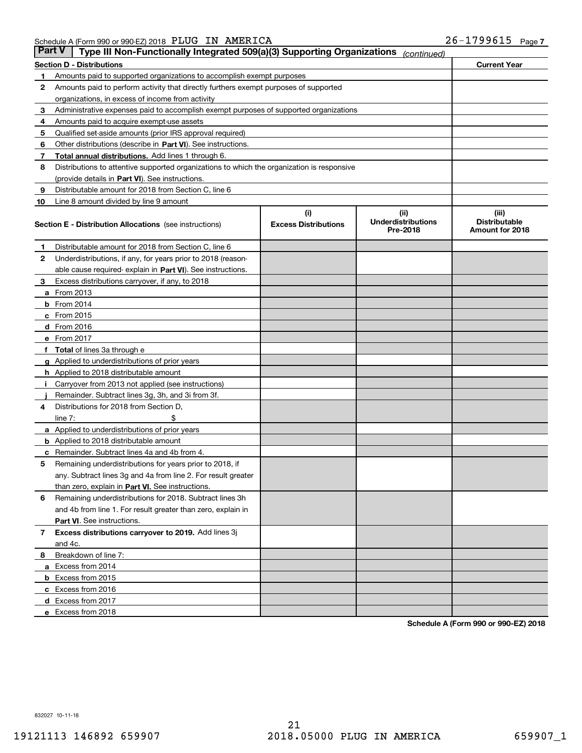| Part V | Type III Non-Functionally Integrated 509(a)(3) Supporting Organizations                    |                                    | (continued)                        |                               |
|--------|--------------------------------------------------------------------------------------------|------------------------------------|------------------------------------|-------------------------------|
|        | <b>Section D - Distributions</b>                                                           |                                    |                                    | <b>Current Year</b>           |
| 1      | Amounts paid to supported organizations to accomplish exempt purposes                      |                                    |                                    |                               |
| 2      | Amounts paid to perform activity that directly furthers exempt purposes of supported       |                                    |                                    |                               |
|        | organizations, in excess of income from activity                                           |                                    |                                    |                               |
| з      | Administrative expenses paid to accomplish exempt purposes of supported organizations      |                                    |                                    |                               |
| 4      | Amounts paid to acquire exempt-use assets                                                  |                                    |                                    |                               |
| 5      | Qualified set-aside amounts (prior IRS approval required)                                  |                                    |                                    |                               |
| 6      | Other distributions (describe in Part VI). See instructions.                               |                                    |                                    |                               |
| 7      | <b>Total annual distributions.</b> Add lines 1 through 6.                                  |                                    |                                    |                               |
| 8      | Distributions to attentive supported organizations to which the organization is responsive |                                    |                                    |                               |
|        | (provide details in Part VI). See instructions.                                            |                                    |                                    |                               |
| 9      | Distributable amount for 2018 from Section C, line 6                                       |                                    |                                    |                               |
| 10     | Line 8 amount divided by line 9 amount                                                     |                                    |                                    |                               |
|        | <b>Section E - Distribution Allocations</b> (see instructions)                             | (i)<br><b>Excess Distributions</b> | (iii)<br><b>Underdistributions</b> | (iii)<br><b>Distributable</b> |
|        |                                                                                            |                                    | Pre-2018                           | Amount for 2018               |
| 1      | Distributable amount for 2018 from Section C, line 6                                       |                                    |                                    |                               |
| 2      | Underdistributions, if any, for years prior to 2018 (reason-                               |                                    |                                    |                               |
|        | able cause required- explain in Part VI). See instructions.                                |                                    |                                    |                               |
| з      | Excess distributions carryover, if any, to 2018                                            |                                    |                                    |                               |
|        | <b>a</b> From 2013                                                                         |                                    |                                    |                               |
|        | <b>b</b> From 2014                                                                         |                                    |                                    |                               |
|        | c From 2015                                                                                |                                    |                                    |                               |
|        | d From 2016                                                                                |                                    |                                    |                               |
|        | e From 2017                                                                                |                                    |                                    |                               |
|        | Total of lines 3a through e                                                                |                                    |                                    |                               |
|        | <b>g</b> Applied to underdistributions of prior years                                      |                                    |                                    |                               |
|        | <b>h</b> Applied to 2018 distributable amount                                              |                                    |                                    |                               |
|        | Carryover from 2013 not applied (see instructions)                                         |                                    |                                    |                               |
|        | Remainder. Subtract lines 3g, 3h, and 3i from 3f.                                          |                                    |                                    |                               |
| 4      | Distributions for 2018 from Section D,                                                     |                                    |                                    |                               |
|        | line $7:$                                                                                  |                                    |                                    |                               |
|        | <b>a</b> Applied to underdistributions of prior years                                      |                                    |                                    |                               |
|        | <b>b</b> Applied to 2018 distributable amount                                              |                                    |                                    |                               |
| с      | Remainder. Subtract lines 4a and 4b from 4.                                                |                                    |                                    |                               |
| 5      | Remaining underdistributions for years prior to 2018, if                                   |                                    |                                    |                               |
|        | any. Subtract lines 3g and 4a from line 2. For result greater                              |                                    |                                    |                               |
|        | than zero, explain in Part VI. See instructions.                                           |                                    |                                    |                               |
| 6      | Remaining underdistributions for 2018. Subtract lines 3h                                   |                                    |                                    |                               |
|        | and 4b from line 1. For result greater than zero, explain in                               |                                    |                                    |                               |
|        | Part VI. See instructions.                                                                 |                                    |                                    |                               |
| 7      | Excess distributions carryover to 2019. Add lines 3j                                       |                                    |                                    |                               |
|        | and 4c.                                                                                    |                                    |                                    |                               |
| 8      | Breakdown of line 7:                                                                       |                                    |                                    |                               |
|        | a Excess from 2014                                                                         |                                    |                                    |                               |
|        | <b>b</b> Excess from 2015                                                                  |                                    |                                    |                               |
|        | c Excess from 2016                                                                         |                                    |                                    |                               |
|        | d Excess from 2017                                                                         |                                    |                                    |                               |
|        | e Excess from 2018                                                                         |                                    |                                    |                               |

**Schedule A (Form 990 or 990-EZ) 2018**

832027 10-11-18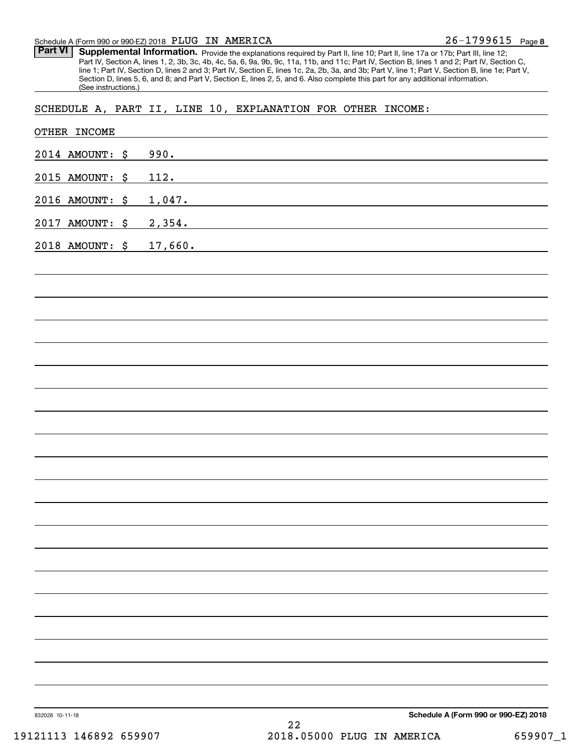### Schedule A (Form 990 or 990-EZ) 2018 Page PLUG IN AMERICA

Part VI | Supplemental Information. Provide the explanations required by Part II, line 10; Part II, line 17a or 17b; Part III, line 12; Part IV, Section A, lines 1, 2, 3b, 3c, 4b, 4c, 5a, 6, 9a, 9b, 9c, 11a, 11b, and 11c; Part IV, Section B, lines 1 and 2; Part IV, Section C, line 1; Part IV, Section D, lines 2 and 3; Part IV, Section E, lines 1c, 2a, 2b, 3a, and 3b; Part V, line 1; Part V, Section B, line 1e; Part V, Section D, lines 5, 6, and 8; and Part V, Section E, lines 2, 5, and 6. Also complete this part for any additional information. (See instructions.)

SCHEDULE A, PART II, LINE 10, EXPLANATION FOR OTHER INCOME:

| 832028 10-11-18                    | Schedule A (Form 990 or 990-EZ) 2018<br>22                                                                                       |
|------------------------------------|----------------------------------------------------------------------------------------------------------------------------------|
|                                    |                                                                                                                                  |
|                                    |                                                                                                                                  |
|                                    |                                                                                                                                  |
|                                    |                                                                                                                                  |
|                                    |                                                                                                                                  |
|                                    |                                                                                                                                  |
|                                    |                                                                                                                                  |
|                                    |                                                                                                                                  |
|                                    |                                                                                                                                  |
|                                    |                                                                                                                                  |
|                                    |                                                                                                                                  |
|                                    |                                                                                                                                  |
|                                    |                                                                                                                                  |
|                                    |                                                                                                                                  |
| 2018 AMOUNT: \$                    | <u> 1980 - Jan Salaman, mangang mga kalawang mga kalawang mga kalawang mga kalawang mga kalawang mga kalawang mga</u><br>17,660. |
| 2016 AMOUNT: \$<br>2017 AMOUNT: \$ | 1,047.<br><u> 1989 - Andrea Andrew Maria (h. 1989).</u><br>2,354.                                                                |
| 2015 AMOUNT: \$                    | 112.<br><u> 1989 - Johann Stein, mars an deutscher Stein und der Stein und der Stein und der Stein und der Stein und der</u>     |
| 2014 AMOUNT: \$                    | 990.<br><u>and the state of the state of the state of the state of the state of the state of the state of the state of th</u>    |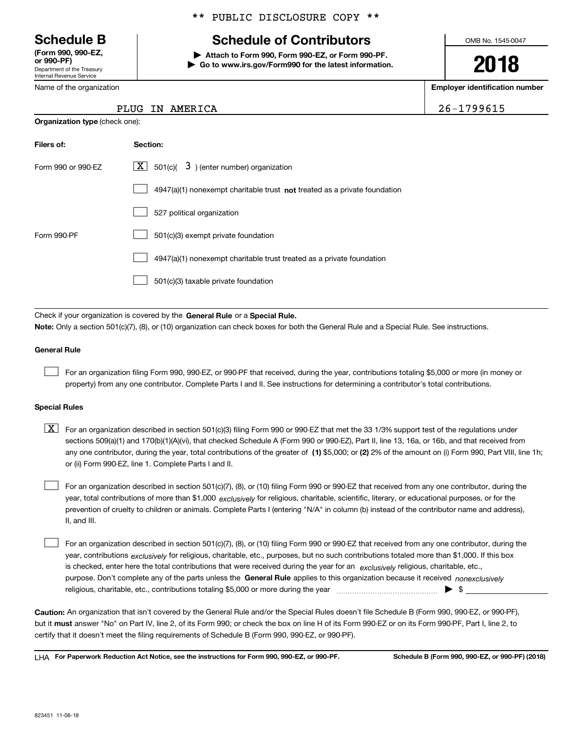Department of the Treasury Internal Revenue Service **(Form 990, 990-EZ, or 990-PF)**

Name of the organization

**Organization type** (check one):

# \*\* PUBLIC DISCLOSURE COPY \*\*

# **Schedule B Schedule of Contributors**

**| Attach to Form 990, Form 990-EZ, or Form 990-PF. | Go to www.irs.gov/Form990 for the latest information.** OMB No. 1545-0047

**2018**

**Employer identification number**

26-1799615

| Filers of:         | Section:                                                                    |
|--------------------|-----------------------------------------------------------------------------|
| Form 990 or 990-FZ | $\boxed{\text{X}}$ 501(c)( 3) (enter number) organization                   |
|                    | $4947(a)(1)$ nonexempt charitable trust not treated as a private foundation |
|                    | 527 political organization                                                  |
| Form 990-PF        | 501(c)(3) exempt private foundation                                         |
|                    | 4947(a)(1) nonexempt charitable trust treated as a private foundation       |
|                    | 501(c)(3) taxable private foundation                                        |

Check if your organization is covered by the **General Rule** or a **Special Rule. Note:**  Only a section 501(c)(7), (8), or (10) organization can check boxes for both the General Rule and a Special Rule. See instructions.

### **General Rule**

 $\mathcal{L}^{\text{max}}$ 

For an organization filing Form 990, 990-EZ, or 990-PF that received, during the year, contributions totaling \$5,000 or more (in money or property) from any one contributor. Complete Parts I and II. See instructions for determining a contributor's total contributions.

### **Special Rules**

any one contributor, during the year, total contributions of the greater of  $\,$  (1) \$5,000; or **(2)** 2% of the amount on (i) Form 990, Part VIII, line 1h;  $\boxed{\textbf{X}}$  For an organization described in section 501(c)(3) filing Form 990 or 990-EZ that met the 33 1/3% support test of the regulations under sections 509(a)(1) and 170(b)(1)(A)(vi), that checked Schedule A (Form 990 or 990-EZ), Part II, line 13, 16a, or 16b, and that received from or (ii) Form 990-EZ, line 1. Complete Parts I and II.

year, total contributions of more than \$1,000 *exclusively* for religious, charitable, scientific, literary, or educational purposes, or for the For an organization described in section 501(c)(7), (8), or (10) filing Form 990 or 990-EZ that received from any one contributor, during the prevention of cruelty to children or animals. Complete Parts I (entering "N/A" in column (b) instead of the contributor name and address), II, and III.  $\mathcal{L}^{\text{max}}$ 

purpose. Don't complete any of the parts unless the **General Rule** applies to this organization because it received *nonexclusively* year, contributions <sub>exclusively</sub> for religious, charitable, etc., purposes, but no such contributions totaled more than \$1,000. If this box is checked, enter here the total contributions that were received during the year for an  $\;$ exclusively religious, charitable, etc., For an organization described in section 501(c)(7), (8), or (10) filing Form 990 or 990-EZ that received from any one contributor, during the religious, charitable, etc., contributions totaling \$5,000 or more during the year  $\Box$ — $\Box$   $\Box$  $\mathcal{L}^{\text{max}}$ 

**Caution:**  An organization that isn't covered by the General Rule and/or the Special Rules doesn't file Schedule B (Form 990, 990-EZ, or 990-PF),  **must** but it answer "No" on Part IV, line 2, of its Form 990; or check the box on line H of its Form 990-EZ or on its Form 990-PF, Part I, line 2, to certify that it doesn't meet the filing requirements of Schedule B (Form 990, 990-EZ, or 990-PF).

**For Paperwork Reduction Act Notice, see the instructions for Form 990, 990-EZ, or 990-PF. Schedule B (Form 990, 990-EZ, or 990-PF) (2018)** LHA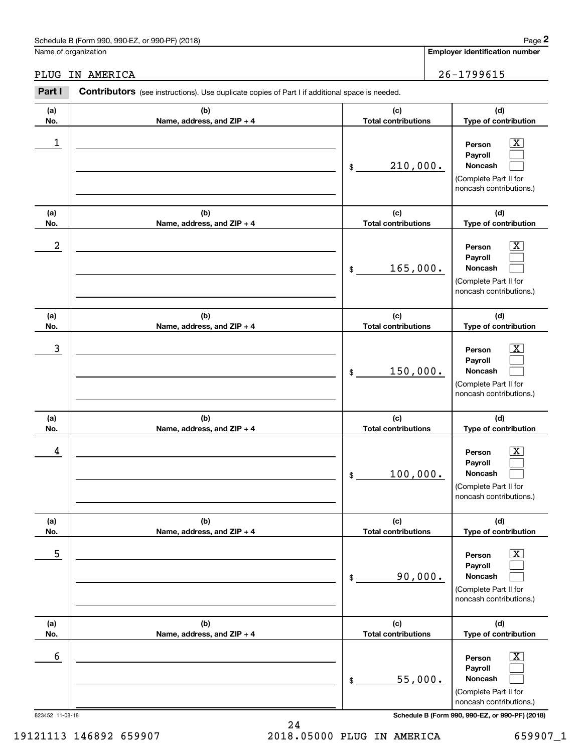# PLUG IN AMERICA 26-1799615

|                 | Schedule B (Form 990, 990-EZ, or 990-PF) (2018)                                                |                                   |  | Page 2                                                                                                      |  |
|-----------------|------------------------------------------------------------------------------------------------|-----------------------------------|--|-------------------------------------------------------------------------------------------------------------|--|
|                 | Name of organization                                                                           |                                   |  | <b>Employer identification number</b>                                                                       |  |
| PLUG            | IN AMERICA                                                                                     |                                   |  | 26-1799615                                                                                                  |  |
| Part I          | Contributors (see instructions). Use duplicate copies of Part I if additional space is needed. |                                   |  |                                                                                                             |  |
| (a)<br>No.      | (b)<br>Name, address, and ZIP + 4                                                              | (c)<br><b>Total contributions</b> |  | (d)<br>Type of contribution                                                                                 |  |
| 1               |                                                                                                | 210,000.<br>\$                    |  | $\overline{\mathbf{X}}$<br>Person<br>Payroll<br>Noncash<br>(Complete Part II for<br>noncash contributions.) |  |
| (a)<br>No.      | (b)<br>Name, address, and ZIP + 4                                                              | (c)<br><b>Total contributions</b> |  | (d)<br>Type of contribution                                                                                 |  |
| 2               |                                                                                                | 165,000.<br>\$                    |  | X<br>Person<br>Payroll<br>Noncash<br>(Complete Part II for<br>noncash contributions.)                       |  |
| (a)<br>No.      | (b)<br>Name, address, and ZIP + 4                                                              | (c)<br><b>Total contributions</b> |  | (d)<br>Type of contribution                                                                                 |  |
| 3               |                                                                                                | 150,000.<br>\$                    |  | X<br>Person<br>Payroll<br>Noncash<br>(Complete Part II for<br>noncash contributions.)                       |  |
| (a)<br>No.      | (b)<br>Name, address, and ZIP + 4                                                              | (c)<br><b>Total contributions</b> |  | (d)<br>Type of contribution                                                                                 |  |
| 4               |                                                                                                | 100,000.<br>\$                    |  | $\mathbf{X}$<br>Person<br>Payroll<br>Noncash<br>(Complete Part II for<br>noncash contributions.)            |  |
| (a)<br>No.      | (b)<br>Name, address, and ZIP + 4                                                              | (c)<br><b>Total contributions</b> |  | (d)<br>Type of contribution                                                                                 |  |
| 5               |                                                                                                | 90,000.<br>\$                     |  | $\boxed{\text{X}}$<br>Person<br>Payroll<br>Noncash<br>(Complete Part II for<br>noncash contributions.)      |  |
| (a)<br>No.      | (b)<br>Name, address, and ZIP + 4                                                              | (c)<br><b>Total contributions</b> |  | (d)<br>Type of contribution                                                                                 |  |
| 6               |                                                                                                | 55,000.<br>\$                     |  | $\boxed{\text{X}}$<br>Person<br>Payroll<br>Noncash<br>(Complete Part II for<br>noncash contributions.)      |  |
| 823452 11-08-18 |                                                                                                |                                   |  | Schedule B (Form 990, 990-EZ, or 990-PF) (2018)                                                             |  |

24 19121113 146892 659907 2018.05000 PLUG IN AMERICA 659907\_1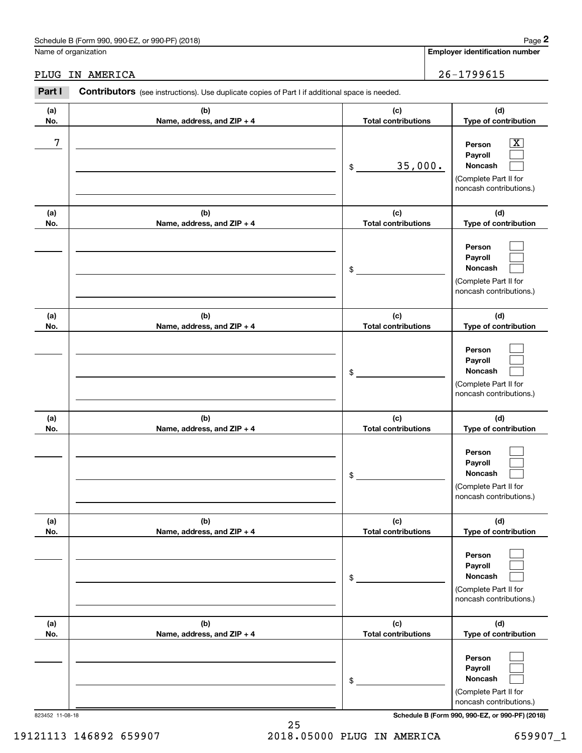# Schedule B (Form 990, 990-EZ, or 990-PF) (2018) Page 2

|                    | Schedule B (Form 990, 990-EZ, or 990-PF) (2018)                                                       |                                   | Page 2                                                                                                                              |
|--------------------|-------------------------------------------------------------------------------------------------------|-----------------------------------|-------------------------------------------------------------------------------------------------------------------------------------|
|                    | Name of organization                                                                                  |                                   | <b>Employer identification number</b>                                                                                               |
| IN AMERICA<br>PLUG | 26-1799615                                                                                            |                                   |                                                                                                                                     |
| Part I             | <b>Contributors</b> (see instructions). Use duplicate copies of Part I if additional space is needed. |                                   |                                                                                                                                     |
| (a)<br>No.         | (c)<br>(b)<br><b>Total contributions</b><br>Name, address, and ZIP + 4                                |                                   | (d)<br>Type of contribution                                                                                                         |
| 7                  |                                                                                                       | 35,000.<br>\$                     | $\overline{\mathbf{X}}$<br>Person<br>Payroll<br>Noncash<br>(Complete Part II for<br>noncash contributions.)                         |
| (a)<br>No.         | (b)<br>Name, address, and ZIP + 4                                                                     | (c)<br><b>Total contributions</b> | (d)<br>Type of contribution                                                                                                         |
|                    |                                                                                                       | \$                                | Person<br>Payroll<br>Noncash<br>(Complete Part II for<br>noncash contributions.)                                                    |
| (a)<br>No.         | (b)<br>Name, address, and ZIP + 4                                                                     | (c)<br><b>Total contributions</b> | (d)<br>Type of contribution                                                                                                         |
|                    |                                                                                                       | \$                                | Person<br>Payroll<br>Noncash<br>(Complete Part II for<br>noncash contributions.)                                                    |
| (a)<br>No.         | (b)<br>Name, address, and ZIP + 4                                                                     | (c)<br><b>Total contributions</b> | (d)<br>Type of contribution                                                                                                         |
|                    |                                                                                                       | \$                                | Person<br>Payroll<br>Noncash<br>(Complete Part II for<br>noncash contributions.)                                                    |
| (a)<br>No.         | (b)<br>Name, address, and ZIP + 4                                                                     | (c)<br><b>Total contributions</b> | (d)<br>Type of contribution                                                                                                         |
|                    |                                                                                                       | \$                                | Person<br>Payroll<br>Noncash<br>(Complete Part II for<br>noncash contributions.)                                                    |
| (a)<br>No.         | (b)<br>Name, address, and ZIP + 4                                                                     | (c)<br><b>Total contributions</b> | (d)<br>Type of contribution                                                                                                         |
|                    |                                                                                                       | \$                                | Person<br>Payroll<br>Noncash<br>(Complete Part II for<br>noncash contributions.)<br>Schedule B (Form 990, 990-EZ, or 990-PF) (2018) |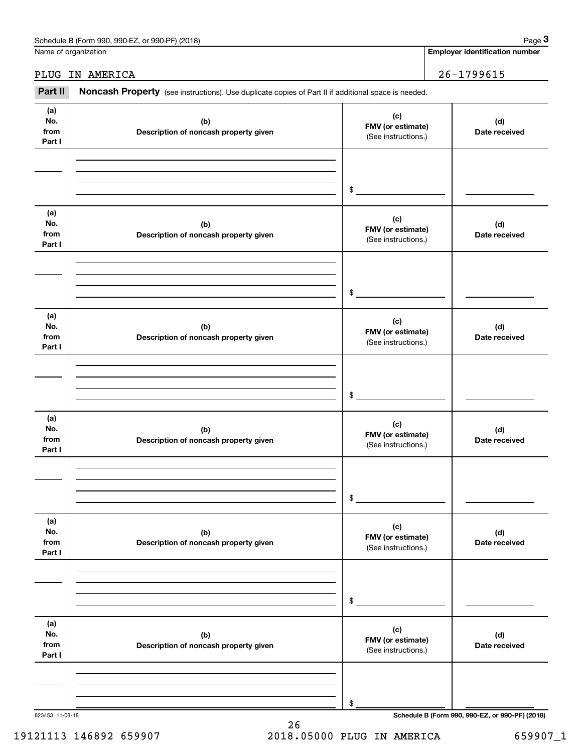| Schedule B (Form 990, 990-EZ, or 990-PF) (2018)<br>the contract of the contract of the contract of |  |  | Page |  |
|----------------------------------------------------------------------------------------------------|--|--|------|--|
|                                                                                                    |  |  |      |  |

Name of organization

**Employer identification number**

# PLUG IN AMERICA 26-1799615

Employer identification Page 3<br>
lame of organization<br> **3Part II Noncash Property** (see instructions). Use duplicate copies of Part II if additional space is needed.<br> **Part II Noncash Property** (see instructions). Use d

| (a)             |                                       | (c)                 |                                                 |
|-----------------|---------------------------------------|---------------------|-------------------------------------------------|
| No.             | (b)                                   | FMV (or estimate)   | (d)                                             |
| from            | Description of noncash property given | (See instructions.) | Date received                                   |
| Part I          |                                       |                     |                                                 |
|                 |                                       |                     |                                                 |
|                 |                                       |                     |                                                 |
|                 |                                       |                     |                                                 |
|                 |                                       |                     |                                                 |
|                 |                                       | $\frac{1}{2}$       |                                                 |
|                 |                                       |                     |                                                 |
| (a)             |                                       | (c)                 |                                                 |
| No.             | (b)                                   | FMV (or estimate)   | (d)                                             |
| from            | Description of noncash property given | (See instructions.) | Date received                                   |
| Part I          |                                       |                     |                                                 |
|                 |                                       |                     |                                                 |
|                 |                                       |                     |                                                 |
|                 |                                       |                     |                                                 |
|                 |                                       | $\frac{1}{2}$       |                                                 |
|                 |                                       |                     |                                                 |
| (a)             |                                       |                     |                                                 |
| No.             |                                       | (c)                 |                                                 |
| from            | (b)                                   | FMV (or estimate)   | (d)                                             |
| Part I          | Description of noncash property given | (See instructions.) | Date received                                   |
|                 |                                       |                     |                                                 |
|                 |                                       |                     |                                                 |
|                 |                                       |                     |                                                 |
|                 |                                       |                     |                                                 |
|                 |                                       | $\mathfrak{S}$      |                                                 |
|                 |                                       |                     |                                                 |
| (a)             |                                       |                     |                                                 |
| No.             | (b)                                   | (c)                 | (d)                                             |
| from            | Description of noncash property given | FMV (or estimate)   | Date received                                   |
| Part I          |                                       | (See instructions.) |                                                 |
|                 |                                       |                     |                                                 |
|                 |                                       |                     |                                                 |
|                 |                                       |                     |                                                 |
|                 |                                       |                     |                                                 |
|                 |                                       | \$                  |                                                 |
|                 |                                       |                     |                                                 |
| (a)             |                                       | (c)                 |                                                 |
| No.             | (b)                                   | FMV (or estimate)   | (d)                                             |
| from            | Description of noncash property given | (See instructions.) | Date received                                   |
| Part I          |                                       |                     |                                                 |
|                 |                                       |                     |                                                 |
|                 |                                       |                     |                                                 |
|                 |                                       |                     |                                                 |
|                 |                                       | \$                  |                                                 |
|                 |                                       |                     |                                                 |
|                 |                                       |                     |                                                 |
| (a)             |                                       | (c)                 |                                                 |
| No.<br>from     | (b)                                   | FMV (or estimate)   | (d)                                             |
|                 | Description of noncash property given | (See instructions.) | Date received                                   |
| Part I          |                                       |                     |                                                 |
|                 |                                       |                     |                                                 |
|                 |                                       |                     |                                                 |
|                 |                                       |                     |                                                 |
|                 |                                       | \$                  |                                                 |
| 823453 11-08-18 |                                       |                     | Schedule B (Form 990, 990-EZ, or 990-PF) (2018) |

19121113 146892 659907 2018.05000 PLUG IN AMERICA 659907\_1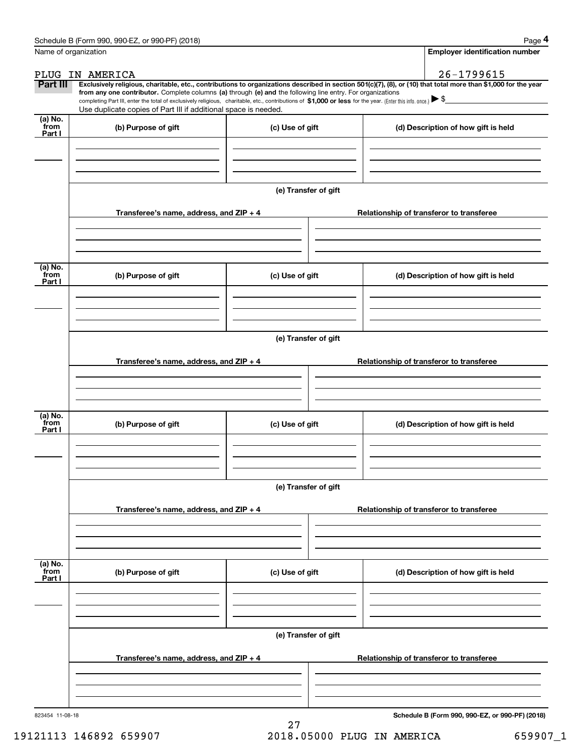|                           | Schedule B (Form 990, 990-EZ, or 990-PF) (2018)                                                                                                                                                                                                                              |                      |  | Page 4                                          |  |  |  |
|---------------------------|------------------------------------------------------------------------------------------------------------------------------------------------------------------------------------------------------------------------------------------------------------------------------|----------------------|--|-------------------------------------------------|--|--|--|
| Name of organization      |                                                                                                                                                                                                                                                                              |                      |  | <b>Employer identification number</b>           |  |  |  |
|                           | PLUG IN AMERICA                                                                                                                                                                                                                                                              |                      |  | 26-1799615                                      |  |  |  |
| Part III                  | Exclusively religious, charitable, etc., contributions to organizations described in section 501(c)(7), (8), or (10) that total more than \$1,000 for the year<br>from any one contributor. Complete columns (a) through (e) and the following line entry. For organizations |                      |  |                                                 |  |  |  |
|                           | completing Part III, enter the total of exclusively religious, charitable, etc., contributions of \$1,000 or less for the year. (Enter this info. once.) $\blacktriangleright$ \$                                                                                            |                      |  |                                                 |  |  |  |
| (a) No.                   | Use duplicate copies of Part III if additional space is needed.                                                                                                                                                                                                              |                      |  |                                                 |  |  |  |
| from<br>Part I            | (b) Purpose of gift                                                                                                                                                                                                                                                          | (c) Use of gift      |  | (d) Description of how gift is held             |  |  |  |
|                           |                                                                                                                                                                                                                                                                              |                      |  |                                                 |  |  |  |
|                           |                                                                                                                                                                                                                                                                              |                      |  |                                                 |  |  |  |
|                           |                                                                                                                                                                                                                                                                              |                      |  |                                                 |  |  |  |
|                           |                                                                                                                                                                                                                                                                              | (e) Transfer of gift |  |                                                 |  |  |  |
|                           | Transferee's name, address, and ZIP + 4                                                                                                                                                                                                                                      |                      |  | Relationship of transferor to transferee        |  |  |  |
|                           |                                                                                                                                                                                                                                                                              |                      |  |                                                 |  |  |  |
|                           |                                                                                                                                                                                                                                                                              |                      |  |                                                 |  |  |  |
| (a) No.                   |                                                                                                                                                                                                                                                                              |                      |  |                                                 |  |  |  |
| from<br>Part I            | (b) Purpose of gift                                                                                                                                                                                                                                                          | (c) Use of gift      |  | (d) Description of how gift is held             |  |  |  |
|                           |                                                                                                                                                                                                                                                                              |                      |  |                                                 |  |  |  |
|                           |                                                                                                                                                                                                                                                                              |                      |  |                                                 |  |  |  |
|                           |                                                                                                                                                                                                                                                                              |                      |  |                                                 |  |  |  |
|                           | (e) Transfer of gift                                                                                                                                                                                                                                                         |                      |  |                                                 |  |  |  |
|                           | Transferee's name, address, and ZIP + 4                                                                                                                                                                                                                                      |                      |  | Relationship of transferor to transferee        |  |  |  |
|                           |                                                                                                                                                                                                                                                                              |                      |  |                                                 |  |  |  |
|                           |                                                                                                                                                                                                                                                                              |                      |  |                                                 |  |  |  |
|                           |                                                                                                                                                                                                                                                                              |                      |  |                                                 |  |  |  |
| (a) No.<br>from<br>Part I | (b) Purpose of gift                                                                                                                                                                                                                                                          | (c) Use of gift      |  | (d) Description of how gift is held             |  |  |  |
|                           |                                                                                                                                                                                                                                                                              |                      |  |                                                 |  |  |  |
|                           |                                                                                                                                                                                                                                                                              |                      |  |                                                 |  |  |  |
|                           |                                                                                                                                                                                                                                                                              |                      |  |                                                 |  |  |  |
|                           |                                                                                                                                                                                                                                                                              | (e) Transfer of gift |  |                                                 |  |  |  |
|                           | Transferee's name, address, and $ZIP + 4$                                                                                                                                                                                                                                    |                      |  | Relationship of transferor to transferee        |  |  |  |
|                           |                                                                                                                                                                                                                                                                              |                      |  |                                                 |  |  |  |
|                           |                                                                                                                                                                                                                                                                              |                      |  |                                                 |  |  |  |
|                           |                                                                                                                                                                                                                                                                              |                      |  |                                                 |  |  |  |
| (a) No.<br>from<br>Part I | (b) Purpose of gift                                                                                                                                                                                                                                                          | (c) Use of gift      |  | (d) Description of how gift is held             |  |  |  |
|                           |                                                                                                                                                                                                                                                                              |                      |  |                                                 |  |  |  |
|                           |                                                                                                                                                                                                                                                                              |                      |  |                                                 |  |  |  |
|                           |                                                                                                                                                                                                                                                                              |                      |  |                                                 |  |  |  |
|                           | (e) Transfer of gift                                                                                                                                                                                                                                                         |                      |  |                                                 |  |  |  |
|                           | Transferee's name, address, and $ZIP + 4$                                                                                                                                                                                                                                    |                      |  | Relationship of transferor to transferee        |  |  |  |
|                           |                                                                                                                                                                                                                                                                              |                      |  |                                                 |  |  |  |
|                           |                                                                                                                                                                                                                                                                              |                      |  |                                                 |  |  |  |
|                           |                                                                                                                                                                                                                                                                              |                      |  |                                                 |  |  |  |
| 823454 11-08-18           |                                                                                                                                                                                                                                                                              |                      |  | Schedule B (Form 990, 990-EZ, or 990-PF) (2018) |  |  |  |

19121113 146892 659907 2018.05000 PLUG IN AMERICA 659907\_1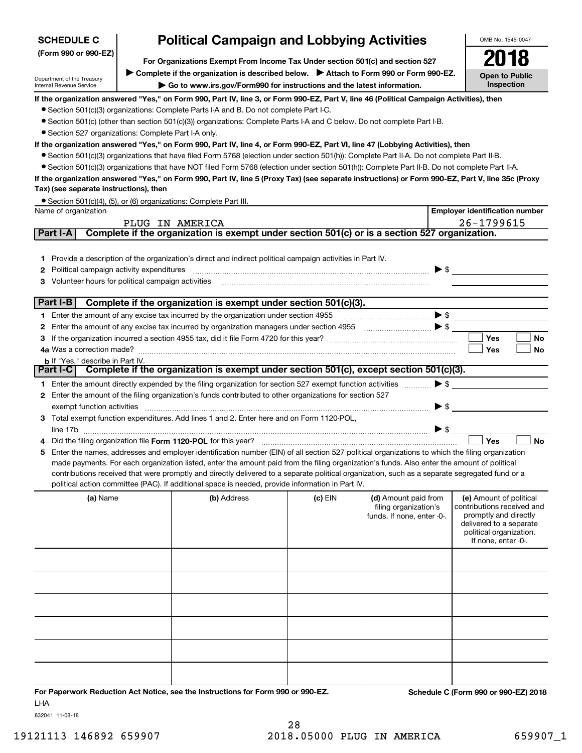| <b>SCHEDULE C</b>                                             | <b>Political Campaign and Lobbying Activities</b>                                                                                                                                  | OMB No. 1545-0047                     |
|---------------------------------------------------------------|------------------------------------------------------------------------------------------------------------------------------------------------------------------------------------|---------------------------------------|
| (Form 990 or 990-EZ)                                          | For Organizations Exempt From Income Tax Under section 501(c) and section 527                                                                                                      | 2018                                  |
| Department of the Treasury<br><b>Internal Revenue Service</b> | ► Complete if the organization is described below. ► Attach to Form 990 or Form 990-EZ.<br>$\triangleright$ Go to www.irs.gov/Form990 for instructions and the latest information. | Open to Public<br>Inspection          |
|                                                               | If the organization answered "Yes," on Form 990, Part IV, line 3, or Form 990-EZ, Part V, line 46 (Political Campaign Activities), then                                            |                                       |
|                                                               | • Section 501(c)(3) organizations: Complete Parts I-A and B. Do not complete Part I-C.                                                                                             |                                       |
|                                                               | • Section 501(c) (other than section 501(c)(3)) organizations: Complete Parts I-A and C below. Do not complete Part I-B.                                                           |                                       |
|                                                               | • Section 527 organizations: Complete Part I-A only.                                                                                                                               |                                       |
|                                                               | If the organization answered "Yes," on Form 990, Part IV, line 4, or Form 990-EZ, Part VI, line 47 (Lobbying Activities), then                                                     |                                       |
|                                                               | • Section 501(c)(3) organizations that have filed Form 5768 (election under section 501(h)): Complete Part II-A. Do not complete Part II-B.                                        |                                       |
|                                                               | • Section 501(c)(3) organizations that have NOT filed Form 5768 (election under section 501(h)): Complete Part II-B. Do not complete Part II-A.                                    |                                       |
|                                                               | If the organization answered "Yes," on Form 990, Part IV, line 5 (Proxy Tax) (see separate instructions) or Form 990-EZ, Part V, line 35c (Proxy                                   |                                       |
| Tax) (see separate instructions), then                        |                                                                                                                                                                                    |                                       |
|                                                               | • Section 501(c)(4), (5), or (6) organizations: Complete Part III.                                                                                                                 |                                       |
| Name of organization                                          |                                                                                                                                                                                    | <b>Employer identification number</b> |
|                                                               | IN AMERICA<br>PLUG                                                                                                                                                                 | 26-1799615                            |
| Part I-A                                                      | Complete if the organization is exempt under section 501(c) or is a section 527 organization.                                                                                      |                                       |
|                                                               | 1 Provide a description of the organization's direct and indirect political campaign activities in Part IV.                                                                        |                                       |

| 3 Volunteer hours for political campaign activities                                                                                             |                     |            |           |
|-------------------------------------------------------------------------------------------------------------------------------------------------|---------------------|------------|-----------|
|                                                                                                                                                 |                     |            |           |
| Part I-B<br>Complete if the organization is exempt under section 501(c)(3).                                                                     |                     |            |           |
| Enter the amount of any excise tax incurred by the organization under section 4955                                                              | $\triangleright$ \$ |            |           |
|                                                                                                                                                 | $\triangleright$ \$ |            |           |
|                                                                                                                                                 |                     | <b>Yes</b> | <b>No</b> |
|                                                                                                                                                 |                     | <b>Yes</b> | No        |
| <b>b</b> If "Yes," describe in Part IV.                                                                                                         |                     |            |           |
| Part I-C   Complete if the organization is exempt under section 501(c), except section 501(c)(3).                                               |                     |            |           |
| Enter the amount directly expended by the filing organization for section 527 exempt function activities                                        | $\triangleright$ \$ |            |           |
| Enter the amount of the filing organization's funds contributed to other organizations for section 527<br>2                                     |                     |            |           |
| exempt function activities                                                                                                                      | ► \$                |            |           |
| Total exempt function expenditures. Add lines 1 and 2. Enter here and on Form 1120-POL,<br>3.                                                   |                     |            |           |
| line 17b                                                                                                                                        | ► \$                |            |           |
| 4                                                                                                                                               |                     | <b>Yes</b> | No        |
| Enter the names, addresses and employer identification number (FIN) of all section 527 political organizations to which the filing organization |                     |            |           |

**5**Enter the names, addresses and employer identification number (EIN) of all section 527 political organizations to which the filing organization made payments. For each organization listed, enter the amount paid from the filing organization's funds. Also enter the amount of political contributions received that were promptly and directly delivered to a separate political organization, such as a separate segregated fund or a political action committee (PAC). If additional space is needed, provide information in Part IV.

| (a) Name | (b) Address | $(c)$ EIN | (d) Amount paid from<br>filing organization's<br>funds. If none, enter -0-. | (e) Amount of political<br>contributions received and<br>promptly and directly<br>delivered to a separate<br>political organization.<br>If none, enter -0-. |
|----------|-------------|-----------|-----------------------------------------------------------------------------|-------------------------------------------------------------------------------------------------------------------------------------------------------------|
|          |             |           |                                                                             |                                                                                                                                                             |
|          |             |           |                                                                             |                                                                                                                                                             |
|          |             |           |                                                                             |                                                                                                                                                             |
|          |             |           |                                                                             |                                                                                                                                                             |
|          |             |           |                                                                             |                                                                                                                                                             |
|          |             |           |                                                                             |                                                                                                                                                             |

**For Paperwork Reduction Act Notice, see the Instructions for Form 990 or 990-EZ. Schedule C (Form 990 or 990-EZ) 2018** LHA

832041 11-08-18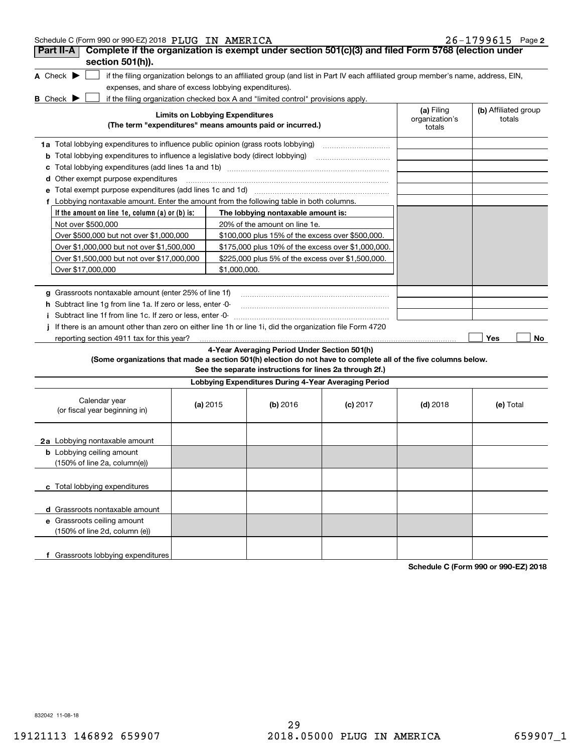| Schedule C (Form 990 or 990-EZ) 2018 PLUG IN AMERICA |  |  | $26 - 1799615$ Page 2 |  |
|------------------------------------------------------|--|--|-----------------------|--|
|------------------------------------------------------|--|--|-----------------------|--|

| Part II-A<br>Complete if the organization is exempt under section 501(c)(3) and filed Form 5768 (election under<br>section 501(h)).                                                                                                                                                               |                                                                                                     |                                                         |                                                                                                                                   |            |           |
|---------------------------------------------------------------------------------------------------------------------------------------------------------------------------------------------------------------------------------------------------------------------------------------------------|-----------------------------------------------------------------------------------------------------|---------------------------------------------------------|-----------------------------------------------------------------------------------------------------------------------------------|------------|-----------|
| A Check $\blacktriangleright$                                                                                                                                                                                                                                                                     |                                                                                                     |                                                         | if the filing organization belongs to an affiliated group (and list in Part IV each affiliated group member's name, address, EIN, |            |           |
| expenses, and share of excess lobbying expenditures).                                                                                                                                                                                                                                             |                                                                                                     |                                                         |                                                                                                                                   |            |           |
| if the filing organization checked box A and "limited control" provisions apply.<br><b>B</b> Check <b>D</b>                                                                                                                                                                                       |                                                                                                     |                                                         |                                                                                                                                   |            |           |
|                                                                                                                                                                                                                                                                                                   | <b>Limits on Lobbying Expenditures</b><br>(The term "expenditures" means amounts paid or incurred.) |                                                         |                                                                                                                                   |            |           |
| 1a Total lobbying expenditures to influence public opinion (grass roots lobbying)                                                                                                                                                                                                                 |                                                                                                     |                                                         |                                                                                                                                   |            |           |
| <b>b</b> Total lobbying expenditures to influence a legislative body (direct lobbying)                                                                                                                                                                                                            |                                                                                                     |                                                         |                                                                                                                                   |            |           |
|                                                                                                                                                                                                                                                                                                   |                                                                                                     |                                                         |                                                                                                                                   |            |           |
| d Other exempt purpose expenditures                                                                                                                                                                                                                                                               |                                                                                                     |                                                         |                                                                                                                                   |            |           |
| Total exempt purpose expenditures (add lines 1c and 1d)                                                                                                                                                                                                                                           |                                                                                                     |                                                         |                                                                                                                                   |            |           |
| f Lobbying nontaxable amount. Enter the amount from the following table in both columns.                                                                                                                                                                                                          |                                                                                                     |                                                         |                                                                                                                                   |            |           |
| If the amount on line 1e, column $(a)$ or $(b)$ is:                                                                                                                                                                                                                                               |                                                                                                     | The lobbying nontaxable amount is:                      |                                                                                                                                   |            |           |
| Not over \$500,000                                                                                                                                                                                                                                                                                |                                                                                                     | 20% of the amount on line 1e.                           |                                                                                                                                   |            |           |
| Over \$500,000 but not over \$1,000,000                                                                                                                                                                                                                                                           |                                                                                                     | \$100,000 plus 15% of the excess over \$500,000.        |                                                                                                                                   |            |           |
| Over \$1,000,000 but not over \$1,500,000                                                                                                                                                                                                                                                         |                                                                                                     | \$175,000 plus 10% of the excess over \$1,000,000.      |                                                                                                                                   |            |           |
| Over \$1,500,000 but not over \$17,000,000                                                                                                                                                                                                                                                        |                                                                                                     | \$225,000 plus 5% of the excess over \$1,500,000.       |                                                                                                                                   |            |           |
| Over \$17,000,000                                                                                                                                                                                                                                                                                 | \$1,000,000.                                                                                        |                                                         |                                                                                                                                   |            |           |
| g Grassroots nontaxable amount (enter 25% of line 1f)<br><b>h</b> Subtract line 1g from line 1a. If zero or less, enter -0-<br>Subtract line 1f from line 1c. If zero or less, enter 0<br>If there is an amount other than zero on either line 1h or line 1i, did the organization file Form 4720 |                                                                                                     |                                                         |                                                                                                                                   |            |           |
| reporting section 4911 tax for this year?                                                                                                                                                                                                                                                         |                                                                                                     | 4-Year Averaging Period Under Section 501(h)            |                                                                                                                                   |            | Yes<br>No |
| (Some organizations that made a section 501(h) election do not have to complete all of the five columns below.                                                                                                                                                                                    |                                                                                                     | See the separate instructions for lines 2a through 2f.) |                                                                                                                                   |            |           |
|                                                                                                                                                                                                                                                                                                   |                                                                                                     | Lobbying Expenditures During 4-Year Averaging Period    |                                                                                                                                   |            |           |
| Calendar year<br>(or fiscal year beginning in)                                                                                                                                                                                                                                                    | (a) $2015$                                                                                          | (b) 2016                                                | $(c)$ 2017                                                                                                                        | $(d)$ 2018 | (e) Total |
| 2a Lobbying nontaxable amount                                                                                                                                                                                                                                                                     |                                                                                                     |                                                         |                                                                                                                                   |            |           |
| <b>b</b> Lobbying ceiling amount<br>(150% of line 2a, column(e))                                                                                                                                                                                                                                  |                                                                                                     |                                                         |                                                                                                                                   |            |           |
| c Total lobbying expenditures                                                                                                                                                                                                                                                                     |                                                                                                     |                                                         |                                                                                                                                   |            |           |
| d Grassroots nontaxable amount                                                                                                                                                                                                                                                                    |                                                                                                     |                                                         |                                                                                                                                   |            |           |
| e Grassroots ceiling amount                                                                                                                                                                                                                                                                       |                                                                                                     |                                                         |                                                                                                                                   |            |           |
| (150% of line 2d, column (e))                                                                                                                                                                                                                                                                     |                                                                                                     |                                                         |                                                                                                                                   |            |           |
| f Grassroots lobbying expenditures                                                                                                                                                                                                                                                                |                                                                                                     |                                                         |                                                                                                                                   |            |           |

**Schedule C (Form 990 or 990-EZ) 2018**

832042 11-08-18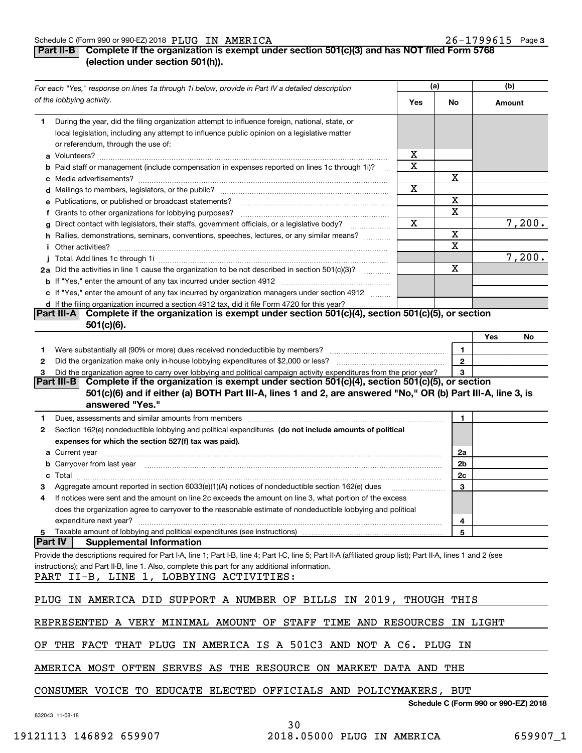### Schedule C (Form 990 or 990-EZ) 2018  $\, {\rm PLUG} \,$   $\, {\rm IMERICA} \,$  . The contract contract contract contract contract contract contract contract contract contract contract contract contract contract contract contract contract PLUG IN AMERICA 26-1799615

# **3**

# **Part II-B Complete if the organization is exempt under section 501(c)(3) and has NOT filed Form 5768 (election under section 501(h)).**

|   | For each "Yes," response on lines 1a through 1i below, provide in Part IV a detailed description                                                                                                                                          |             | (a)                                  |          | (b)    |
|---|-------------------------------------------------------------------------------------------------------------------------------------------------------------------------------------------------------------------------------------------|-------------|--------------------------------------|----------|--------|
|   | of the lobbying activity.                                                                                                                                                                                                                 | Yes         | No                                   | Amount   |        |
| 1 | During the year, did the filing organization attempt to influence foreign, national, state, or<br>local legislation, including any attempt to influence public opinion on a legislative matter<br>or referendum, through the use of:      |             |                                      |          |        |
|   |                                                                                                                                                                                                                                           | х           |                                      |          |        |
|   | b Paid staff or management (include compensation in expenses reported on lines 1c through 1i)?<br>$\mathbf{r}$                                                                                                                            | $\mathbf X$ |                                      |          |        |
|   |                                                                                                                                                                                                                                           |             | х                                    |          |        |
|   |                                                                                                                                                                                                                                           | Х           |                                      |          |        |
|   | e Publications, or published or broadcast statements?                                                                                                                                                                                     |             | X                                    |          |        |
|   | f Grants to other organizations for lobbying purposes?                                                                                                                                                                                    |             | х                                    |          |        |
|   | g Direct contact with legislators, their staffs, government officials, or a legislative body?<br>.                                                                                                                                        | Х           |                                      |          | 7,200. |
|   | h Rallies, demonstrations, seminars, conventions, speeches, lectures, or any similar means?                                                                                                                                               |             | х                                    |          |        |
|   | <i>i</i> Other activities?                                                                                                                                                                                                                |             | X                                    |          |        |
|   |                                                                                                                                                                                                                                           |             |                                      |          | 7,200. |
|   | 2a Did the activities in line 1 cause the organization to be not described in section 501(c)(3)?                                                                                                                                          |             | х                                    |          |        |
|   |                                                                                                                                                                                                                                           |             |                                      |          |        |
|   | c If "Yes," enter the amount of any tax incurred by organization managers under section 4912                                                                                                                                              |             |                                      |          |        |
|   | d If the filing organization incurred a section 4912 tax, did it file Form 4720 for this year?                                                                                                                                            |             |                                      |          |        |
|   | Complete if the organization is exempt under section 501(c)(4), section 501(c)(5), or section<br><b>Part III-AI</b><br>$501(c)(6)$ .                                                                                                      |             |                                      |          |        |
|   |                                                                                                                                                                                                                                           |             |                                      | Yes      | No     |
| 1 |                                                                                                                                                                                                                                           |             | 1                                    |          |        |
| 2 |                                                                                                                                                                                                                                           |             | $\mathbf{2}$                         |          |        |
| 3 | Did the organization agree to carry over lobbying and political campaign activity expenditures from the prior year?                                                                                                                       |             | 3                                    |          |        |
|   | Complete if the organization is exempt under section 501(c)(4), section 501(c)(5), or section<br> Part III-B                                                                                                                              |             |                                      |          |        |
|   | 501(c)(6) and if either (a) BOTH Part III-A, lines 1 and 2, are answered "No," OR (b) Part III-A, line 3, is<br>answered "Yes."                                                                                                           |             |                                      |          |        |
| 1 | Dues, assessments and similar amounts from members [11] matter content to the state of the state of the state of the state of the state of the state of the state of the state of the state of the state of the state of the s            |             | 1                                    |          |        |
| 2 | Section 162(e) nondeductible lobbying and political expenditures (do not include amounts of political                                                                                                                                     |             |                                      |          |        |
|   | expenses for which the section 527(f) tax was paid).                                                                                                                                                                                      |             |                                      |          |        |
|   |                                                                                                                                                                                                                                           |             | 2a                                   |          |        |
|   | <b>a</b> Current year                                                                                                                                                                                                                     |             | 2 <sub>b</sub>                       |          |        |
|   | <b>b</b> Carryover from last year <i>maching and a content of the content of the content of the content of the content of the content of the content of the content of the content of the content of the content of the content of th</i> |             |                                      |          |        |
|   |                                                                                                                                                                                                                                           |             | 2c                                   |          |        |
| з | Aggregate amount reported in section 6033(e)(1)(A) notices of nondeductible section 162(e) dues                                                                                                                                           |             | з                                    |          |        |
| 4 | If notices were sent and the amount on line 2c exceeds the amount on line 3, what portion of the excess                                                                                                                                   |             |                                      |          |        |
|   | does the organization agree to carryover to the reasonable estimate of nondeductible lobbying and political                                                                                                                               |             |                                      |          |        |
|   | expenditure next year?                                                                                                                                                                                                                    |             | 4                                    |          |        |
| 5 | Taxable amount of lobbying and political expenditures (see instructions)<br> Part IV <br><b>Supplemental Information</b>                                                                                                                  |             | 5                                    |          |        |
|   |                                                                                                                                                                                                                                           |             |                                      |          |        |
|   | Provide the descriptions required for Part I-A, line 1; Part I-B, line 4; Part I-C, line 5; Part II-A (affiliated group list); Part II-A, lines 1 and 2 (see                                                                              |             |                                      |          |        |
|   | instructions); and Part II-B, line 1. Also, complete this part for any additional information.                                                                                                                                            |             |                                      |          |        |
|   | PART II-B, LINE 1, LOBBYING ACTIVITIES:                                                                                                                                                                                                   |             |                                      |          |        |
|   |                                                                                                                                                                                                                                           |             |                                      |          |        |
|   | PLUG IN AMERICA DID SUPPORT A NUMBER OF BILLS IN 2019, THOUGH THIS                                                                                                                                                                        |             |                                      |          |        |
|   |                                                                                                                                                                                                                                           |             |                                      |          |        |
|   | REPRESENTED A VERY MINIMAL AMOUNT OF STAFF TIME AND RESOURCES                                                                                                                                                                             |             |                                      | IN LIGHT |        |
|   | OF THE FACT THAT PLUG IN AMERICA IS A 501C3 AND NOT A C6. PLUG IN                                                                                                                                                                         |             |                                      |          |        |
|   | AMERICA MOST OFTEN SERVES AS THE RESOURCE ON MARKET DATA AND THE                                                                                                                                                                          |             |                                      |          |        |
|   | CONSUMER VOICE TO EDUCATE ELECTED OFFICIALS AND POLICYMAKERS, BUT                                                                                                                                                                         |             |                                      |          |        |
|   |                                                                                                                                                                                                                                           |             | Schedule C (Form 990 or 990-EZ) 2018 |          |        |
|   | 832043 11-08-18                                                                                                                                                                                                                           |             |                                      |          |        |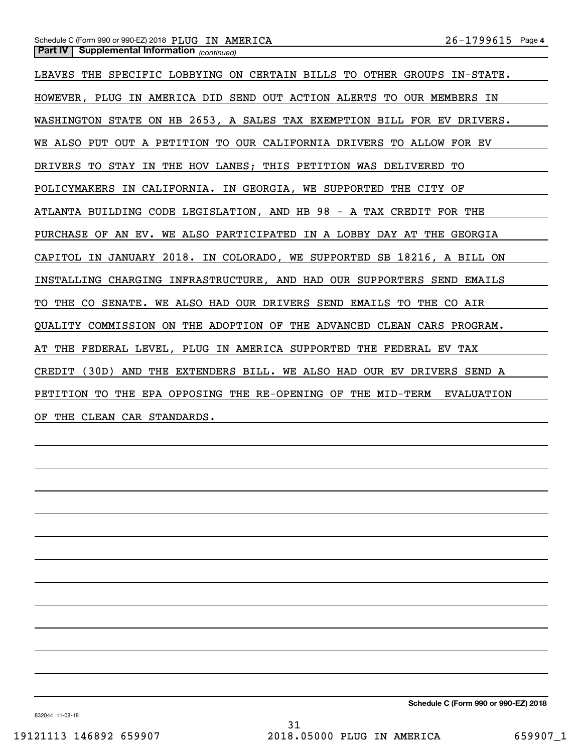# *(continued)* **Part IV Supplemental Information**  Schedule C (Form 990 or 990-EZ) 2018 Page PLUG IN AMERICA 26-1799615

LEAVES THE SPECIFIC LOBBYING ON CERTAIN BILLS TO OTHER GROUPS IN-STATE. HOWEVER, PLUG IN AMERICA DID SEND OUT ACTION ALERTS TO OUR MEMBERS IN WASHINGTON STATE ON HB 2653, A SALES TAX EXEMPTION BILL FOR EV DRIVERS. WE ALSO PUT OUT A PETITION TO OUR CALIFORNIA DRIVERS TO ALLOW FOR EV DRIVERS TO STAY IN THE HOV LANES; THIS PETITION WAS DELIVERED TO POLICYMAKERS IN CALIFORNIA. IN GEORGIA, WE SUPPORTED THE CITY OF ATLANTA BUILDING CODE LEGISLATION, AND HB 98 - A TAX CREDIT FOR THE PURCHASE OF AN EV. WE ALSO PARTICIPATED IN A LOBBY DAY AT THE GEORGIA CAPITOL IN JANUARY 2018. IN COLORADO, WE SUPPORTED SB 18216, A BILL ON INSTALLING CHARGING INFRASTRUCTURE, AND HAD OUR SUPPORTERS SEND EMAILS TO THE CO SENATE. WE ALSO HAD OUR DRIVERS SEND EMAILS TO THE CO AIR QUALITY COMMISSION ON THE ADOPTION OF THE ADVANCED CLEAN CARS PROGRAM. AT THE FEDERAL LEVEL, PLUG IN AMERICA SUPPORTED THE FEDERAL EV TAX CREDIT (30D) AND THE EXTENDERS BILL. WE ALSO HAD OUR EV DRIVERS SEND A PETITION TO THE EPA OPPOSING THE RE-OPENING OF THE MID-TERM EVALUATION OF THE CLEAN CAR STANDARDS.

**Schedule C (Form 990 or 990-EZ) 2018**

832044 11-08-18

31 19121113 146892 659907 2018.05000 PLUG IN AMERICA 659907\_1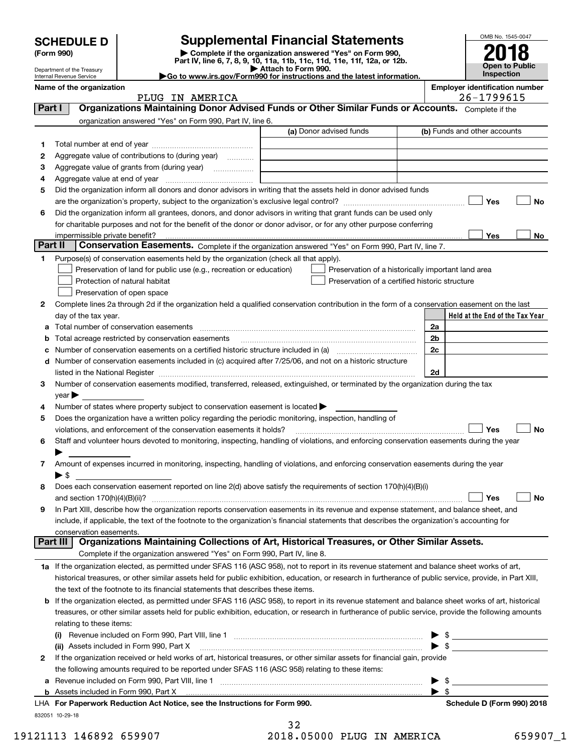| <b>SCHEDULE D</b> |  |
|-------------------|--|
|-------------------|--|

Department of the Treasury

# **SCHEDULE D Supplemental Financial Statements**

(Form 990)<br>
Pepartment of the Treasury<br>
Department of the Treasury<br>
Department of the Treasury<br>
Department of the Treasury<br> **Co to www.irs.gov/Form990 for instructions and the latest information.**<br> **Co to www.irs.gov/Form9** 



Internal Revenue Service

| . |                       |  |
|---|-----------------------|--|
|   | o of the organization |  |

Name of the organization<br>**PITIG TN AMERTCA Employer identification number**<br>26-1799615

|                | PLUG IN AMERICA                                                                                                                                            |                         | 26-1799615                                         |    |
|----------------|------------------------------------------------------------------------------------------------------------------------------------------------------------|-------------------------|----------------------------------------------------|----|
| Part I         | Organizations Maintaining Donor Advised Funds or Other Similar Funds or Accounts. Complete if the                                                          |                         |                                                    |    |
|                | organization answered "Yes" on Form 990, Part IV, line 6.                                                                                                  |                         |                                                    |    |
|                |                                                                                                                                                            | (a) Donor advised funds | (b) Funds and other accounts                       |    |
| 1.             |                                                                                                                                                            |                         |                                                    |    |
| 2              | Aggregate value of contributions to (during year)                                                                                                          |                         |                                                    |    |
| з              | Aggregate value of grants from (during year)                                                                                                               |                         |                                                    |    |
| 4              |                                                                                                                                                            |                         |                                                    |    |
| 5              | Did the organization inform all donors and donor advisors in writing that the assets held in donor advised funds                                           |                         |                                                    |    |
|                |                                                                                                                                                            |                         | Yes                                                | No |
| 6              | Did the organization inform all grantees, donors, and donor advisors in writing that grant funds can be used only                                          |                         |                                                    |    |
|                | for charitable purposes and not for the benefit of the donor or donor advisor, or for any other purpose conferring                                         |                         |                                                    |    |
|                | impermissible private benefit?                                                                                                                             |                         | Yes                                                | No |
| <b>Part II</b> | Conservation Easements. Complete if the organization answered "Yes" on Form 990, Part IV, line 7.                                                          |                         |                                                    |    |
| 1.             | Purpose(s) of conservation easements held by the organization (check all that apply).                                                                      |                         |                                                    |    |
|                | Preservation of land for public use (e.g., recreation or education)                                                                                        |                         | Preservation of a historically important land area |    |
|                | Protection of natural habitat                                                                                                                              |                         | Preservation of a certified historic structure     |    |
|                | Preservation of open space                                                                                                                                 |                         |                                                    |    |
| 2              | Complete lines 2a through 2d if the organization held a qualified conservation contribution in the form of a conservation easement on the last             |                         |                                                    |    |
|                | day of the tax year.                                                                                                                                       |                         | Held at the End of the Tax Year                    |    |
| a              | Total number of conservation easements                                                                                                                     |                         | 2a                                                 |    |
|                | Total acreage restricted by conservation easements                                                                                                         |                         | 2b                                                 |    |
|                |                                                                                                                                                            |                         | 2c                                                 |    |
| d              | Number of conservation easements included in (c) acquired after 7/25/06, and not on a historic structure                                                   |                         |                                                    |    |
|                | listed in the National Register [111] [12] states and the National Register [12] states and the National Register                                          |                         | 2d                                                 |    |
| 3              | Number of conservation easements modified, transferred, released, extinguished, or terminated by the organization during the tax                           |                         |                                                    |    |
|                | year                                                                                                                                                       |                         |                                                    |    |
| 4              | Number of states where property subject to conservation easement is located >                                                                              |                         |                                                    |    |
| 5              | Does the organization have a written policy regarding the periodic monitoring, inspection, handling of                                                     |                         |                                                    |    |
|                | violations, and enforcement of the conservation easements it holds?                                                                                        |                         | Yes                                                | No |
| 6              | Staff and volunteer hours devoted to monitoring, inspecting, handling of violations, and enforcing conservation easements during the year                  |                         |                                                    |    |
|                |                                                                                                                                                            |                         |                                                    |    |
| 7              | Amount of expenses incurred in monitoring, inspecting, handling of violations, and enforcing conservation easements during the year                        |                         |                                                    |    |
|                | ▶ \$                                                                                                                                                       |                         |                                                    |    |
| 8              | Does each conservation easement reported on line 2(d) above satisfy the requirements of section 170(h)(4)(B)(i)                                            |                         |                                                    |    |
|                |                                                                                                                                                            |                         | Yes                                                | No |
| 9              | In Part XIII, describe how the organization reports conservation easements in its revenue and expense statement, and balance sheet, and                    |                         |                                                    |    |
|                | include, if applicable, the text of the footnote to the organization's financial statements that describes the organization's accounting for               |                         |                                                    |    |
|                | conservation easements.                                                                                                                                    |                         |                                                    |    |
| Part III       | Organizations Maintaining Collections of Art, Historical Treasures, or Other Similar Assets.                                                               |                         |                                                    |    |
|                | Complete if the organization answered "Yes" on Form 990, Part IV, line 8.                                                                                  |                         |                                                    |    |
|                | 1a If the organization elected, as permitted under SFAS 116 (ASC 958), not to report in its revenue statement and balance sheet works of art,              |                         |                                                    |    |
|                | historical treasures, or other similar assets held for public exhibition, education, or research in furtherance of public service, provide, in Part XIII,  |                         |                                                    |    |
|                | the text of the footnote to its financial statements that describes these items.                                                                           |                         |                                                    |    |
|                | <b>b</b> If the organization elected, as permitted under SFAS 116 (ASC 958), to report in its revenue statement and balance sheet works of art, historical |                         |                                                    |    |
|                | treasures, or other similar assets held for public exhibition, education, or research in furtherance of public service, provide the following amounts      |                         |                                                    |    |
|                | relating to these items:                                                                                                                                   |                         |                                                    |    |
|                | Revenue included on Form 990, Part VIII, line 1 [2000] [2000] [2000] [2000] [2000] [2000] [2000] [2000] [2000                                              |                         |                                                    |    |
|                | (ii) Assets included in Form 990, Part X                                                                                                                   |                         | $\blacktriangleright$ \$                           |    |
| 2              | If the organization received or held works of art, historical treasures, or other similar assets for financial gain, provide                               |                         |                                                    |    |
|                | the following amounts required to be reported under SFAS 116 (ASC 958) relating to these items:                                                            |                         |                                                    |    |
| а              |                                                                                                                                                            |                         | \$                                                 |    |
| b              | Assets included in Form 990, Part X                                                                                                                        |                         | $\blacktriangleright$ s                            |    |
|                | LHA For Paperwork Reduction Act Notice, see the Instructions for Form 990.                                                                                 |                         | Schedule D (Form 990) 2018                         |    |

832051 10-29-18

32 19121113 146892 659907 2018.05000 PLUG IN AMERICA 659907\_1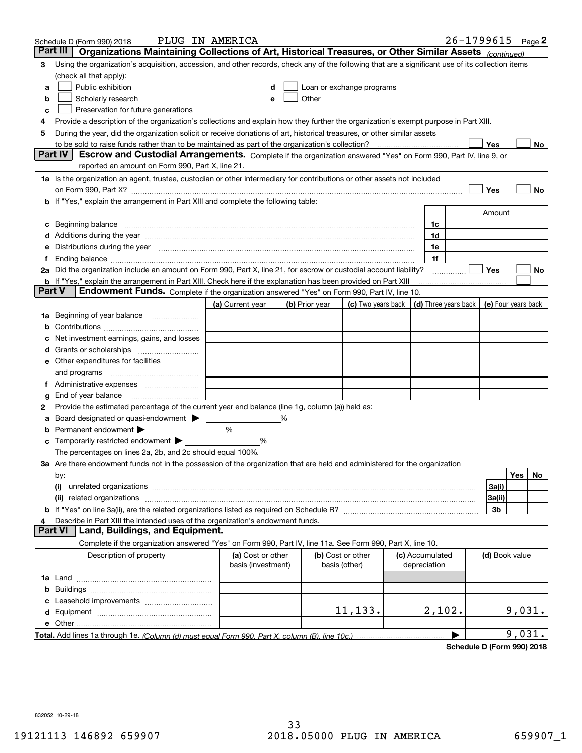|        | Schedule D (Form 990) 2018                                                                                                                                                                                                     | PLUG IN AMERICA    |   |                |                                                                                                                                                                                                                               |                      | $26 - 1799615$ Page 2 |                     |        |    |
|--------|--------------------------------------------------------------------------------------------------------------------------------------------------------------------------------------------------------------------------------|--------------------|---|----------------|-------------------------------------------------------------------------------------------------------------------------------------------------------------------------------------------------------------------------------|----------------------|-----------------------|---------------------|--------|----|
|        | Part III<br>Organizations Maintaining Collections of Art, Historical Treasures, or Other Similar Assets (continued)                                                                                                            |                    |   |                |                                                                                                                                                                                                                               |                      |                       |                     |        |    |
| 3      | Using the organization's acquisition, accession, and other records, check any of the following that are a significant use of its collection items                                                                              |                    |   |                |                                                                                                                                                                                                                               |                      |                       |                     |        |    |
|        | (check all that apply):                                                                                                                                                                                                        |                    |   |                |                                                                                                                                                                                                                               |                      |                       |                     |        |    |
| a      | Public exhibition                                                                                                                                                                                                              |                    |   |                | Loan or exchange programs                                                                                                                                                                                                     |                      |                       |                     |        |    |
| b      | Scholarly research                                                                                                                                                                                                             |                    |   |                | Other and the contract of the contract of the contract of the contract of the contract of the contract of the contract of the contract of the contract of the contract of the contract of the contract of the contract of the |                      |                       |                     |        |    |
| с      | Preservation for future generations                                                                                                                                                                                            |                    |   |                |                                                                                                                                                                                                                               |                      |                       |                     |        |    |
| 4      | Provide a description of the organization's collections and explain how they further the organization's exempt purpose in Part XIII.                                                                                           |                    |   |                |                                                                                                                                                                                                                               |                      |                       |                     |        |    |
| 5      | During the year, did the organization solicit or receive donations of art, historical treasures, or other similar assets                                                                                                       |                    |   |                |                                                                                                                                                                                                                               |                      |                       |                     |        |    |
|        | to be sold to raise funds rather than to be maintained as part of the organization's collection?                                                                                                                               |                    |   |                |                                                                                                                                                                                                                               |                      |                       | Yes                 |        | No |
|        | Escrow and Custodial Arrangements. Complete if the organization answered "Yes" on Form 990, Part IV, line 9, or<br><b>Part IV</b>                                                                                              |                    |   |                |                                                                                                                                                                                                                               |                      |                       |                     |        |    |
|        | reported an amount on Form 990, Part X, line 21.                                                                                                                                                                               |                    |   |                |                                                                                                                                                                                                                               |                      |                       |                     |        |    |
|        | 1a Is the organization an agent, trustee, custodian or other intermediary for contributions or other assets not included                                                                                                       |                    |   |                |                                                                                                                                                                                                                               |                      |                       |                     |        |    |
|        | on Form 990, Part X? [11] matter contracts and contracts and contracts are contracted and contracts are contracted and contract and contract of the contract of the contract of the contract of the contract of the contract o |                    |   |                |                                                                                                                                                                                                                               |                      |                       | Yes                 |        | No |
|        | If "Yes," explain the arrangement in Part XIII and complete the following table:                                                                                                                                               |                    |   |                |                                                                                                                                                                                                                               |                      |                       |                     |        |    |
|        |                                                                                                                                                                                                                                |                    |   |                |                                                                                                                                                                                                                               |                      |                       | Amount              |        |    |
| с      |                                                                                                                                                                                                                                |                    |   |                |                                                                                                                                                                                                                               | 1c                   |                       |                     |        |    |
|        | Additions during the year manufactured and an account of the year manufactured and account of the year manufactured and account of the state of the state of the state of the state of the state of the state of the state of  |                    |   |                |                                                                                                                                                                                                                               | 1d                   |                       |                     |        |    |
| е      | Distributions during the year manufactured and contain an account of the year manufactured and the year manufactured and the year manufactured and the year manufactured and the year manufactured and the state of the state  |                    |   |                |                                                                                                                                                                                                                               | 1e                   |                       |                     |        |    |
| Ť.     |                                                                                                                                                                                                                                |                    |   |                |                                                                                                                                                                                                                               | 1f                   |                       |                     |        |    |
|        | 2a Did the organization include an amount on Form 990, Part X, line 21, for escrow or custodial account liability?                                                                                                             |                    |   |                |                                                                                                                                                                                                                               |                      |                       | Yes                 |        | No |
| Part V | <b>b</b> If "Yes," explain the arrangement in Part XIII. Check here if the explanation has been provided on Part XIII                                                                                                          |                    |   |                |                                                                                                                                                                                                                               |                      |                       |                     |        |    |
|        | Endowment Funds. Complete if the organization answered "Yes" on Form 990, Part IV, line 10.                                                                                                                                    |                    |   |                |                                                                                                                                                                                                                               |                      |                       |                     |        |    |
|        |                                                                                                                                                                                                                                | (a) Current year   |   | (b) Prior year | (c) Two years back                                                                                                                                                                                                            | (d) Three years back |                       | (e) Four years back |        |    |
| 1a     | Beginning of year balance                                                                                                                                                                                                      |                    |   |                |                                                                                                                                                                                                                               |                      |                       |                     |        |    |
| b      |                                                                                                                                                                                                                                |                    |   |                |                                                                                                                                                                                                                               |                      |                       |                     |        |    |
|        | Net investment earnings, gains, and losses                                                                                                                                                                                     |                    |   |                |                                                                                                                                                                                                                               |                      |                       |                     |        |    |
| a      |                                                                                                                                                                                                                                |                    |   |                |                                                                                                                                                                                                                               |                      |                       |                     |        |    |
| е      | Other expenditures for facilities                                                                                                                                                                                              |                    |   |                |                                                                                                                                                                                                                               |                      |                       |                     |        |    |
|        | and programs                                                                                                                                                                                                                   |                    |   |                |                                                                                                                                                                                                                               |                      |                       |                     |        |    |
|        |                                                                                                                                                                                                                                |                    |   |                |                                                                                                                                                                                                                               |                      |                       |                     |        |    |
| g      | End of year balance                                                                                                                                                                                                            |                    |   |                |                                                                                                                                                                                                                               |                      |                       |                     |        |    |
| 2      | Provide the estimated percentage of the current year end balance (line 1g, column (a)) held as:                                                                                                                                |                    |   |                |                                                                                                                                                                                                                               |                      |                       |                     |        |    |
| а      | Board designated or quasi-endowment<br>Permanent endowment $\blacktriangleright$                                                                                                                                               | %                  | % |                |                                                                                                                                                                                                                               |                      |                       |                     |        |    |
|        |                                                                                                                                                                                                                                |                    |   |                |                                                                                                                                                                                                                               |                      |                       |                     |        |    |
| с      | Temporarily restricted endowment >                                                                                                                                                                                             | %                  |   |                |                                                                                                                                                                                                                               |                      |                       |                     |        |    |
|        | The percentages on lines 2a, 2b, and 2c should equal 100%.<br>3a Are there endowment funds not in the possession of the organization that are held and administered for the organization                                       |                    |   |                |                                                                                                                                                                                                                               |                      |                       |                     |        |    |
|        |                                                                                                                                                                                                                                |                    |   |                |                                                                                                                                                                                                                               |                      |                       |                     | Yes    | No |
|        | by:<br>(i)                                                                                                                                                                                                                     |                    |   |                |                                                                                                                                                                                                                               |                      |                       | 3a(i)               |        |    |
|        |                                                                                                                                                                                                                                |                    |   |                |                                                                                                                                                                                                                               |                      |                       | 3a(ii)              |        |    |
|        |                                                                                                                                                                                                                                |                    |   |                |                                                                                                                                                                                                                               |                      |                       | 3b                  |        |    |
|        | Describe in Part XIII the intended uses of the organization's endowment funds.                                                                                                                                                 |                    |   |                |                                                                                                                                                                                                                               |                      |                       |                     |        |    |
|        | Land, Buildings, and Equipment.<br><b>Part VI</b>                                                                                                                                                                              |                    |   |                |                                                                                                                                                                                                                               |                      |                       |                     |        |    |
|        | Complete if the organization answered "Yes" on Form 990, Part IV, line 11a. See Form 990, Part X, line 10.                                                                                                                     |                    |   |                |                                                                                                                                                                                                                               |                      |                       |                     |        |    |
|        | Description of property                                                                                                                                                                                                        | (a) Cost or other  |   |                | (b) Cost or other                                                                                                                                                                                                             | (c) Accumulated      |                       | (d) Book value      |        |    |
|        |                                                                                                                                                                                                                                | basis (investment) |   |                | basis (other)                                                                                                                                                                                                                 | depreciation         |                       |                     |        |    |
|        |                                                                                                                                                                                                                                |                    |   |                |                                                                                                                                                                                                                               |                      |                       |                     |        |    |
| b      |                                                                                                                                                                                                                                |                    |   |                |                                                                                                                                                                                                                               |                      |                       |                     |        |    |
|        |                                                                                                                                                                                                                                |                    |   |                |                                                                                                                                                                                                                               |                      |                       |                     |        |    |
|        |                                                                                                                                                                                                                                |                    |   |                | 11,133.                                                                                                                                                                                                                       | 2,102.               |                       |                     | 9,031. |    |
|        |                                                                                                                                                                                                                                |                    |   |                |                                                                                                                                                                                                                               |                      |                       |                     |        |    |
|        |                                                                                                                                                                                                                                |                    |   |                |                                                                                                                                                                                                                               |                      |                       |                     | 9,031. |    |
|        |                                                                                                                                                                                                                                |                    |   |                |                                                                                                                                                                                                                               |                      |                       |                     |        |    |

**Schedule D (Form 990) 2018**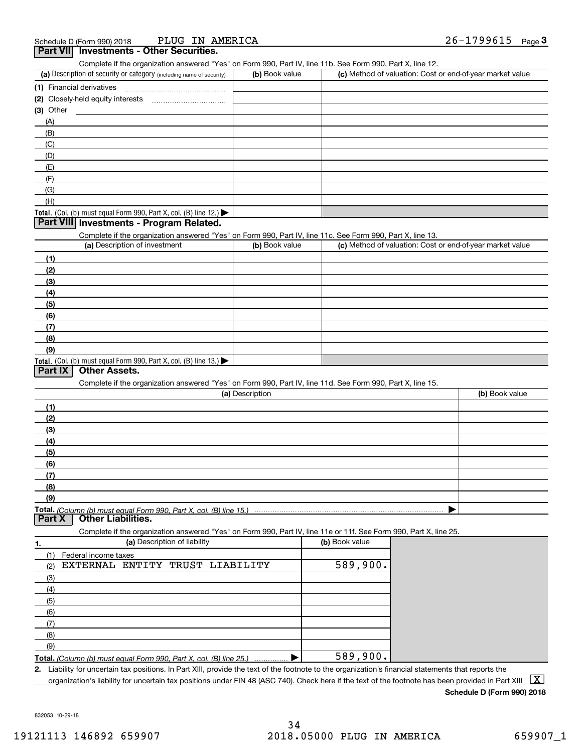| PLUG IN AMERICA<br>Schedule D (Form 990) 2018                                                                                                                                      |                 |                | 26-1799615<br>Page $3$                                    |
|------------------------------------------------------------------------------------------------------------------------------------------------------------------------------------|-----------------|----------------|-----------------------------------------------------------|
| <b>Investments - Other Securities.</b><br><b>Part VII</b>                                                                                                                          |                 |                |                                                           |
| Complete if the organization answered "Yes" on Form 990, Part IV, line 11b. See Form 990, Part X, line 12.<br>(a) Description of security or category (including name of security) | (b) Book value  |                | (c) Method of valuation: Cost or end-of-year market value |
|                                                                                                                                                                                    |                 |                |                                                           |
|                                                                                                                                                                                    |                 |                |                                                           |
| (3) Other                                                                                                                                                                          |                 |                |                                                           |
| (A)                                                                                                                                                                                |                 |                |                                                           |
| (B)                                                                                                                                                                                |                 |                |                                                           |
| (C)                                                                                                                                                                                |                 |                |                                                           |
| (D)                                                                                                                                                                                |                 |                |                                                           |
| (E)                                                                                                                                                                                |                 |                |                                                           |
| (F)                                                                                                                                                                                |                 |                |                                                           |
| (G)                                                                                                                                                                                |                 |                |                                                           |
| (H)                                                                                                                                                                                |                 |                |                                                           |
| Total. (Col. (b) must equal Form 990, Part X, col. (B) line 12.) $\blacktriangleright$                                                                                             |                 |                |                                                           |
| Part VIII Investments - Program Related.                                                                                                                                           |                 |                |                                                           |
| Complete if the organization answered "Yes" on Form 990, Part IV, line 11c. See Form 990, Part X, line 13.                                                                         |                 |                |                                                           |
| (a) Description of investment                                                                                                                                                      | (b) Book value  |                | (c) Method of valuation: Cost or end-of-year market value |
| (1)                                                                                                                                                                                |                 |                |                                                           |
| (2)                                                                                                                                                                                |                 |                |                                                           |
| (3)                                                                                                                                                                                |                 |                |                                                           |
| (4)                                                                                                                                                                                |                 |                |                                                           |
| (5)                                                                                                                                                                                |                 |                |                                                           |
| (6)                                                                                                                                                                                |                 |                |                                                           |
| (7)                                                                                                                                                                                |                 |                |                                                           |
| (8)                                                                                                                                                                                |                 |                |                                                           |
| (9)                                                                                                                                                                                |                 |                |                                                           |
| Total. (Col. (b) must equal Form 990, Part X, col. (B) line 13.)                                                                                                                   |                 |                |                                                           |
| <b>Other Assets.</b><br>Part IX                                                                                                                                                    |                 |                |                                                           |
| Complete if the organization answered "Yes" on Form 990, Part IV, line 11d. See Form 990, Part X, line 15.                                                                         |                 |                |                                                           |
|                                                                                                                                                                                    | (a) Description |                | (b) Book value                                            |
| (1)                                                                                                                                                                                |                 |                |                                                           |
| (2)                                                                                                                                                                                |                 |                |                                                           |
| (3)                                                                                                                                                                                |                 |                |                                                           |
| (4)                                                                                                                                                                                |                 |                |                                                           |
| (5)                                                                                                                                                                                |                 |                |                                                           |
| $6$                                                                                                                                                                                |                 |                |                                                           |
| (7)                                                                                                                                                                                |                 |                |                                                           |
| (8)<br>(9)                                                                                                                                                                         |                 |                |                                                           |
|                                                                                                                                                                                    |                 |                |                                                           |
| Total. (Column (b) must equal Form 990. Part X. col. (B) line 15.)<br><b>Other Liabilities.</b><br><b>Part X</b>                                                                   | .               |                |                                                           |
| Complete if the organization answered "Yes" on Form 990, Part IV, line 11e or 11f. See Form 990, Part X, line 25.                                                                  |                 |                |                                                           |
| (a) Description of liability<br>1.                                                                                                                                                 |                 | (b) Book value |                                                           |
| (1)<br>Federal income taxes                                                                                                                                                        |                 |                |                                                           |
| EXTERNAL ENTITY<br>TRUST LIABILITY<br>(2)                                                                                                                                          |                 | 589,900.       |                                                           |
| (3)                                                                                                                                                                                |                 |                |                                                           |
| (4)                                                                                                                                                                                |                 |                |                                                           |
| (5)                                                                                                                                                                                |                 |                |                                                           |
| (6)                                                                                                                                                                                |                 |                |                                                           |
| (7)                                                                                                                                                                                |                 |                |                                                           |
| (8)                                                                                                                                                                                |                 |                |                                                           |
| (9)                                                                                                                                                                                |                 |                |                                                           |
| Total. (Column (b) must equal Form 990, Part X, col. (B) line 25.)                                                                                                                 |                 | 589,900.       |                                                           |
| 2. Liability for uncertain tax positions. In Part XIII, provide the text of the footnote to the organization's financial statements that reports the                               |                 |                |                                                           |
| organization's liability for uncertain tax positions under FIN 48 (ASC 740). Check here if the text of the footnote has been provided in Part XIII                                 |                 |                | $\lfloor x \rfloor$                                       |

**Schedule D (Form 990) 2018**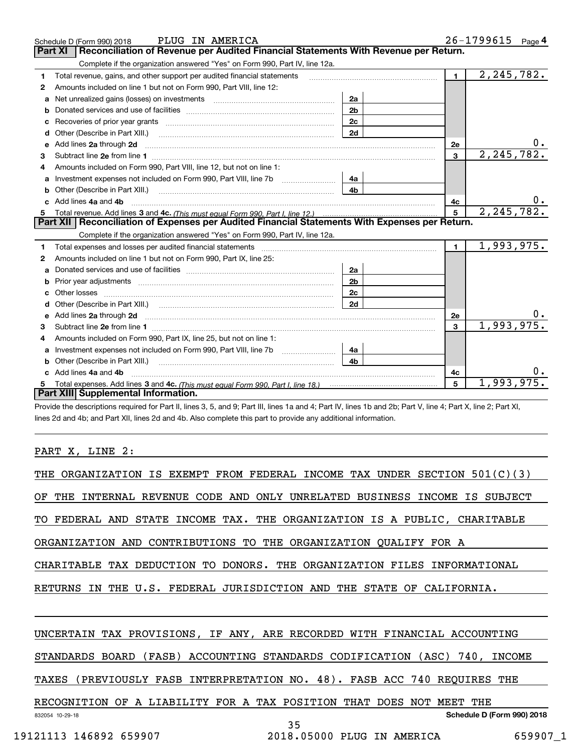|    | PLUG IN AMERICA<br>Schedule D (Form 990) 2018                                                                       |                |                | $26 - 1799615$ Page 4 |
|----|---------------------------------------------------------------------------------------------------------------------|----------------|----------------|-----------------------|
|    | Reconciliation of Revenue per Audited Financial Statements With Revenue per Return.<br><b>Part XI</b>               |                |                |                       |
|    | Complete if the organization answered "Yes" on Form 990, Part IV, line 12a.                                         |                |                |                       |
| 1  | Total revenue, gains, and other support per audited financial statements                                            |                | $\mathbf 1$    | 2, 245, 782.          |
| 2  | Amounts included on line 1 but not on Form 990, Part VIII, line 12:                                                 |                |                |                       |
| a  | Net unrealized gains (losses) on investments [11] matter contracts and the unrealized gains (losses) on investments | 2a             |                |                       |
| b  |                                                                                                                     | 2 <sub>b</sub> |                |                       |
| c  |                                                                                                                     | 2c             |                |                       |
| d  | Other (Describe in Part XIII.)                                                                                      | 2d             |                |                       |
| e  | Add lines 2a through 2d                                                                                             |                | 2e             |                       |
| 3  |                                                                                                                     |                | $\overline{3}$ | 2, 245, 782.          |
|    | Amounts included on Form 990, Part VIII, line 12, but not on line 1:                                                |                |                |                       |
| a  |                                                                                                                     | 4a             |                |                       |
|    |                                                                                                                     | 4b             |                |                       |
|    | Add lines 4a and 4b                                                                                                 |                | 4c             |                       |
| 5  |                                                                                                                     |                | 5              | 2, 245, 782.          |
|    | Part XII   Reconciliation of Expenses per Audited Financial Statements With Expenses per Return.                    |                |                |                       |
|    | Complete if the organization answered "Yes" on Form 990, Part IV, line 12a.                                         |                |                |                       |
| 1. |                                                                                                                     |                | $\mathbf{1}$   | 1,993,975.            |
| 2  | Amounts included on line 1 but not on Form 990, Part IX, line 25:                                                   |                |                |                       |
| a  |                                                                                                                     | 2a             |                |                       |
| b  |                                                                                                                     | 2b             |                |                       |
| c  |                                                                                                                     | 2c             |                |                       |
|    |                                                                                                                     | 2d             |                |                       |
|    |                                                                                                                     |                | 2e             |                       |
| 3  |                                                                                                                     |                | 3              | 1,993,975.            |
| 4  | Amounts included on Form 990, Part IX, line 25, but not on line 1:                                                  |                |                |                       |
| a  |                                                                                                                     | 4a             |                |                       |
| b  |                                                                                                                     | 4b             |                |                       |
|    | Add lines 4a and 4b                                                                                                 |                | 4c             |                       |
|    |                                                                                                                     |                | 5              | 1,993,975.            |
|    | Part XIII Supplemental Information.                                                                                 |                |                |                       |

Provide the descriptions required for Part II, lines 3, 5, and 9; Part III, lines 1a and 4; Part IV, lines 1b and 2b; Part V, line 4; Part X, line 2; Part XI, lines 2d and 4b; and Part XII, lines 2d and 4b. Also complete this part to provide any additional information.

# PART X, LINE 2:

| UNDER SECTION $501(C)(3)$<br>ORGANIZATION IS EXEMPT FROM FEDERAL INCOME TAX<br>THE       |
|------------------------------------------------------------------------------------------|
| INTERNAL REVENUE CODE AND ONLY UNRELATED BUSINESS INCOME<br>OF<br>THE<br>IS SUBJECT      |
| STATE INCOME TAX. THE ORGANIZATION IS A PUBLIC, CHARITABLE<br>FEDERAL AND<br>TO.         |
| CONTRIBUTIONS TO THE ORGANIZATION QUALIFY FOR A<br>ORGANIZATION AND                      |
| CHARITABLE TAX DEDUCTION TO DONORS. THE ORGANIZATION FILES INFORMATIONAL                 |
| THE U.S. FEDERAL JURISDICTION AND<br>THE<br>STATE<br>RETURNS<br>OF.<br>CALIFORNIA.<br>IN |
|                                                                                          |
| UNCERTAIN TAX PROVISIONS, IF ANY, ARE RECORDED WITH FINANCIAL ACCOUNTING                 |
| (FASB) ACCOUNTING STANDARDS CODIFICATION (ASC)<br>740, INCOME<br>STANDARDS BOARD         |
| (PREVIOUSLY FASB INTERPRETATION NO. 48). FASB ACC 740 REQUIRES THE<br>TAXES              |
| RECOGNITION OF A LIABILITY FOR A TAX POSITION THAT<br>DOES NOT<br>MEET<br>THE            |
| Schedule D (Form 990) 2018<br>832054 10-29-18<br>35                                      |

19121113 146892 659907 2018.05000 PLUG IN AMERICA 659907\_1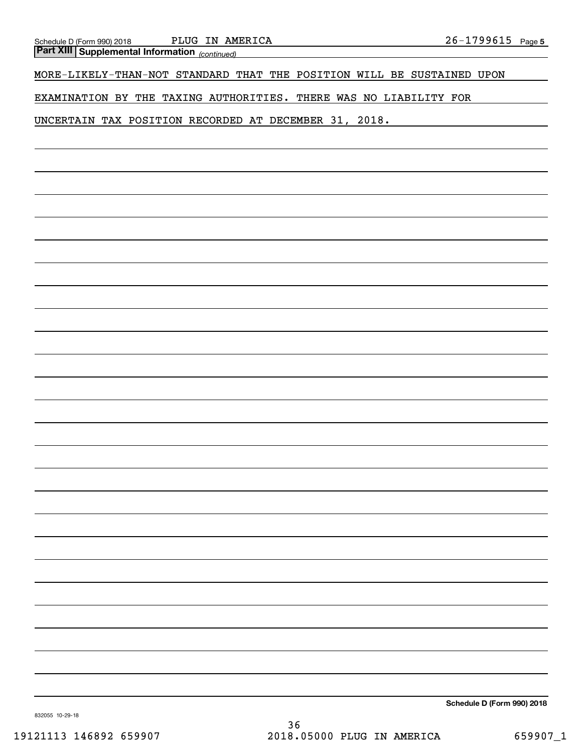*(continued)* **Part XIII Supplemental Information** 

MORE-LIKELY-THAN-NOT STANDARD THAT THE POSITION WILL BE SUSTAINED UPON

EXAMINATION BY THE TAXING AUTHORITIES. THERE WAS NO LIABILITY FOR

UNCERTAIN TAX POSITION RECORDED AT DECEMBER 31, 2018.

**Schedule D (Form 990) 2018**

832055 10-29-18

36 19121113 146892 659907 2018.05000 PLUG IN AMERICA 659907\_1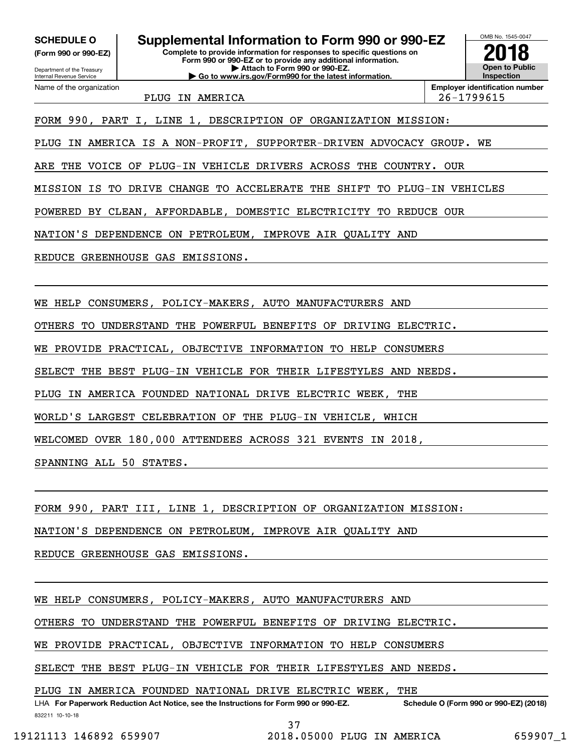**(Form 990 or 990-EZ)**

Department of the Treasury Internal Revenue Service Name of the organization

**Complete to provide information for responses to specific questions on Form 990 or 990-EZ or to provide any additional information. | Attach to Form 990 or 990-EZ. | Go to www.irs.gov/Form990 for the latest information. SCHEDULE O Supplemental Information to Form 990 or 990-EZ**



PLUG IN AMERICA 26-1799615

FORM 990, PART I, LINE 1, DESCRIPTION OF ORGANIZATION MISSION:

PLUG IN AMERICA IS A NON-PROFIT, SUPPORTER-DRIVEN ADVOCACY GROUP. WE

ARE THE VOICE OF PLUG-IN VEHICLE DRIVERS ACROSS THE COUNTRY. OUR

MISSION IS TO DRIVE CHANGE TO ACCELERATE THE SHIFT TO PLUG-IN VEHICLES

POWERED BY CLEAN, AFFORDABLE, DOMESTIC ELECTRICITY TO REDUCE OUR

NATION'S DEPENDENCE ON PETROLEUM, IMPROVE AIR QUALITY AND

REDUCE GREENHOUSE GAS EMISSIONS.

WE HELP CONSUMERS, POLICY-MAKERS, AUTO MANUFACTURERS AND

OTHERS TO UNDERSTAND THE POWERFUL BENEFITS OF DRIVING ELECTRIC.

WE PROVIDE PRACTICAL, OBJECTIVE INFORMATION TO HELP CONSUMERS

SELECT THE BEST PLUG-IN VEHICLE FOR THEIR LIFESTYLES AND NEEDS.

PLUG IN AMERICA FOUNDED NATIONAL DRIVE ELECTRIC WEEK, THE

WORLD'S LARGEST CELEBRATION OF THE PLUG-IN VEHICLE, WHICH

WELCOMED OVER 180,000 ATTENDEES ACROSS 321 EVENTS IN 2018,

SPANNING ALL 50 STATES.

FORM 990, PART III, LINE 1, DESCRIPTION OF ORGANIZATION MISSION:

NATION'S DEPENDENCE ON PETROLEUM, IMPROVE AIR QUALITY AND

REDUCE GREENHOUSE GAS EMISSIONS.

WE HELP CONSUMERS, POLICY-MAKERS, AUTO MANUFACTURERS AND

OTHERS TO UNDERSTAND THE POWERFUL BENEFITS OF DRIVING ELECTRIC.

WE PROVIDE PRACTICAL, OBJECTIVE INFORMATION TO HELP CONSUMERS

SELECT THE BEST PLUG-IN VEHICLE FOR THEIR LIFESTYLES AND NEEDS.

PLUG IN AMERICA FOUNDED NATIONAL DRIVE ELECTRIC WEEK, THE

832211 10-10-18 LHA For Paperwork Reduction Act Notice, see the Instructions for Form 990 or 990-EZ. Schedule O (Form 990 or 990-EZ) (2018)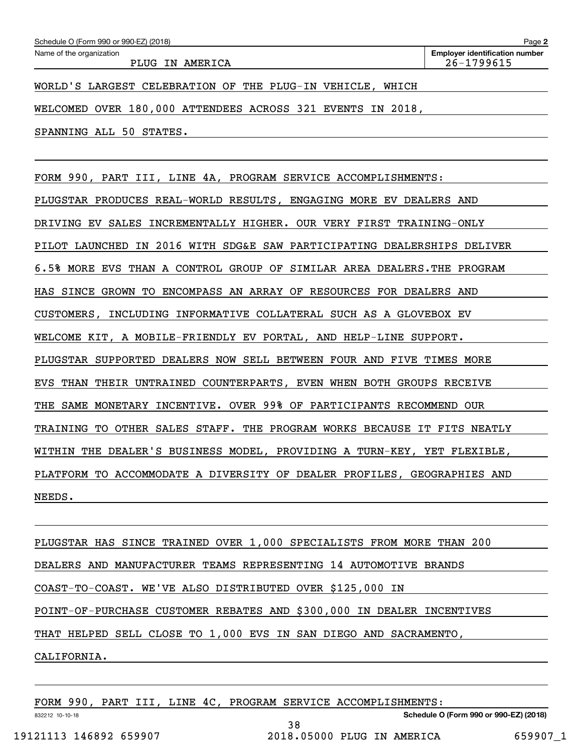| Schedule O (Form 990 or 990-EZ) (2018)                     | Page 2                                              |
|------------------------------------------------------------|-----------------------------------------------------|
| Name of the organization<br>PLUG<br>IN AMERICA             | <b>Employer identification number</b><br>26-1799615 |
| WORLD'S LARGEST CELEBRATION OF THE PLUG-IN VEHICLE, WHICH  |                                                     |
| WELCOMED OVER 180,000 ATTENDEES ACROSS 321 EVENTS IN 2018, |                                                     |
| SPANNING ALL 50 STATES.                                    |                                                     |
|                                                            |                                                     |

FORM 990, PART III, LINE 4A, PROGRAM SERVICE ACCOMPLISHMENTS: PLUGSTAR PRODUCES REAL-WORLD RESULTS, ENGAGING MORE EV DEALERS AND DRIVING EV SALES INCREMENTALLY HIGHER. OUR VERY FIRST TRAINING-ONLY PILOT LAUNCHED IN 2016 WITH SDG&E SAW PARTICIPATING DEALERSHIPS DELIVER 6.5% MORE EVS THAN A CONTROL GROUP OF SIMILAR AREA DEALERS.THE PROGRAM HAS SINCE GROWN TO ENCOMPASS AN ARRAY OF RESOURCES FOR DEALERS AND CUSTOMERS, INCLUDING INFORMATIVE COLLATERAL SUCH AS A GLOVEBOX EV WELCOME KIT, A MOBILE-FRIENDLY EV PORTAL, AND HELP-LINE SUPPORT. PLUGSTAR SUPPORTED DEALERS NOW SELL BETWEEN FOUR AND FIVE TIMES MORE EVS THAN THEIR UNTRAINED COUNTERPARTS, EVEN WHEN BOTH GROUPS RECEIVE THE SAME MONETARY INCENTIVE. OVER 99% OF PARTICIPANTS RECOMMEND OUR TRAINING TO OTHER SALES STAFF. THE PROGRAM WORKS BECAUSE IT FITS NEATLY WITHIN THE DEALER'S BUSINESS MODEL, PROVIDING A TURN-KEY, YET FLEXIBLE, PLATFORM TO ACCOMMODATE A DIVERSITY OF DEALER PROFILES, GEOGRAPHIES AND NEEDS.

PLUGSTAR HAS SINCE TRAINED OVER 1,000 SPECIALISTS FROM MORE THAN 200 DEALERS AND MANUFACTURER TEAMS REPRESENTING 14 AUTOMOTIVE BRANDS COAST-TO-COAST. WE'VE ALSO DISTRIBUTED OVER \$125,000 IN POINT-OF-PURCHASE CUSTOMER REBATES AND \$300,000 IN DEALER INCENTIVES THAT HELPED SELL CLOSE TO 1,000 EVS IN SAN DIEGO AND SACRAMENTO, CALIFORNIA.

38

FORM 990, PART III, LINE 4C, PROGRAM SERVICE ACCOMPLISHMENTS:

**Schedule O (Form 990 or 990-EZ) (2018)**

832212 10-10-18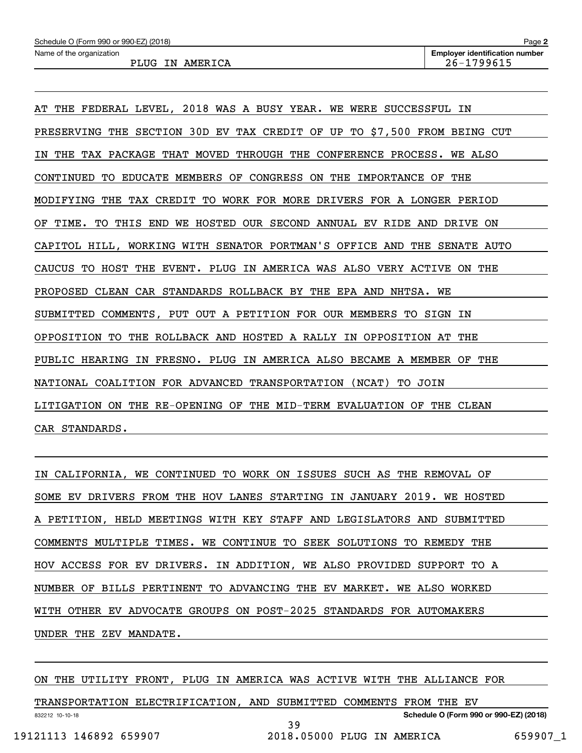AT THE FEDERAL LEVEL, 2018 WAS A BUSY YEAR. WE WERE SUCCESSFUL IN PRESERVING THE SECTION 30D EV TAX CREDIT OF UP TO \$7,500 FROM BEING CUT IN THE TAX PACKAGE THAT MOVED THROUGH THE CONFERENCE PROCESS. WE ALSO CONTINUED TO EDUCATE MEMBERS OF CONGRESS ON THE IMPORTANCE OF THE MODIFYING THE TAX CREDIT TO WORK FOR MORE DRIVERS FOR A LONGER PERIOD OF TIME. TO THIS END WE HOSTED OUR SECOND ANNUAL EV RIDE AND DRIVE ON CAPITOL HILL, WORKING WITH SENATOR PORTMAN'S OFFICE AND THE SENATE AUTO CAUCUS TO HOST THE EVENT. PLUG IN AMERICA WAS ALSO VERY ACTIVE ON THE PROPOSED CLEAN CAR STANDARDS ROLLBACK BY THE EPA AND NHTSA. WE SUBMITTED COMMENTS, PUT OUT A PETITION FOR OUR MEMBERS TO SIGN IN OPPOSITION TO THE ROLLBACK AND HOSTED A RALLY IN OPPOSITION AT THE PUBLIC HEARING IN FRESNO. PLUG IN AMERICA ALSO BECAME A MEMBER OF THE NATIONAL COALITION FOR ADVANCED TRANSPORTATION (NCAT) TO JOIN LITIGATION ON THE RE-OPENING OF THE MID-TERM EVALUATION OF THE CLEAN CAR STANDARDS.

IN CALIFORNIA, WE CONTINUED TO WORK ON ISSUES SUCH AS THE REMOVAL OF SOME EV DRIVERS FROM THE HOV LANES STARTING IN JANUARY 2019. WE HOSTED A PETITION, HELD MEETINGS WITH KEY STAFF AND LEGISLATORS AND SUBMITTED COMMENTS MULTIPLE TIMES. WE CONTINUE TO SEEK SOLUTIONS TO REMEDY THE HOV ACCESS FOR EV DRIVERS. IN ADDITION, WE ALSO PROVIDED SUPPORT TO A NUMBER OF BILLS PERTINENT TO ADVANCING THE EV MARKET. WE ALSO WORKED WITH OTHER EV ADVOCATE GROUPS ON POST-2025 STANDARDS FOR AUTOMAKERS UNDER THE ZEV MANDATE.

ON THE UTILITY FRONT, PLUG IN AMERICA WAS ACTIVE WITH THE ALLIANCE FOR

832212 10-10-18 **Schedule O (Form 990 or 990-EZ) (2018)** TRANSPORTATION ELECTRIFICATION, AND SUBMITTED COMMENTS FROM THE EV 39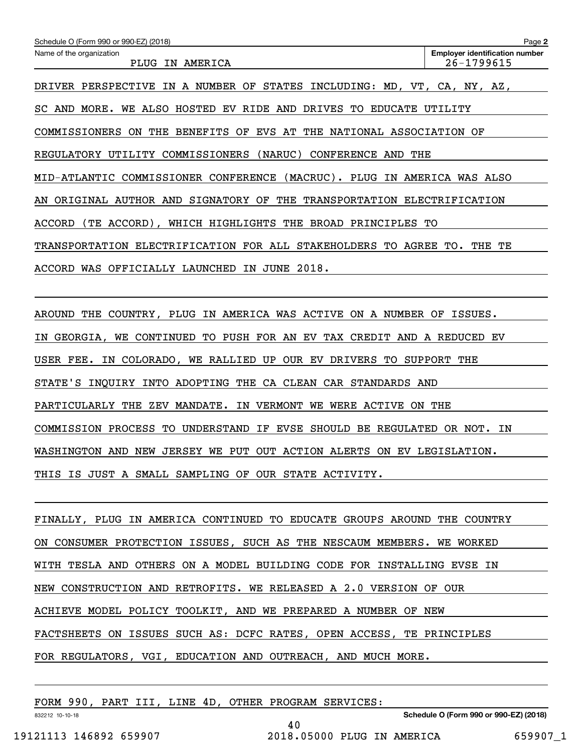| Schedule O (Form 990 or 990-EZ) (2018)                                  | Page 2                                              |
|-------------------------------------------------------------------------|-----------------------------------------------------|
| Name of the organization<br>PLUG IN AMERICA                             | <b>Employer identification number</b><br>26-1799615 |
| DRIVER PERSPECTIVE IN A NUMBER OF STATES INCLUDING: MD, VT, CA, NY, AZ, |                                                     |
| SC AND MORE. WE ALSO HOSTED EV RIDE AND DRIVES TO EDUCATE UTILITY       |                                                     |
| COMMISSIONERS ON THE BENEFITS OF EVS AT THE NATIONAL ASSOCIATION OF     |                                                     |
| REGULATORY UTILITY COMMISSIONERS (NARUC) CONFERENCE AND THE             |                                                     |
| MID-ATLANTIC COMMISSIONER CONFERENCE (MACRUC). PLUG IN AMERICA WAS ALSO |                                                     |
| AN ORIGINAL AUTHOR AND SIGNATORY OF THE TRANSPORTATION ELECTRIFICATION  |                                                     |
| ACCORD (TE ACCORD), WHICH HIGHLIGHTS THE BROAD PRINCIPLES TO            |                                                     |
| TRANSPORTATION ELECTRIFICATION FOR ALL STAKEHOLDERS TO AGREE TO. THE    | TЕ                                                  |
| ACCORD WAS OFFICIALLY LAUNCHED IN JUNE 2018.                            |                                                     |
|                                                                         |                                                     |
| AROUND THE COUNTRY, PLUG IN AMERICA WAS ACTIVE ON A NUMBER OF ISSUES.   |                                                     |
| IN GEORGIA, WE CONTINUED TO PUSH FOR AN EV TAX CREDIT AND A REDUCED EV  |                                                     |
| USER FEE. IN COLORADO, WE RALLIED UP OUR EV DRIVERS TO SUPPORT THE      |                                                     |
| STATE'S INQUIRY INTO ADOPTING THE CA CLEAN CAR STANDARDS AND            |                                                     |
| PARTICULARLY THE ZEV MANDATE. IN VERMONT WE WERE ACTIVE ON THE          |                                                     |
| COMMISSION PROCESS TO UNDERSTAND IF EVSE SHOULD BE REGULATED OR NOT.    | IN                                                  |
| WASHINGTON AND NEW JERSEY WE PUT OUT ACTION ALERTS ON EV LEGISLATION.   |                                                     |
| THIS IS JUST A SMALL SAMPLING OF OUR STATE ACTIVITY.                    |                                                     |
|                                                                         |                                                     |
| FINALLY, PLUG IN AMERICA CONTINUED TO EDUCATE GROUPS AROUND THE COUNTRY |                                                     |
| ON CONSUMER PROTECTION ISSUES, SUCH AS THE NESCAUM MEMBERS. WE WORKED   |                                                     |
| WITH TESLA AND OTHERS ON A MODEL BUILDING CODE FOR INSTALLING EVSE IN   |                                                     |
| NEW CONSTRUCTION AND RETROFITS. WE RELEASED A 2.0 VERSION OF OUR        |                                                     |
| ACHIEVE MODEL POLICY TOOLKIT, AND WE PREPARED A NUMBER OF NEW           |                                                     |

FACTSHEETS ON ISSUES SUCH AS: DCFC RATES, OPEN ACCESS, TE PRINCIPLES

40

FOR REGULATORS, VGI, EDUCATION AND OUTREACH, AND MUCH MORE.

FORM 990, PART III, LINE 4D, OTHER PROGRAM SERVICES:

**Schedule O (Form 990 or 990-EZ) (2018)**

832212 10-10-18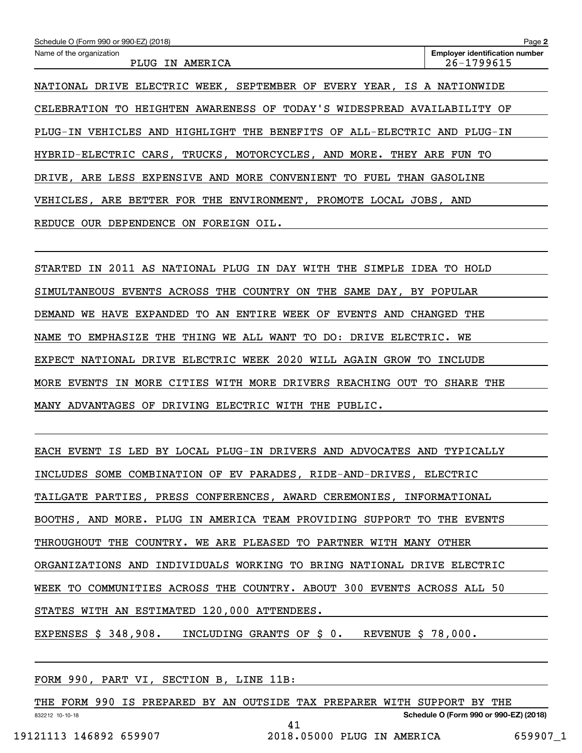| Schedule O (Form 990 or 990-EZ) (2018)                                  | Page 2                                              |  |
|-------------------------------------------------------------------------|-----------------------------------------------------|--|
| Name of the organization<br>PLUG IN AMERICA                             | <b>Employer identification number</b><br>26-1799615 |  |
| NATIONAL DRIVE ELECTRIC WEEK, SEPTEMBER OF EVERY YEAR, IS A NATIONWIDE  |                                                     |  |
| CELEBRATION TO HEIGHTEN AWARENESS OF TODAY'S WIDESPREAD AVAILABILITY OF |                                                     |  |
| PLUG-IN VEHICLES AND HIGHLIGHT THE BENEFITS OF ALL-ELECTRIC AND PLUG-IN |                                                     |  |
| HYBRID-ELECTRIC CARS, TRUCKS, MOTORCYCLES, AND MORE. THEY ARE FUN TO    |                                                     |  |
| DRIVE, ARE LESS EXPENSIVE AND MORE CONVENIENT TO FUEL THAN              | GASOLINE                                            |  |
| VEHICLES, ARE BETTER FOR THE ENVIRONMENT, PROMOTE LOCAL JOBS, AND       |                                                     |  |
| REDUCE OUR DEPENDENCE ON FOREIGN OIL.                                   |                                                     |  |

STARTED IN 2011 AS NATIONAL PLUG IN DAY WITH THE SIMPLE IDEA TO HOLD SIMULTANEOUS EVENTS ACROSS THE COUNTRY ON THE SAME DAY, BY POPULAR DEMAND WE HAVE EXPANDED TO AN ENTIRE WEEK OF EVENTS AND CHANGED THE NAME TO EMPHASIZE THE THING WE ALL WANT TO DO: DRIVE ELECTRIC. WE EXPECT NATIONAL DRIVE ELECTRIC WEEK 2020 WILL AGAIN GROW TO INCLUDE MORE EVENTS IN MORE CITIES WITH MORE DRIVERS REACHING OUT TO SHARE THE MANY ADVANTAGES OF DRIVING ELECTRIC WITH THE PUBLIC.

EACH EVENT IS LED BY LOCAL PLUG-IN DRIVERS AND ADVOCATES AND TYPICALLY INCLUDES SOME COMBINATION OF EV PARADES, RIDE-AND-DRIVES, ELECTRIC TAILGATE PARTIES, PRESS CONFERENCES, AWARD CEREMONIES, INFORMATIONAL BOOTHS, AND MORE. PLUG IN AMERICA TEAM PROVIDING SUPPORT TO THE EVENTS THROUGHOUT THE COUNTRY. WE ARE PLEASED TO PARTNER WITH MANY OTHER ORGANIZATIONS AND INDIVIDUALS WORKING TO BRING NATIONAL DRIVE ELECTRIC WEEK TO COMMUNITIES ACROSS THE COUNTRY. ABOUT 300 EVENTS ACROSS ALL 50 STATES WITH AN ESTIMATED 120,000 ATTENDEES. EXPENSES \$ 348,908. INCLUDING GRANTS OF \$ 0. REVENUE \$ 78,000.

FORM 990, PART VI, SECTION B, LINE 11B:

832212 10-10-18 **Schedule O (Form 990 or 990-EZ) (2018)** THE FORM 990 IS PREPARED BY AN OUTSIDE TAX PREPARER WITH SUPPORT BY THE 41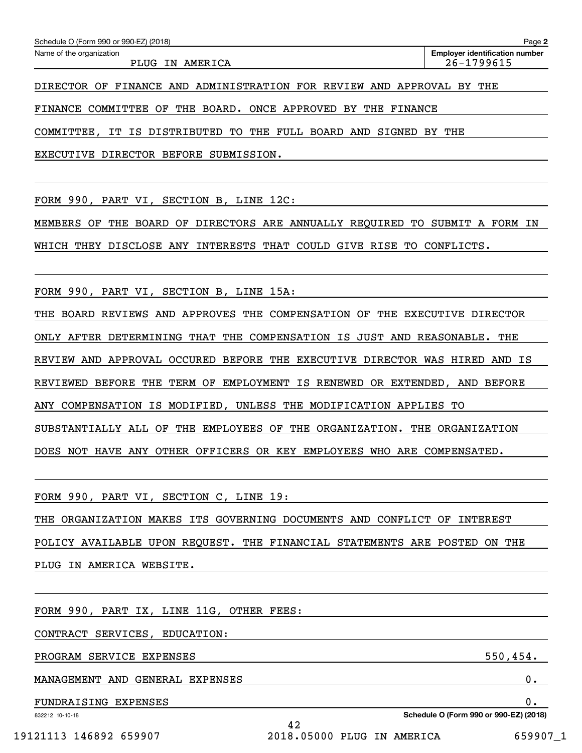| Schedule O (Form 990 or 990-EZ) (2018) | Page 2                                |
|----------------------------------------|---------------------------------------|
| Name of the organization               | <b>Employer identification number</b> |
| IN AMERICA<br>PLUG                     | 26-1799615                            |

DIRECTOR OF FINANCE AND ADMINISTRATION FOR REVIEW AND APPROVAL BY THE

FINANCE COMMITTEE OF THE BOARD. ONCE APPROVED BY THE FINANCE

COMMITTEE, IT IS DISTRIBUTED TO THE FULL BOARD AND SIGNED BY THE

EXECUTIVE DIRECTOR BEFORE SUBMISSION.

FORM 990, PART VI, SECTION B, LINE 12C:

MEMBERS OF THE BOARD OF DIRECTORS ARE ANNUALLY REQUIRED TO SUBMIT A FORM IN

WHICH THEY DISCLOSE ANY INTERESTS THAT COULD GIVE RISE TO CONFLICTS.

FORM 990, PART VI, SECTION B, LINE 15A:

THE BOARD REVIEWS AND APPROVES THE COMPENSATION OF THE EXECUTIVE DIRECTOR

ONLY AFTER DETERMINING THAT THE COMPENSATION IS JUST AND REASONABLE. THE

REVIEW AND APPROVAL OCCURED BEFORE THE EXECUTIVE DIRECTOR WAS HIRED AND IS

REVIEWED BEFORE THE TERM OF EMPLOYMENT IS RENEWED OR EXTENDED, AND BEFORE

ANY COMPENSATION IS MODIFIED, UNLESS THE MODIFICATION APPLIES TO

SUBSTANTIALLY ALL OF THE EMPLOYEES OF THE ORGANIZATION. THE ORGANIZATION

DOES NOT HAVE ANY OTHER OFFICERS OR KEY EMPLOYEES WHO ARE COMPENSATED.

FORM 990, PART VI, SECTION C, LINE 19:

THE ORGANIZATION MAKES ITS GOVERNING DOCUMENTS AND CONFLICT OF INTEREST POLICY AVAILABLE UPON REQUEST. THE FINANCIAL STATEMENTS ARE POSTED ON THE PLUG IN AMERICA WEBSITE.

42

FORM 990, PART IX, LINE 11G, OTHER FEES:

CONTRACT SERVICES, EDUCATION:

PROGRAM SERVICE EXPENSES 550,454.

MANAGEMENT AND GENERAL EXPENSES 0.

FUNDRAISING EXPENSES 0.

832212 10-10-18

19121113 146892 659907 2018.05000 PLUG IN AMERICA 659907\_1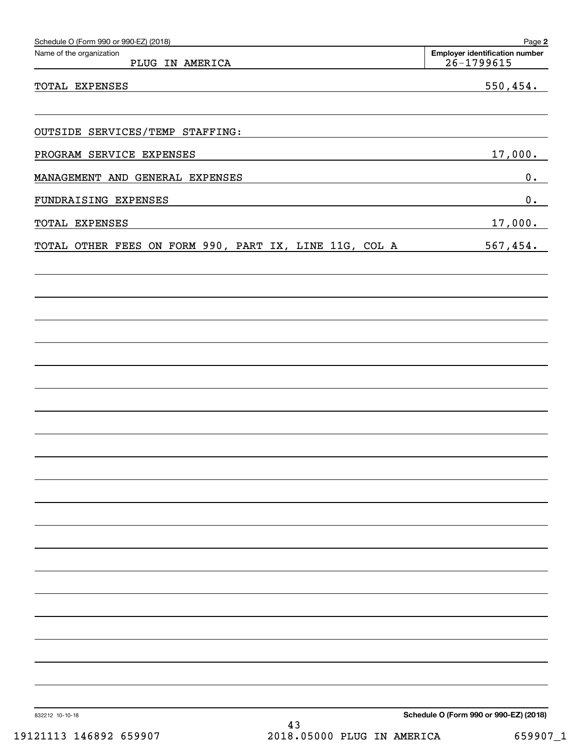| Schedule O (Form 990 or 990-EZ) (2018)                 | Page 2                                                  |
|--------------------------------------------------------|---------------------------------------------------------|
| Name of the organization<br>PLUG IN AMERICA            | <b>Employer identification number</b><br>$26 - 1799615$ |
| TOTAL EXPENSES                                         | 550, 454.                                               |
|                                                        |                                                         |
| OUTSIDE SERVICES/TEMP STAFFING:                        |                                                         |
| PROGRAM SERVICE EXPENSES                               | 17,000.                                                 |
| MANAGEMENT AND GENERAL EXPENSES                        | 0.                                                      |
| FUNDRAISING EXPENSES                                   | 0.                                                      |
| TOTAL EXPENSES                                         | 17,000.                                                 |
| TOTAL OTHER FEES ON FORM 990, PART IX, LINE 11G, COL A | 567,454.                                                |
|                                                        |                                                         |
|                                                        |                                                         |
|                                                        |                                                         |
|                                                        |                                                         |
|                                                        |                                                         |
|                                                        |                                                         |
|                                                        |                                                         |
|                                                        |                                                         |
|                                                        |                                                         |
|                                                        |                                                         |
|                                                        |                                                         |
|                                                        |                                                         |
|                                                        |                                                         |
|                                                        |                                                         |
|                                                        |                                                         |
|                                                        |                                                         |
|                                                        |                                                         |
|                                                        |                                                         |
|                                                        |                                                         |
|                                                        |                                                         |
| 832212 10-10-18<br>43                                  | Schedule O (Form 990 or 990-EZ) (2018)                  |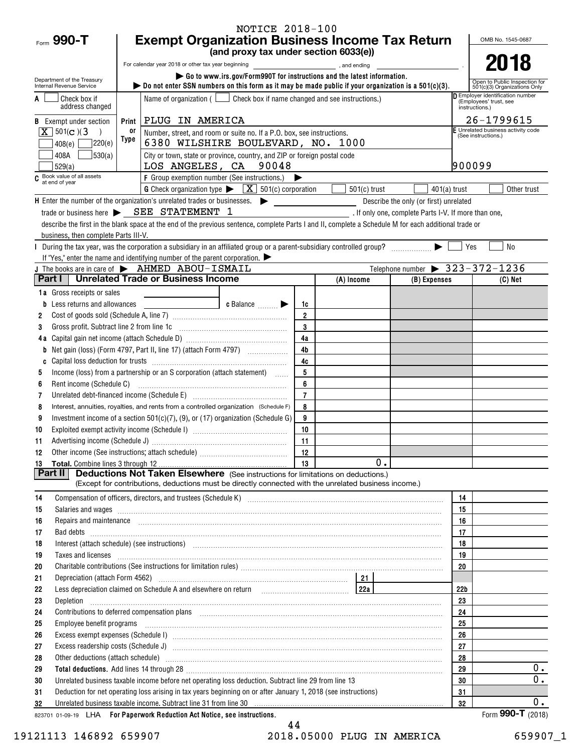| Form 990-T                                                                                               |                                                                                                                                                                                                          | <b>NOTICE 2018-100</b>                                                                                                                                                                                                                                                                                                                                                                                                                                           |                   |                |                                                      |          | OMB No. 1545-0687                                              |
|----------------------------------------------------------------------------------------------------------|----------------------------------------------------------------------------------------------------------------------------------------------------------------------------------------------------------|------------------------------------------------------------------------------------------------------------------------------------------------------------------------------------------------------------------------------------------------------------------------------------------------------------------------------------------------------------------------------------------------------------------------------------------------------------------|-------------------|----------------|------------------------------------------------------|----------|----------------------------------------------------------------|
|                                                                                                          | <b>Exempt Organization Business Income Tax Return</b><br>(and proxy tax under section 6033(e))                                                                                                           |                                                                                                                                                                                                                                                                                                                                                                                                                                                                  |                   |                |                                                      |          |                                                                |
|                                                                                                          | For calendar year 2018 or other tax year beginning<br>and ending                                                                                                                                         |                                                                                                                                                                                                                                                                                                                                                                                                                                                                  |                   |                |                                                      |          | 2018                                                           |
| Department of the Treasury                                                                               | Go to www.irs.gov/Form990T for instructions and the latest information.                                                                                                                                  |                                                                                                                                                                                                                                                                                                                                                                                                                                                                  |                   |                |                                                      |          | Open to Public Inspection for                                  |
| Internal Revenue Service                                                                                 | $\triangleright$ Do not enter SSN numbers on this form as it may be made public if your organization is a 501(c)(3).<br>Name of organization $($ $\Box$ Check box if name changed and see instructions.) |                                                                                                                                                                                                                                                                                                                                                                                                                                                                  |                   |                |                                                      |          | 501(c)(3) Organizations Only<br>Employer identification number |
| Check box if<br>address changed                                                                          |                                                                                                                                                                                                          |                                                                                                                                                                                                                                                                                                                                                                                                                                                                  |                   |                |                                                      |          | (Employees' trust, see<br>instructions.)                       |
| <b>B</b> Exempt under section                                                                            | PLUG IN AMERICA<br>Print                                                                                                                                                                                 |                                                                                                                                                                                                                                                                                                                                                                                                                                                                  |                   |                |                                                      |          | 26-1799615                                                     |
| $\boxed{\mathbf{X}}$ 501(c)(3                                                                            | 0r                                                                                                                                                                                                       | Number, street, and room or suite no. If a P.O. box, see instructions.                                                                                                                                                                                                                                                                                                                                                                                           |                   |                |                                                      |          | E Unrelated business activity code<br>(See instructions.)      |
| 220(e)<br>408(e)                                                                                         | Type                                                                                                                                                                                                     | 6380 WILSHIRE BOULEVARD, NO. 1000                                                                                                                                                                                                                                                                                                                                                                                                                                |                   |                |                                                      |          |                                                                |
| 530(a) <br>408A                                                                                          |                                                                                                                                                                                                          | City or town, state or province, country, and ZIP or foreign postal code<br>LOS ANGELES, CA 90048                                                                                                                                                                                                                                                                                                                                                                |                   |                |                                                      | 900099   |                                                                |
| 529(a)<br>C Book value of all assets<br>at end of year                                                   |                                                                                                                                                                                                          | F Group exemption number (See instructions.)                                                                                                                                                                                                                                                                                                                                                                                                                     |                   |                |                                                      |          |                                                                |
|                                                                                                          |                                                                                                                                                                                                          | <b>G</b> Check organization type $\blacktriangleright \begin{bmatrix} \mathbf{X} \end{bmatrix}$ 501(c) corporation                                                                                                                                                                                                                                                                                                                                               |                   | $501(c)$ trust | $401(a)$ trust                                       |          | Other trust                                                    |
| $\mathsf H$ Enter the number of the organization's unrelated trades or businesses. $\blacktriangleright$ |                                                                                                                                                                                                          |                                                                                                                                                                                                                                                                                                                                                                                                                                                                  |                   |                | Describe the only (or first) unrelated               |          |                                                                |
|                                                                                                          | trade or business here > SEE STATEMENT 1                                                                                                                                                                 |                                                                                                                                                                                                                                                                                                                                                                                                                                                                  |                   |                | . If only one, complete Parts I-V. If more than one, |          |                                                                |
|                                                                                                          |                                                                                                                                                                                                          | describe the first in the blank space at the end of the previous sentence, complete Parts I and II, complete a Schedule M for each additional trade or                                                                                                                                                                                                                                                                                                           |                   |                |                                                      |          |                                                                |
| business, then complete Parts III-V.                                                                     |                                                                                                                                                                                                          |                                                                                                                                                                                                                                                                                                                                                                                                                                                                  |                   |                |                                                      |          |                                                                |
|                                                                                                          |                                                                                                                                                                                                          | During the tax year, was the corporation a subsidiary in an affiliated group or a parent-subsidiary controlled group?<br>If "Yes," enter the name and identifying number of the parent corporation.                                                                                                                                                                                                                                                              |                   |                |                                                      | Yes      | <b>No</b>                                                      |
| J The books are in care of $\blacktriangleright$ AHMED ABOU-ISMAIL                                       |                                                                                                                                                                                                          |                                                                                                                                                                                                                                                                                                                                                                                                                                                                  |                   |                | Telephone number $\triangleright$ 323-372-1236       |          |                                                                |
| Part I   Unrelated Trade or Business Income                                                              |                                                                                                                                                                                                          |                                                                                                                                                                                                                                                                                                                                                                                                                                                                  |                   | (A) Income     | (B) Expenses                                         |          | $(C)$ Net                                                      |
| 1a Gross receipts or sales                                                                               |                                                                                                                                                                                                          |                                                                                                                                                                                                                                                                                                                                                                                                                                                                  |                   |                |                                                      |          |                                                                |
| <b>b</b> Less returns and allowances                                                                     |                                                                                                                                                                                                          | c Balance $\Box$                                                                                                                                                                                                                                                                                                                                                                                                                                                 | 1c                |                |                                                      |          |                                                                |
| 2                                                                                                        |                                                                                                                                                                                                          |                                                                                                                                                                                                                                                                                                                                                                                                                                                                  | $\overline{2}$    |                |                                                      |          |                                                                |
| 3                                                                                                        |                                                                                                                                                                                                          | Gross profit. Subtract line 2 from line 1c [11] [11] [12] [12] [13] [14] [15] [15] [15] [15] [15] [15] [15] [1                                                                                                                                                                                                                                                                                                                                                   | $\mathbf 3$<br>4a |                |                                                      |          |                                                                |
| b                                                                                                        |                                                                                                                                                                                                          |                                                                                                                                                                                                                                                                                                                                                                                                                                                                  | 4 <sub>b</sub>    |                |                                                      |          |                                                                |
|                                                                                                          |                                                                                                                                                                                                          |                                                                                                                                                                                                                                                                                                                                                                                                                                                                  | 4c                |                |                                                      |          |                                                                |
| 5                                                                                                        |                                                                                                                                                                                                          | Income (loss) from a partnership or an S corporation (attach statement)                                                                                                                                                                                                                                                                                                                                                                                          | 5                 |                |                                                      |          |                                                                |
| Rent income (Schedule C)<br>6                                                                            |                                                                                                                                                                                                          |                                                                                                                                                                                                                                                                                                                                                                                                                                                                  | 6                 |                |                                                      |          |                                                                |
| 7                                                                                                        |                                                                                                                                                                                                          | Unrelated debt-financed income (Schedule E) [11] [2010] [2010] [2010] [2010] [2010] [2010] [2010] [2010] [2010                                                                                                                                                                                                                                                                                                                                                   | $\overline{7}$    |                |                                                      |          |                                                                |
| 8                                                                                                        |                                                                                                                                                                                                          | Interest, annuities, royalties, and rents from a controlled organization (Schedule F)                                                                                                                                                                                                                                                                                                                                                                            | 8                 |                |                                                      |          |                                                                |
| 9<br>10                                                                                                  |                                                                                                                                                                                                          | Investment income of a section 501(c)(7), (9), or (17) organization (Schedule G)                                                                                                                                                                                                                                                                                                                                                                                 | 9<br>10           |                |                                                      |          |                                                                |
| 11                                                                                                       |                                                                                                                                                                                                          |                                                                                                                                                                                                                                                                                                                                                                                                                                                                  | 11                |                |                                                      |          |                                                                |
| 12                                                                                                       |                                                                                                                                                                                                          |                                                                                                                                                                                                                                                                                                                                                                                                                                                                  | - 12              |                |                                                      |          |                                                                |
|                                                                                                          |                                                                                                                                                                                                          |                                                                                                                                                                                                                                                                                                                                                                                                                                                                  | $ 13\rangle$      | 0.             |                                                      |          |                                                                |
| Part II                                                                                                  |                                                                                                                                                                                                          | <b>Deductions Not Taken Elsewhere</b> (See instructions for limitations on deductions.)<br>(Except for contributions, deductions must be directly connected with the unrelated business income.)                                                                                                                                                                                                                                                                 |                   |                |                                                      |          |                                                                |
|                                                                                                          |                                                                                                                                                                                                          |                                                                                                                                                                                                                                                                                                                                                                                                                                                                  |                   |                |                                                      |          |                                                                |
| 14<br>15                                                                                                 |                                                                                                                                                                                                          | Compensation of officers, directors, and trustees (Schedule K) [11] [2010] Compensation of officers, directors, and trustees (Schedule K) [11] [2010] [2010] [2010] [2010] [2010] [2010] [2010] [2010] [2010] [2010] [2010] [2<br>Salaries and wages information continuous contracts and wages in the salaries and wages incommutation of the salarities and wages in the salarities of the salarities and wages in the salarities of the salarities of the sal |                   |                |                                                      | 14<br>15 |                                                                |
| 16                                                                                                       |                                                                                                                                                                                                          | Repairs and maintenance <i>[1] [1] [1] [1] [1] [1] [1] [1] [1] [1]</i> [1] <b>[1]</b> [1] <b>[1]</b> [1] <b>[1] [1] [1] [1] [1] [1] [1] [1] [1] [1] [1] [1] [1] [1] [1] [1] [1] [1] [1] [1] [1] [1]</b>                                                                                                                                                                                                                                                          |                   |                |                                                      | 16       |                                                                |
| 17                                                                                                       |                                                                                                                                                                                                          |                                                                                                                                                                                                                                                                                                                                                                                                                                                                  |                   |                |                                                      | 17       |                                                                |
| 18                                                                                                       |                                                                                                                                                                                                          | Interest (attach schedule) (see instructions) www.communications.communications are interest (attach schedule)                                                                                                                                                                                                                                                                                                                                                   |                   |                |                                                      | 18       |                                                                |
| 19                                                                                                       |                                                                                                                                                                                                          | Taxes and licenses <b>contract the contract of the contract of the contract of the contract of the contract of the contract of the contract of the contract of the contract of the contract of the contract of the contract of t</b>                                                                                                                                                                                                                             |                   |                |                                                      | 19       |                                                                |
| 20                                                                                                       |                                                                                                                                                                                                          |                                                                                                                                                                                                                                                                                                                                                                                                                                                                  |                   |                |                                                      | 20       |                                                                |
| 21<br>22                                                                                                 |                                                                                                                                                                                                          | Less depreciation claimed on Schedule A and elsewhere on return match match match and response and retail and r                                                                                                                                                                                                                                                                                                                                                  |                   |                |                                                      | 22b      |                                                                |
| 23                                                                                                       |                                                                                                                                                                                                          |                                                                                                                                                                                                                                                                                                                                                                                                                                                                  |                   |                |                                                      | 23       |                                                                |
| 24                                                                                                       |                                                                                                                                                                                                          |                                                                                                                                                                                                                                                                                                                                                                                                                                                                  |                   |                |                                                      | 24       |                                                                |
| 25                                                                                                       |                                                                                                                                                                                                          | Employee benefit programs in the continuum contract of the contract of the contract of the contract of the contract of the contract of the contract of the contract of the contract of the contract of the contract of the con                                                                                                                                                                                                                                   |                   |                |                                                      | 25       |                                                                |
| 26                                                                                                       |                                                                                                                                                                                                          | Excess exempt expenses (Schedule I) machineral contract contract and contract and contract and contract and contract of the second state of the second state of the second state of the second state of the second state of th                                                                                                                                                                                                                                   |                   |                |                                                      | 26       |                                                                |
| 27                                                                                                       |                                                                                                                                                                                                          | Excess readership costs (Schedule J) www.administeration.com/mail@example.com/mail@example.com/mail@example.com                                                                                                                                                                                                                                                                                                                                                  |                   |                |                                                      | 27       |                                                                |
| 28<br>29                                                                                                 |                                                                                                                                                                                                          | Other deductions (attach schedule) manufactured and contract and contract and contract and contract and contract and contract and contract and contract and contract and contract and contract and contract and contract and c                                                                                                                                                                                                                                   |                   |                |                                                      | 28<br>29 | 0.                                                             |
| 30                                                                                                       |                                                                                                                                                                                                          | Unrelated business taxable income before net operating loss deduction. Subtract line 29 from line 13                                                                                                                                                                                                                                                                                                                                                             |                   |                |                                                      | 30       | $0$ .                                                          |
| 31                                                                                                       |                                                                                                                                                                                                          | Deduction for net operating loss arising in tax years beginning on or after January 1, 2018 (see instructions)                                                                                                                                                                                                                                                                                                                                                   |                   |                |                                                      | 31       |                                                                |
| 32                                                                                                       |                                                                                                                                                                                                          | Unrelated business taxable income. Subtract line 31 from line 30 manufactured contains and contained business taxable income. Subtract line 31 from line 30 manufactured contains and the United States of the United States a                                                                                                                                                                                                                                   |                   |                |                                                      | 32       | 0.                                                             |
|                                                                                                          |                                                                                                                                                                                                          | 823701 01-09-19 LHA For Paperwork Reduction Act Notice, see instructions.                                                                                                                                                                                                                                                                                                                                                                                        |                   |                |                                                      |          | Form 990-T (2018)                                              |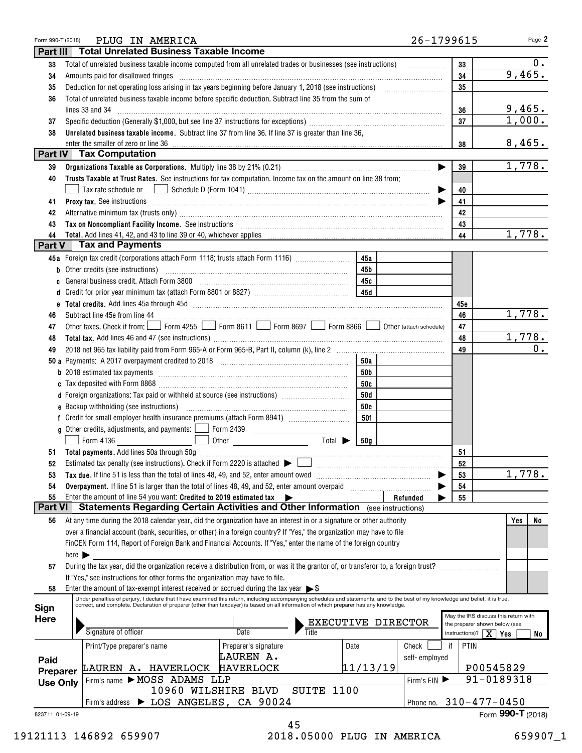| Form 990-T (2018)           |                            |                                                                                                        | PLUG IN AMERICA                                                                                                                                                                                                                      |                      |                             |                 |                    | 26-1799615 | Page 2                                                                |
|-----------------------------|----------------------------|--------------------------------------------------------------------------------------------------------|--------------------------------------------------------------------------------------------------------------------------------------------------------------------------------------------------------------------------------------|----------------------|-----------------------------|-----------------|--------------------|------------|-----------------------------------------------------------------------|
| Part III                    |                            |                                                                                                        | <b>Total Unrelated Business Taxable Income</b>                                                                                                                                                                                       |                      |                             |                 |                    |            |                                                                       |
| 33                          |                            |                                                                                                        |                                                                                                                                                                                                                                      |                      |                             |                 |                    | 33         | 0.                                                                    |
| 34                          |                            |                                                                                                        |                                                                                                                                                                                                                                      |                      |                             |                 |                    | 34         | 9,465.                                                                |
| 35                          |                            |                                                                                                        |                                                                                                                                                                                                                                      |                      |                             |                 | 35                 |            |                                                                       |
| 36                          |                            | Total of unrelated business taxable income before specific deduction. Subtract line 35 from the sum of |                                                                                                                                                                                                                                      |                      |                             |                 |                    |            |                                                                       |
|                             |                            |                                                                                                        | lines 33 and 34                                                                                                                                                                                                                      |                      |                             |                 |                    | 36         | 9,465.                                                                |
| 37                          |                            |                                                                                                        |                                                                                                                                                                                                                                      |                      |                             |                 |                    | 37         | 1,000.                                                                |
| 38                          |                            |                                                                                                        | Unrelated business taxable income. Subtract line 37 from line 36. If line 37 is greater than line 36,                                                                                                                                |                      |                             |                 |                    |            |                                                                       |
|                             |                            | enter the smaller of zero or line 36                                                                   |                                                                                                                                                                                                                                      |                      |                             |                 |                    | 38         | 8,465.                                                                |
|                             |                            | Part IV   Tax Computation                                                                              |                                                                                                                                                                                                                                      |                      |                             |                 |                    |            |                                                                       |
| 39                          |                            |                                                                                                        |                                                                                                                                                                                                                                      |                      |                             |                 |                    | 39         | 1,778.                                                                |
| 40                          |                            |                                                                                                        | Trusts Taxable at Trust Rates. See instructions for tax computation. Income tax on the amount on line 38 from:                                                                                                                       |                      |                             |                 |                    |            |                                                                       |
|                             |                            | Tax rate schedule or                                                                                   |                                                                                                                                                                                                                                      |                      |                             |                 |                    | 40         |                                                                       |
| 41                          |                            |                                                                                                        | Proxy tax. See instructions <i>machines and a content of the set of the set of the set of the set of the set of the set of the set of the set of the set of the set of the set of the set of the set of the set of the set of th</i> |                      |                             |                 |                    | 41         |                                                                       |
| 42                          |                            |                                                                                                        | Alternative minimum tax (trusts only) [11] matter content to the state of the state of the state of the state only                                                                                                                   |                      |                             |                 |                    | 42         |                                                                       |
| 43                          |                            |                                                                                                        | Tax on Noncompliant Facility Income. See instructions [11] The manufacture in the contraction of the contraction of the contraction of the contraction of the contraction of the contraction of the contraction of the contrac       |                      |                             |                 |                    | 43         |                                                                       |
| 44                          |                            |                                                                                                        |                                                                                                                                                                                                                                      |                      |                             |                 |                    | 44         | 1,778.                                                                |
| Part V                      |                            | <b>Tax and Payments</b>                                                                                |                                                                                                                                                                                                                                      |                      |                             |                 |                    |            |                                                                       |
|                             |                            |                                                                                                        | 45a Foreign tax credit (corporations attach Form 1118; trusts attach Form 1116)                                                                                                                                                      |                      |                             | 45a             |                    |            |                                                                       |
|                             |                            | <b>b</b> Other credits (see instructions)                                                              |                                                                                                                                                                                                                                      |                      |                             | 45b             |                    |            |                                                                       |
|                             |                            |                                                                                                        | c General business credit. Attach Form 3800 [11] [11] Contract Contract Contract Contract Contract Contract Co                                                                                                                       |                      |                             | 45с             |                    |            |                                                                       |
|                             |                            |                                                                                                        |                                                                                                                                                                                                                                      |                      |                             |                 |                    |            |                                                                       |
|                             |                            |                                                                                                        |                                                                                                                                                                                                                                      |                      |                             |                 |                    | 45e        |                                                                       |
| 46                          |                            |                                                                                                        |                                                                                                                                                                                                                                      |                      |                             |                 |                    | 46         | 1,778.                                                                |
| 47                          |                            |                                                                                                        | Other taxes. Check if from: Form 4255 Form 8611 Form 8697 Form 8866 Other (attach schedule)                                                                                                                                          |                      |                             |                 |                    | 47         |                                                                       |
| 48                          |                            |                                                                                                        |                                                                                                                                                                                                                                      |                      |                             |                 |                    | 48         | 1,778.                                                                |
| 49                          |                            |                                                                                                        |                                                                                                                                                                                                                                      |                      |                             |                 |                    | 49         | $0$ .                                                                 |
|                             |                            |                                                                                                        |                                                                                                                                                                                                                                      |                      |                             | 50a             |                    |            |                                                                       |
|                             |                            |                                                                                                        |                                                                                                                                                                                                                                      |                      |                             | 50b             |                    |            |                                                                       |
|                             |                            |                                                                                                        |                                                                                                                                                                                                                                      |                      |                             | 50c             |                    |            |                                                                       |
|                             |                            |                                                                                                        | d Foreign organizations: Tax paid or withheld at source (see instructions) [                                                                                                                                                         |                      |                             | 50d             |                    |            |                                                                       |
|                             |                            |                                                                                                        |                                                                                                                                                                                                                                      |                      |                             | <b>50e</b>      |                    |            |                                                                       |
|                             |                            |                                                                                                        |                                                                                                                                                                                                                                      |                      |                             | 50f             |                    |            |                                                                       |
|                             |                            |                                                                                                        | <b>g</b> Other credits, adjustments, and payments: $\boxed{\phantom{0}}$ Form 2439                                                                                                                                                   |                      |                             |                 |                    |            |                                                                       |
|                             |                            | Form 4136                                                                                              |                                                                                                                                                                                                                                      |                      | Total $\blacktriangleright$ | 50 <sub>a</sub> |                    |            |                                                                       |
|                             |                            |                                                                                                        |                                                                                                                                                                                                                                      |                      |                             |                 |                    | 51         |                                                                       |
| 52                          |                            |                                                                                                        | Estimated tax penalty (see instructions). Check if Form 2220 is attached $\blacktriangleright$                                                                                                                                       |                      |                             |                 |                    | 52         |                                                                       |
| 53                          |                            |                                                                                                        | Tax due. If line 51 is less than the total of lines 48, 49, and 52, enter amount owed                                                                                                                                                |                      |                             |                 |                    | 53         | 1,778.                                                                |
| 54                          |                            |                                                                                                        | Overpayment. If line 51 is larger than the total of lines 48, 49, and 52, enter amount overpaid                                                                                                                                      |                      |                             |                 |                    | 54         |                                                                       |
| 55                          |                            |                                                                                                        | Enter the amount of line 54 you want: Credited to 2019 estimated tax $\blacktriangleright$                                                                                                                                           |                      |                             |                 | Refunded           | 55         |                                                                       |
| <b>Part VI</b>              |                            |                                                                                                        | Statements Regarding Certain Activities and Other Information (see instructions)                                                                                                                                                     |                      |                             |                 |                    |            |                                                                       |
| 56                          |                            |                                                                                                        | At any time during the 2018 calendar year, did the organization have an interest in or a signature or other authority                                                                                                                |                      |                             |                 |                    |            | No<br>Yes                                                             |
|                             |                            |                                                                                                        | over a financial account (bank, securities, or other) in a foreign country? If "Yes," the organization may have to file                                                                                                              |                      |                             |                 |                    |            |                                                                       |
|                             |                            |                                                                                                        | FinCEN Form 114, Report of Foreign Bank and Financial Accounts. If "Yes," enter the name of the foreign country                                                                                                                      |                      |                             |                 |                    |            |                                                                       |
|                             | here $\blacktriangleright$ |                                                                                                        |                                                                                                                                                                                                                                      |                      |                             |                 |                    |            |                                                                       |
| 57                          |                            |                                                                                                        | During the tax year, did the organization receive a distribution from, or was it the grantor of, or transferor to, a foreign trust?                                                                                                  |                      |                             |                 |                    |            |                                                                       |
|                             |                            |                                                                                                        | If "Yes," see instructions for other forms the organization may have to file.                                                                                                                                                        |                      |                             |                 |                    |            |                                                                       |
| 58                          |                            |                                                                                                        | Enter the amount of tax-exempt interest received or accrued during the tax year $\triangleright$ \$                                                                                                                                  |                      |                             |                 |                    |            |                                                                       |
|                             |                            |                                                                                                        | Under penalties of perjury, I declare that I have examined this return, including accompanying schedules and statements, and to the best of my knowledge and belief, it is true,                                                     |                      |                             |                 |                    |            |                                                                       |
| Sign                        |                            |                                                                                                        | correct, and complete. Declaration of preparer (other than taxpayer) is based on all information of which preparer has any knowledge.                                                                                                |                      |                             |                 |                    |            |                                                                       |
| Here                        |                            |                                                                                                        |                                                                                                                                                                                                                                      |                      |                             |                 |                    |            | May the IRS discuss this return with<br>the preparer shown below (see |
|                             |                            | Signature of officer                                                                                   |                                                                                                                                                                                                                                      | <b>Date</b>          |                             |                 | EXECUTIVE DIRECTOR |            | instructions)? $\mid X \mid Yes$<br>No                                |
|                             |                            | Print/Type preparer's name                                                                             |                                                                                                                                                                                                                                      | Preparer's signature |                             | Date            | Check              | PTIN<br>if |                                                                       |
|                             |                            |                                                                                                        |                                                                                                                                                                                                                                      | LAUREN A.            |                             |                 | self-employed      |            |                                                                       |
| Paid                        |                            |                                                                                                        | LAUREN A. HAVERLOCK                                                                                                                                                                                                                  | <b>HAVERLOCK</b>     |                             | 11/13/19        |                    |            | P00545829                                                             |
| Preparer<br><b>Use Only</b> |                            |                                                                                                        | Firm's name MOSS ADAMS LLP                                                                                                                                                                                                           |                      |                             |                 | Firm's EIN         |            | 91-0189318                                                            |
|                             |                            |                                                                                                        | 10960 WILSHIRE BLVD                                                                                                                                                                                                                  |                      | SUITE 1100                  |                 |                    |            |                                                                       |
|                             |                            |                                                                                                        | Firm's address > LOS ANGELES, CA 90024                                                                                                                                                                                               |                      |                             |                 |                    |            | Phone no. 310-477-0450                                                |
| 823711 01-09-19             |                            |                                                                                                        |                                                                                                                                                                                                                                      |                      |                             |                 |                    |            | Form 990-T (2018)                                                     |
|                             |                            |                                                                                                        |                                                                                                                                                                                                                                      |                      | 45                          |                 |                    |            |                                                                       |

19121113 146892 659907 2018.05000 PLUG IN AMERICA 659907\_1